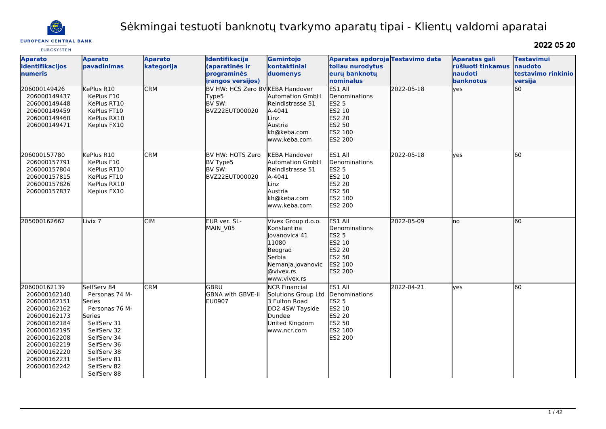

# Sėkmingai testuoti banknotų tvarkymo aparatų tipai - Klientų valdomi aparatai

**EUROPEAN CENTRAL BANK** 

| <b>EUROSYSTEM</b>                                                                                                                                                                            |                                                                                                                                                                                             |                              |                                                                       |                                                                                                                                    |                                                                                                     |            |                                                                          |                                                               |
|----------------------------------------------------------------------------------------------------------------------------------------------------------------------------------------------|---------------------------------------------------------------------------------------------------------------------------------------------------------------------------------------------|------------------------------|-----------------------------------------------------------------------|------------------------------------------------------------------------------------------------------------------------------------|-----------------------------------------------------------------------------------------------------|------------|--------------------------------------------------------------------------|---------------------------------------------------------------|
| <b>Aparato</b><br>identifikacijos<br><b>numeris</b>                                                                                                                                          | <b>Aparato</b><br>pavadinimas                                                                                                                                                               | <b>Aparato</b><br>kategorija | Identifikacija<br>(aparatinės ir<br>programinės<br>irangos versijos)  | Gamintojo<br>kontaktiniai<br>duomenys                                                                                              | Aparatas apdoroja Testavimo data<br>toliau nurodytus<br>euru banknotu<br>Inominalus                 |            | <b>Aparatas gali</b><br>rūšiuoti tinkamus<br><b>naudoti</b><br>banknotus | <b>Testavimui</b><br>naudoto<br>testavimo rinkinio<br>versija |
| 206000149426<br>206000149437<br>206000149448<br>206000149459<br>206000149460<br>206000149471                                                                                                 | KePlus R10<br>KePlus F10<br>KePlus RT10<br>KePlus FT10<br>KePlus RX10<br>Keplus FX10                                                                                                        | <b>CRM</b>                   | BV HW: HCS Zero BV KEBA Handover<br>Type5<br>BV SW:<br>BVZ22EUT000020 | <b>Automation GmbH</b><br>Reindlstrasse 51<br>A-4041<br>Linz<br>Austria<br>kh@keba.com<br>www.keba.com                             | ES1 All<br>Denominations<br><b>ES2 5</b><br>ES2 10<br>ES2 20<br>ES2 50<br>ES2 100<br>ES2 200        | 2022-05-18 | yes                                                                      | 60                                                            |
| 206000157780<br>206000157791<br>206000157804<br>206000157815<br>206000157826<br>206000157837                                                                                                 | KePlus R10<br>KePlus F10<br>KePlus RT10<br>KePlus FT10<br>KePlus RX10<br>Keplus FX10                                                                                                        | <b>CRM</b>                   | BV HW: HOTS Zero<br>BV Type5<br>BV SW:<br>BVZ22EUT000020              | <b>KEBA Handover</b><br><b>Automation GmbH</b><br>Reindlstrasse 51<br>A-4041<br>Linz<br>Austria<br>kh@keba.com<br>www.keba.com     | ES1 All<br>Denominations<br><b>ES2 5</b><br>ES2 10<br>ES2 20<br>ES2 50<br>ES2 100<br>ES2 200        | 2022-05-18 | yes                                                                      | 60                                                            |
| 205000162662                                                                                                                                                                                 | Livix <sub>7</sub>                                                                                                                                                                          | <b>CIM</b>                   | EUR ver. SL-<br>MAIN_V05                                              | Vivex Group d.o.o.<br>Konstantina<br>Jovanovica 41<br>11080<br>Beograd<br>Serbia<br>Nemanja.jovanovic<br>@vivex.rs<br>www.vivex.rs | ES1 All<br>Denominations<br>ES2 5<br>ES2 10<br>ES2 20<br>ES2 50<br>ES2 100<br>ES2 200               | 2022-05-09 | lno                                                                      | 60                                                            |
| 206000162139<br>206000162140<br>206000162151<br>206000162162<br>206000162173<br>206000162184<br>206000162195<br>206000162208<br>206000162219<br>206000162220<br>206000162231<br>206000162242 | SelfServ 84<br>Personas 74 M-<br>Series<br>Personas 76 M-<br>Series<br>SelfServ 31<br>SelfServ 32<br>SelfServ 34<br>SelfServ 36<br>SelfServ 38<br>SelfServ 81<br>SelfServ 82<br>SelfServ 88 | <b>CRM</b>                   | GBRU<br>GBNA with GBVE-II<br>EU0907                                   | <b>NCR Financial</b><br>Solutions Group Ltd<br>3 Fulton Road<br>DD2 4SW Tayside<br>Dundee<br>United Kingdom<br>www.ncr.com         | ES1 All<br>Denominations<br><b>ES2 5</b><br>ES2 10<br>ES2 20<br><b>ES2 50</b><br>ES2 100<br>ES2 200 | 2022-04-21 | yes                                                                      | 60                                                            |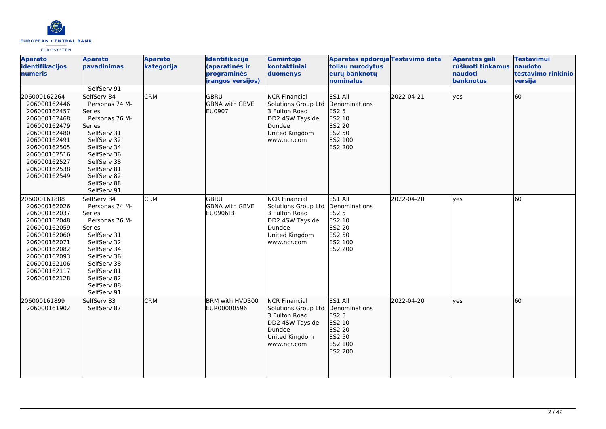

| <b>Aparato</b><br>identifikacijos<br>numeris                                                                                                                                                 | <b>Aparato</b><br>pavadinimas                                                                                                                                                                                                    | <b>Aparato</b><br>kategorija | Identifikacija<br>(aparatinės ir<br>programinės<br><i>irangos versijos)</i> | Gamintojo<br>kontaktiniai<br>duomenys                                                                                      | Aparatas apdoroja Testavimo data<br>toliau nurodytus<br>eurų banknotų<br>nominalus           |            | <b>Aparatas gali</b><br>rūšiuoti tinkamus<br>naudoti<br>banknotus | <b>Testavimui</b><br>naudoto<br>testavimo rinkinio<br>versija |
|----------------------------------------------------------------------------------------------------------------------------------------------------------------------------------------------|----------------------------------------------------------------------------------------------------------------------------------------------------------------------------------------------------------------------------------|------------------------------|-----------------------------------------------------------------------------|----------------------------------------------------------------------------------------------------------------------------|----------------------------------------------------------------------------------------------|------------|-------------------------------------------------------------------|---------------------------------------------------------------|
| 206000162264<br>206000162446<br>206000162457<br>206000162468<br>206000162479<br>206000162480<br>206000162491<br>206000162505<br>206000162516<br>206000162527<br>206000162538<br>206000162549 | SelfServ 91<br>SelfServ 84<br>Personas 74 M-<br>Series<br>Personas 76 M-<br><b>Series</b><br>SelfServ 31<br>SelfServ 32<br>SelfServ 34<br>SelfServ 36<br>SelfServ 38<br>SelfServ 81<br>SelfServ 82<br>SelfServ 88<br>SelfServ 91 | <b>CRM</b>                   | lgbru<br><b>GBNA with GBVE</b><br><b>EU0907</b>                             | <b>NCR Financial</b><br>Solutions Group Ltd<br>3 Fulton Road<br>DD2 4SW Tayside<br>Dundee<br>United Kingdom<br>www.ncr.com | ES1 All<br>Denominations<br>ES2 5<br>ES2 10<br>ES2 20<br>ES2 50<br>ES2 100<br>ES2 200        | 2022-04-21 | lyes                                                              | 60                                                            |
| 206000161888<br>206000162026<br>206000162037<br>206000162048<br>206000162059<br>206000162060<br>206000162071<br>206000162082<br>206000162093<br>206000162106<br>206000162117<br>206000162128 | SelfServ 84<br>Personas 74 M-<br>Series<br>Personas 76 M-<br>Series<br>SelfServ 31<br>SelfServ 32<br>SelfServ 34<br>SelfServ 36<br>SelfServ 38<br>SelfServ 81<br>SelfServ 82<br>SelfServ 88<br>SelfServ 91                       | <b>CRM</b>                   | <b>GBRU</b><br><b>GBNA with GBVE</b><br><b>EU0906IB</b>                     | <b>NCR Financial</b><br>Solutions Group Ltd<br>3 Fulton Road<br>DD2 4SW Tayside<br>Dundee<br>United Kingdom<br>www.ncr.com | ES1 All<br>Denominations<br><b>ES2 5</b><br>ES2 10<br>ES2 20<br>ES2 50<br>ES2 100<br>ES2 200 | 2022-04-20 | <b>yes</b>                                                        | 60                                                            |
| 206000161899<br>206000161902                                                                                                                                                                 | SelfServ 83<br>SelfServ 87                                                                                                                                                                                                       | <b>CRM</b>                   | BRM with HVD300<br>EUR00000596                                              | <b>NCR Financial</b><br>Solutions Group Ltd<br>3 Fulton Road<br>DD2 4SW Tayside<br>Dundee<br>United Kingdom<br>www.ncr.com | ES1 All<br>Denominations<br>ES2 5<br>ES2 10<br>ES2 20<br>ES2 50<br><b>ES2 100</b><br>ES2 200 | 2022-04-20 | lyes                                                              | 60                                                            |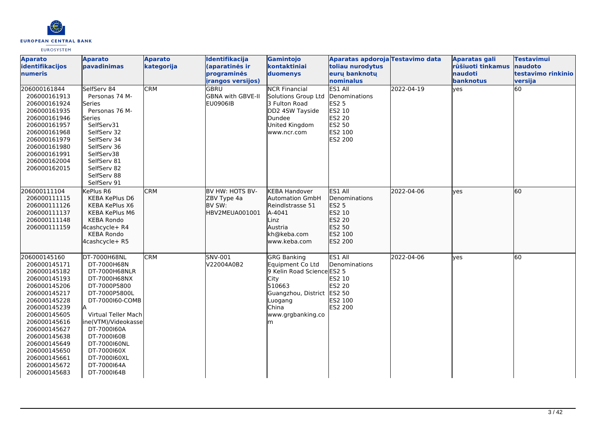

| <b>Aparato</b><br>identifikacijos<br>numeris                                                                                                                                                                                                                                 | <b>Aparato</b><br>pavadinimas                                                                                                                                                                                                                                             | <b>Aparato</b><br>kategorija | Identifikacija<br>(aparatinės ir<br>programinės<br><i>irangos versijos)</i> | Gamintojo<br>kontaktiniai<br>duomenys                                                                                                                                     | Aparatas apdoroja Testavimo data<br>toliau nurodytus<br>eurų banknotų<br>nominalus                         |            | Aparatas gali<br>rūšiuoti tinkamus<br><b>naudoti</b><br>banknotus | <b>Testavimui</b><br>naudoto<br>testavimo rinkinio<br>versija |
|------------------------------------------------------------------------------------------------------------------------------------------------------------------------------------------------------------------------------------------------------------------------------|---------------------------------------------------------------------------------------------------------------------------------------------------------------------------------------------------------------------------------------------------------------------------|------------------------------|-----------------------------------------------------------------------------|---------------------------------------------------------------------------------------------------------------------------------------------------------------------------|------------------------------------------------------------------------------------------------------------|------------|-------------------------------------------------------------------|---------------------------------------------------------------|
| 206000161844<br>206000161913<br>206000161924<br>206000161935<br>206000161946<br>206000161957<br>206000161968<br>206000161979<br>206000161980<br>206000161991<br>206000162004<br>206000162015                                                                                 | SelfServ 84<br>Personas 74 M-<br>lSeries<br>Personas 76 M-<br>Series<br>SelfServ31<br>SelfServ 32<br>SelfServ 34<br>SelfServ 36<br>SelfServ38<br>SelfServ 81<br>SelfServ 82<br>SelfServ 88<br>SelfServ 91                                                                 | <b>CRM</b>                   | GBRU<br><b>GBNA with GBVE-II</b><br>EU0906IB                                | <b>NCR Financial</b><br>Solutions Group Ltd<br>3 Fulton Road<br>DD2 4SW Tayside<br>Dundee<br>United Kingdom<br>www.ncr.com                                                | ES1 All<br>Denominations<br><b>ES2 5</b><br>ES2 10<br><b>ES2 20</b><br>ES2 50<br>ES2 100<br><b>ES2 200</b> | 2022-04-19 | lyes                                                              | 60                                                            |
| 206000111104<br>206000111115<br>206000111126<br>206000111137<br>206000111148<br>206000111159                                                                                                                                                                                 | KePlus R6<br><b>KEBA KePlus D6</b><br><b>KEBA KePlus X6</b><br><b>KEBA KePlus M6</b><br><b>KEBA Rondo</b><br>4cashcycle+ R4<br><b>KEBA Rondo</b><br>4cashcycle+ R5                                                                                                        | <b>CRM</b>                   | BV HW: HOTS BV-<br>ZBV Type 4a<br>BV SW:<br>HBV2MEUA001001                  | <b>KEBA Handover</b><br><b>Automation GmbH</b><br>Reindlstrasse 51<br>A-4041<br>Linz<br>Austria<br>kh@keba.com<br>www.keba.com                                            | ES1 All<br>Denominations<br><b>ES2 5</b><br>ES2 10<br>ES2 20<br>ES2 50<br>ES2 100<br>ES2 200               | 2022-04-06 | lves                                                              | 60                                                            |
| 206000145160<br>206000145171<br>206000145182<br>206000145193<br>206000145206<br>206000145217<br>206000145228<br>206000145239<br>206000145605<br>206000145616<br>206000145627<br>206000145638<br>206000145649<br>206000145650<br>206000145661<br>206000145672<br>206000145683 | DT-7000H68NL<br>DT-7000H68N<br>DT-7000H68NLR<br>DT-7000H68NX<br>DT-7000P5800<br>DT-7000P5800L<br>DT-7000160-COMB<br>Virtual Teller Mach<br>ine(VTM)/Videokasse<br>DT-7000160A<br>DT-7000160B<br>DT-7000160NL<br>DT-7000160X<br>DT-7000160XL<br>DT-7000164A<br>DT-7000164B | <b>CRM</b>                   | SNV-001<br>V22004A0B2                                                       | <b>GRG Banking</b><br>Equipment Co Ltd<br>9 Kelin Road Science ES2 5<br><b>City</b><br>510663<br>Guangzhou, District ES2 50<br>Luogang<br>China<br>www.grgbanking.co<br>m | ES1 All<br>Denominations<br>ES2 10<br><b>ES2 20</b><br>ES2 100<br>ES2 200                                  | 2022-04-06 | <b>ves</b>                                                        | 60                                                            |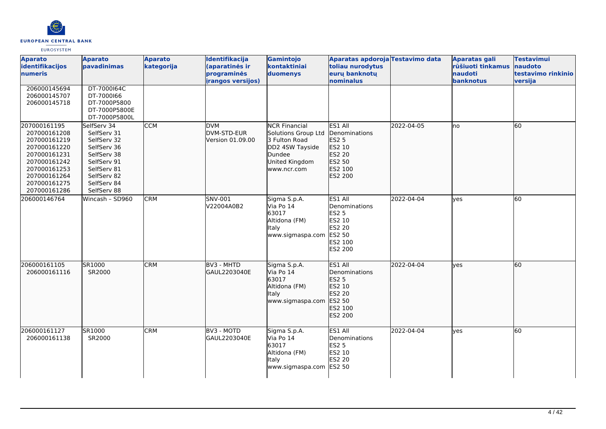

| <b>Aparato</b><br>identifikacijos<br>numeris                                                                                                                 | <b>Aparato</b><br>pavadinimas                                                                                                                      | <b>Aparato</b><br>kategorija | Identifikacija<br>(aparatinės ir<br>programinės<br><i>irangos versijos)</i> | Gamintojo<br>kontaktiniai<br>duomenys                                                                                      | Aparatas apdoroja Testavimo data<br>toliau nurodytus<br>eurų banknotų<br>nominalus                  |            | Aparatas gali<br>rūšiuoti tinkamus<br>naudoti<br>banknotus | <b>Testavimui</b><br>naudoto<br>testavimo rinkinio<br>versija |
|--------------------------------------------------------------------------------------------------------------------------------------------------------------|----------------------------------------------------------------------------------------------------------------------------------------------------|------------------------------|-----------------------------------------------------------------------------|----------------------------------------------------------------------------------------------------------------------------|-----------------------------------------------------------------------------------------------------|------------|------------------------------------------------------------|---------------------------------------------------------------|
| 206000145694<br>206000145707<br>206000145718                                                                                                                 | DT-7000164C<br>DT-7000166<br>DT-7000P5800<br>DT-7000P5800E<br>DT-7000P5800L                                                                        |                              |                                                                             |                                                                                                                            |                                                                                                     |            |                                                            |                                                               |
| 207000161195<br>207000161208<br>207000161219<br>207000161220<br>207000161231<br>207000161242<br>207000161253<br>207000161264<br>207000161275<br>207000161286 | SelfServ 34<br>SelfServ 31<br>SelfServ 32<br>SelfServ 36<br>SelfServ 38<br>SelfServ 91<br>SelfServ 81<br>SelfServ 82<br>SelfServ 84<br>SelfServ 88 | <b>CCM</b>                   | <b>DVM</b><br>DVM-STD-EUR<br>Version 01.09.00                               | <b>NCR Financial</b><br>Solutions Group Ltd<br>3 Fulton Road<br>DD2 4SW Tayside<br>Dundee<br>United Kingdom<br>www.ncr.com | ES1 All<br>Denominations<br>ES2 5<br>ES2 10<br>ES2 20<br>ES2 50<br>ES2 100<br>ES2 200               | 2022-04-05 | lno                                                        | l60                                                           |
| 206000146764                                                                                                                                                 | Wincash - SD960                                                                                                                                    | <b>CRM</b>                   | SNV-001<br>V22004A0B2                                                       | Sigma S.p.A.<br>Via Po 14<br>63017<br>Altidona (FM)<br>Italy<br>www.sigmaspa.com                                           | ES1 All<br>Denominations<br><b>ES2 5</b><br>ES2 10<br>ES2 20<br>ES2 50<br>ES2 100<br><b>ES2 200</b> | 2022-04-04 | yes                                                        | 60                                                            |
| 206000161105<br>206000161116                                                                                                                                 | SR1000<br>SR2000                                                                                                                                   | <b>CRM</b>                   | BV3 - MHTD<br>GAUL2203040E                                                  | Sigma S.p.A.<br>Via Po 14<br>63017<br>Altidona (FM)<br>Italy<br>www.sigmaspa.com                                           | ES1 All<br>Denominations<br>ES2 5<br>ES2 10<br>ES2 20<br>ES2 50<br>lES2 100<br>ES2 200              | 2022-04-04 | lyes                                                       | 60                                                            |
| 206000161127<br>206000161138                                                                                                                                 | SR1000<br>SR2000                                                                                                                                   | <b>CRM</b>                   | BV3 - MOTD<br>GAUL2203040E                                                  | Sigma S.p.A.<br>Via Po 14<br>63017<br>Altidona (FM)<br>Italy<br>www.sigmaspa.com ES2 50                                    | ES1 All<br>Denominations<br><b>ES2 5</b><br><b>ES2 10</b><br><b>ES2 20</b>                          | 2022-04-04 | lves                                                       | 60                                                            |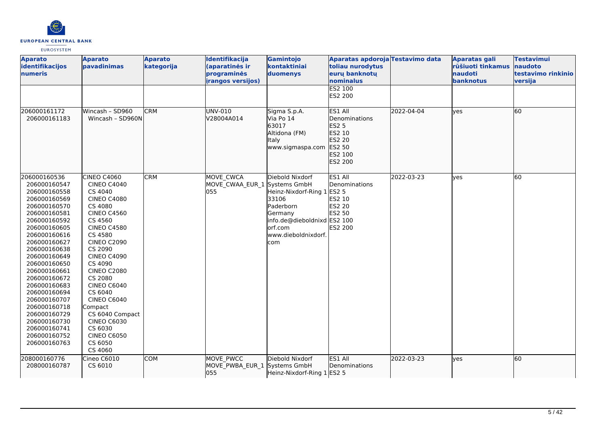

| <b>Aparato</b><br>identifikacijos<br><b>numeris</b>                                                                                                                                                                                                                                                                                                                                          | <b>Aparato</b><br>pavadinimas                                                                                                                                                                                                                                                                                                                                                                                        | <b>Aparato</b><br>kategorija | Identifikacija<br>(aparatinės ir<br>programinės<br><i>irangos versijos)</i> | Gamintojo<br>kontaktiniai<br>duomenys                                                                                                            | Aparatas apdoroja Testavimo data<br>toliau nurodytus<br>eurų banknotų<br>nominalus       |            | <b>Aparatas gali</b><br>rūšiuoti tinkamus<br>naudoti<br>banknotus | <b>Testavimui</b><br>naudoto<br>testavimo rinkinio<br>versija |
|----------------------------------------------------------------------------------------------------------------------------------------------------------------------------------------------------------------------------------------------------------------------------------------------------------------------------------------------------------------------------------------------|----------------------------------------------------------------------------------------------------------------------------------------------------------------------------------------------------------------------------------------------------------------------------------------------------------------------------------------------------------------------------------------------------------------------|------------------------------|-----------------------------------------------------------------------------|--------------------------------------------------------------------------------------------------------------------------------------------------|------------------------------------------------------------------------------------------|------------|-------------------------------------------------------------------|---------------------------------------------------------------|
|                                                                                                                                                                                                                                                                                                                                                                                              |                                                                                                                                                                                                                                                                                                                                                                                                                      |                              |                                                                             |                                                                                                                                                  | <b>ES2 100</b><br>ES2 200                                                                |            |                                                                   |                                                               |
| 206000161172<br>206000161183                                                                                                                                                                                                                                                                                                                                                                 | Wincash - SD960<br>Wincash - SD960N                                                                                                                                                                                                                                                                                                                                                                                  | <b>CRM</b>                   | UNV-010<br>V28004A014                                                       | Sigma S.p.A.<br>Via Po 14<br>63017<br>Altidona (FM)<br><b>Italy</b><br>www.sigmaspa.com                                                          | ES1 All<br>Denominations<br>ES2 5<br>ES2 10<br>ES2 20<br>ES2 50<br>ES2 100<br>ES2 200    | 2022-04-04 | lyes                                                              | 60                                                            |
| 206000160536<br>206000160547<br>206000160558<br>206000160569<br>206000160570<br>206000160581<br>206000160592<br>206000160605<br>206000160616<br>206000160627<br>206000160638<br>206000160649<br>206000160650<br>206000160661<br>206000160672<br>206000160683<br>206000160694<br>206000160707<br>206000160718<br>206000160729<br>206000160730<br>206000160741<br>206000160752<br>206000160763 | CINEO C4060<br><b>CINEO C4040</b><br>CS 4040<br><b>CINEO C4080</b><br>CS 4080<br><b>CINEO C4560</b><br>CS 4560<br><b>CINEO C4580</b><br>CS 4580<br><b>CINEO C2090</b><br>CS 2090<br><b>CINEO C4090</b><br>CS 4090<br><b>CINEO C2080</b><br>CS 2080<br><b>CINEO C6040</b><br>CS 6040<br><b>CINEO C6040</b><br>Compact<br>CS 6040 Compact<br><b>CINEO C6030</b><br>CS 6030<br><b>CINEO C6050</b><br>CS 6050<br>CS 4060 | <b>CRM</b>                   | MOVE CWCA<br>MOVE CWAA_EUR_1 Systems GmbH<br>055                            | Diebold Nixdorf<br>Heinz-Nixdorf-Ring 1<br>33106<br>Paderborn<br>Germany<br>info.de@dieboldnixd ES2 100<br>orf.com<br>www.dieboldnixdorf.<br>com | ES1 All<br>Denominations<br><b>ES2 5</b><br>ES2 10<br>ES2 20<br><b>ES2 50</b><br>ES2 200 | 2022-03-23 | yes                                                               | 60                                                            |
| 208000160776<br>208000160787                                                                                                                                                                                                                                                                                                                                                                 | Cineo C6010<br>CS 6010                                                                                                                                                                                                                                                                                                                                                                                               | <b>COM</b>                   | MOVE PWCC<br>MOVE PWBA_EUR_1 Systems GmbH<br>055                            | Diebold Nixdorf<br>Heinz-Nixdorf-Ring 1 ES2 5                                                                                                    | ES1 All<br>Denominations                                                                 | 2022-03-23 | yes                                                               | 60                                                            |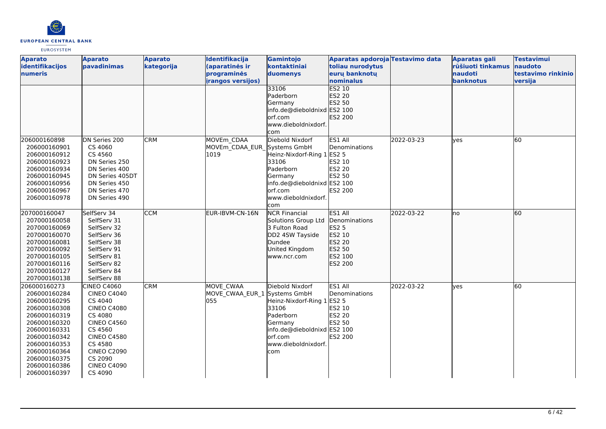

| <b>Aparato</b><br>identifikacijos | <b>Aparato</b><br>pavadinimas | <b>Aparato</b><br>kategorija | Identifikacija<br>(aparatinės ir | Gamintojo<br>kontaktiniai   | Aparatas apdoroja Testavimo data<br>toliau nurodytus |            | <b>Aparatas gali</b><br>rūšiuoti tinkamus | <b>Testavimui</b><br>naudoto |
|-----------------------------------|-------------------------------|------------------------------|----------------------------------|-----------------------------|------------------------------------------------------|------------|-------------------------------------------|------------------------------|
| numeris                           |                               |                              | programinės                      | duomenys                    | euru banknotu                                        |            | naudoti                                   | testavimo rinkinio           |
|                                   |                               |                              | <i>irangos versijos)</i>         |                             | nominalus                                            |            | banknotus                                 | versija                      |
|                                   |                               |                              |                                  | 33106                       | <b>ES2 10</b>                                        |            |                                           |                              |
|                                   |                               |                              |                                  | Paderborn                   | ES2 20                                               |            |                                           |                              |
|                                   |                               |                              |                                  | Germany                     | ES2 50                                               |            |                                           |                              |
|                                   |                               |                              |                                  | info.de@dieboldnixd ES2 100 |                                                      |            |                                           |                              |
|                                   |                               |                              |                                  | orf.com                     | ES2 200                                              |            |                                           |                              |
|                                   |                               |                              |                                  | www.dieboldnixdorf.         |                                                      |            |                                           |                              |
|                                   |                               |                              |                                  | com                         |                                                      |            |                                           |                              |
| 206000160898                      | DN Series 200                 | <b>CRM</b>                   | MOVEm CDAA                       | Diebold Nixdorf             | ES1 All                                              | 2022-03-23 | <b>ves</b>                                | 60                           |
| 206000160901                      | CS 4060                       |                              | MOVEm CDAA EUR Systems GmbH      |                             | Denominations                                        |            |                                           |                              |
| 206000160912                      | CS 4560                       |                              | 1019                             | Heinz-Nixdorf-Ring 1 ES2 5  |                                                      |            |                                           |                              |
| 206000160923                      | DN Series 250                 |                              |                                  | 33106                       | ES2 10                                               |            |                                           |                              |
| 206000160934                      | DN Series 400                 |                              |                                  | Paderborn                   | <b>ES2 20</b>                                        |            |                                           |                              |
| 206000160945                      | DN Series 405DT               |                              |                                  | Germany                     | ES2 50                                               |            |                                           |                              |
| 206000160956                      | DN Series 450                 |                              |                                  | info.de@dieboldnixd ES2 100 |                                                      |            |                                           |                              |
| 206000160967                      | DN Series 470                 |                              |                                  | lorf.com                    | <b>ES2 200</b>                                       |            |                                           |                              |
| 206000160978                      | DN Series 490                 |                              |                                  | www.dieboldnixdorf.         |                                                      |            |                                           |                              |
|                                   |                               |                              |                                  | com                         |                                                      |            |                                           |                              |
| 207000160047                      | SelfServ 34                   | <b>CCM</b>                   | EUR-IBVM-CN-16N                  | <b>NCR Financial</b>        | ES1 All                                              | 2022-03-22 | Ino                                       | 60                           |
| 207000160058                      | SelfServ 31                   |                              |                                  | Solutions Group Ltd         | Denominations                                        |            |                                           |                              |
| 207000160069                      | SelfServ 32                   |                              |                                  | 3 Fulton Road               | <b>ES2 5</b>                                         |            |                                           |                              |
| 207000160070                      | SelfServ 36                   |                              |                                  | DD2 4SW Tayside             | ES2 10                                               |            |                                           |                              |
| 207000160081                      | SelfServ 38                   |                              |                                  | Dundee                      | ES2 20                                               |            |                                           |                              |
| 207000160092                      | SelfServ 91                   |                              |                                  | United Kingdom              | ES2 50                                               |            |                                           |                              |
| 207000160105                      | SelfServ 81                   |                              |                                  | www.ncr.com                 | ES2 100                                              |            |                                           |                              |
| 207000160116                      | SelfServ 82                   |                              |                                  |                             | ES2 200                                              |            |                                           |                              |
| 207000160127                      | SelfServ 84                   |                              |                                  |                             |                                                      |            |                                           |                              |
| 207000160138                      | SelfServ 88                   |                              |                                  |                             |                                                      |            |                                           |                              |
| 206000160273                      | CINEO C4060                   | <b>CRM</b>                   | MOVE CWAA                        | Diebold Nixdorf             | ES1 All                                              | 2022-03-22 | yes                                       | 60                           |
| 206000160284                      | <b>CINEO C4040</b>            |                              | MOVE_CWAA_EUR_1 Systems GmbH     |                             | Denominations                                        |            |                                           |                              |
| 206000160295                      | CS 4040                       |                              | 055                              | Heinz-Nixdorf-Ring 1 ES2 5  |                                                      |            |                                           |                              |
| 206000160308                      | <b>CINEO C4080</b>            |                              |                                  | 33106                       | ES2 10                                               |            |                                           |                              |
| 206000160319                      | CS 4080                       |                              |                                  | Paderborn                   | <b>ES2 20</b>                                        |            |                                           |                              |
| 206000160320                      | <b>CINEO C4560</b>            |                              |                                  | Germany                     | ES2 50                                               |            |                                           |                              |
| 206000160331                      | CS 4560                       |                              |                                  | info.de@dieboldnixd ES2 100 |                                                      |            |                                           |                              |
| 206000160342                      | <b>CINEO C4580</b>            |                              |                                  | orf.com                     | ES2 200                                              |            |                                           |                              |
| 206000160353                      | CS 4580                       |                              |                                  | www.dieboldnixdorf.         |                                                      |            |                                           |                              |
| 206000160364                      | <b>CINEO C2090</b>            |                              |                                  | com                         |                                                      |            |                                           |                              |
| 206000160375                      | CS 2090                       |                              |                                  |                             |                                                      |            |                                           |                              |
| 206000160386                      | <b>CINEO C4090</b>            |                              |                                  |                             |                                                      |            |                                           |                              |
| 206000160397                      | CS 4090                       |                              |                                  |                             |                                                      |            |                                           |                              |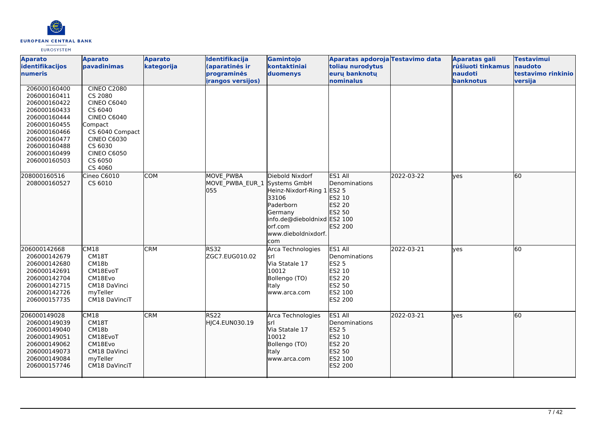

| <b>Aparato</b><br>identifikacijos<br>numeris                                                                                                                                 | <b>Aparato</b><br>pavadinimas                                                                                                                                                                   | <b>Aparato</b><br>kategorija | Identifikacija<br>(aparatinės ir<br>programinės<br>irangos versijos) | Gamintojo<br>kontaktiniai<br>duomenys                                                                                                            | Aparatas apdoroja Testavimo data<br>toliau nurodytus<br>eurų banknotų<br>nominalus                  |            | <b>Aparatas gali</b><br>rūšiuoti tinkamus<br>naudoti<br>banknotus | <b>Testavimui</b><br>naudoto<br>testavimo rinkinio<br>versija |
|------------------------------------------------------------------------------------------------------------------------------------------------------------------------------|-------------------------------------------------------------------------------------------------------------------------------------------------------------------------------------------------|------------------------------|----------------------------------------------------------------------|--------------------------------------------------------------------------------------------------------------------------------------------------|-----------------------------------------------------------------------------------------------------|------------|-------------------------------------------------------------------|---------------------------------------------------------------|
| 206000160400<br>206000160411<br>206000160422<br>206000160433<br>206000160444<br>206000160455<br>206000160466<br>206000160477<br>206000160488<br>206000160499<br>206000160503 | <b>CINEO C2080</b><br>CS 2080<br><b>CINEO C6040</b><br>CS 6040<br><b>CINEO C6040</b><br>Compact<br>CS 6040 Compact<br><b>CINEO C6030</b><br>CS 6030<br><b>CINEO C6050</b><br>CS 6050<br>CS 4060 |                              |                                                                      |                                                                                                                                                  |                                                                                                     |            |                                                                   |                                                               |
| 208000160516<br>208000160527                                                                                                                                                 | Cineo C6010<br>CS 6010                                                                                                                                                                          | <b>COM</b>                   | MOVE PWBA<br>MOVE PWBA EUR 1 Systems GmbH<br>055                     | Diebold Nixdorf<br>Heinz-Nixdorf-Ring 1<br>33106<br>Paderborn<br>Germany<br>info.de@dieboldnixd ES2 100<br>orf.com<br>www.dieboldnixdorf.<br>com | ES1 All<br>Denominations<br>ES2 5<br>ES2 10<br>ES2 20<br>ES2 50<br>ES2 200                          | 2022-03-22 | lyes                                                              | 60                                                            |
| 206000142668<br>206000142679<br>206000142680<br>206000142691<br>206000142704<br>206000142715<br>206000142726<br>206000157735                                                 | CM18<br>CM18T<br>CM18b<br>CM18EvoT<br>CM18Evo<br>CM18 DaVinci<br>myTeller<br>CM18 DaVinciT                                                                                                      | <b>CRM</b>                   | <b>RS32</b><br>ZGC7.EUG010.02                                        | Arca Technologies<br>lsrl<br>Via Statale 17<br>10012<br>Bollengo (TO)<br>Italy<br>www.arca.com                                                   | ES1 All<br>Denominations<br><b>ES2 5</b><br>ES2 10<br><b>ES2 20</b><br>ES2 50<br>ES2 100<br>ES2 200 | 2022-03-21 | ves                                                               | 60                                                            |
| 206000149028<br>206000149039<br>206000149040<br>206000149051<br>206000149062<br>206000149073<br>206000149084<br>206000157746                                                 | CM18<br>CM18T<br>CM18b<br>CM18EvoT<br>CM18Evo<br>CM18 DaVinci<br>myTeller<br>CM18 DaVinciT                                                                                                      | <b>CRM</b>                   | RS22<br>HJC4.EUN030.19                                               | Arca Technologies<br>srl<br>Via Statale 17<br>10012<br>Bollengo (TO)<br>Italy<br>www.arca.com                                                    | ES1 All<br>Denominations<br><b>ES2 5</b><br>ES2 10<br>ES2 20<br>ES2 50<br>ES2 100<br>ES2 200        | 2022-03-21 | lyes                                                              | 60                                                            |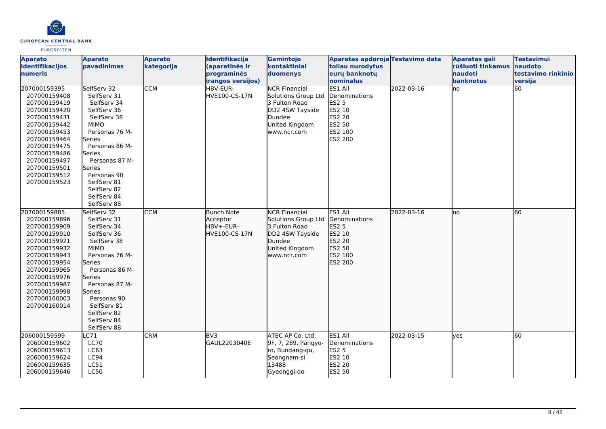

| <b>Aparato</b><br>identifikacijos<br>numeris<br>207000159395                                                                                                                                                                 | <b>Aparato</b><br>pavadinimas<br>SelfServ 32                                                                                                                                                                                                           | <b>Aparato</b><br>kategorija<br><b>CCM</b> | Identifikacija<br>(aparatinės ir<br>programinės<br><i>irangos versijos)</i><br>HBV-EUR- | Gamintojo<br>kontaktiniai<br>duomenys<br><b>NCR Financial</b>                                                              | Aparatas apdoroja Testavimo data<br>toliau nurodytus<br>eurų banknotų<br>nominalus<br>ES1 All | 2022-03-16 | Aparatas gali<br>rūšiuoti tinkamus<br><b>naudoti</b><br>banknotus<br>Ino | <b>Testavimui</b><br>naudoto<br>testavimo rinkinio<br>versija<br>$\overline{60}$ |
|------------------------------------------------------------------------------------------------------------------------------------------------------------------------------------------------------------------------------|--------------------------------------------------------------------------------------------------------------------------------------------------------------------------------------------------------------------------------------------------------|--------------------------------------------|-----------------------------------------------------------------------------------------|----------------------------------------------------------------------------------------------------------------------------|-----------------------------------------------------------------------------------------------|------------|--------------------------------------------------------------------------|----------------------------------------------------------------------------------|
| 207000159408<br>207000159419<br>207000159420<br>207000159431<br>207000159442<br>207000159453<br>207000159464<br>207000159475<br>207000159486<br>207000159497<br>207000159501<br>207000159512<br>207000159523                 | SelfServ 31<br>SelfServ 34<br>SelfServ 36<br>SelfServ 38<br><b>MIMO</b><br>Personas 76 M-<br>Series<br>Personas 86 M-<br>Series<br>Personas 87 M-<br>Series<br>Personas 90<br>SelfServ 81<br>SelfServ 82<br>SelfServ 84<br>SelfServ 88                 |                                            | HVE100-CS-17N                                                                           | Solutions Group Ltd<br>3 Fulton Road<br>DD2 4SW Tayside<br>Dundee<br>United Kingdom<br>www.ncr.com                         | Denominations<br>ES2 5<br>ES2 10<br><b>ES2 20</b><br>ES2 50<br>ES2 100<br><b>ES2 200</b>      |            |                                                                          |                                                                                  |
| 207000159885<br>207000159896<br>207000159909<br>207000159910<br>207000159921<br>207000159932<br>207000159943<br>207000159954<br>207000159965<br>207000159976<br>207000159987<br>207000159998<br>207000160003<br>207000160014 | SelfServ 32<br>SelfServ 31<br>SelfServ 34<br>SelfServ 36<br>SelfServ 38<br><b>MIMO</b><br>Personas 76 M-<br>Series<br>Personas 86 M-<br>lSeries<br>Personas 87 M-<br>Series<br>Personas 90<br>SelfServ 81<br>SelfServ 82<br>SelfServ 84<br>SelfServ 88 | <b>CCM</b>                                 | Bunch Note<br>Acceptor<br>HBV+-EUR-<br>HVE100-CS-17N                                    | <b>NCR Financial</b><br>Solutions Group Ltd<br>3 Fulton Road<br>DD2 4SW Tayside<br>Dundee<br>United Kingdom<br>www.ncr.com | ES1 All<br>Denominations<br>ES2 5<br>ES2 10<br>ES2 20<br>ES2 50<br>ES2 100<br>ES2 200         | 2022-03-16 | lno                                                                      | 60                                                                               |
| 206000159599<br>206000159602<br>206000159613<br>206000159624<br>206000159635<br>206000159646                                                                                                                                 | C71<br><b>LC70</b><br>LC63<br>LC94<br>LC51<br><b>LC50</b>                                                                                                                                                                                              | <b>CRM</b>                                 | BV3<br>GAUL2203040E                                                                     | ATEC AP Co. Ltd.<br>9F, 7, 289, Pangyo-<br>ro, Bundang-gu,<br>Seongnam-si<br>13488<br>Gyeonggi-do                          | ES1 All<br>Denominations<br><b>ES2 5</b><br>ES2 10<br>ES2 20<br>ES2 50                        | 2022-03-15 | lyes                                                                     | 60                                                                               |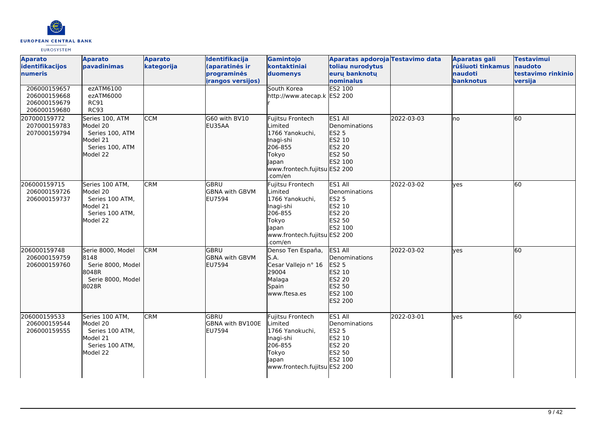

| <b>Aparato</b><br>identifikacijos<br><b>Inumeris</b>         | <b>Aparato</b><br><b>pavadinimas</b>                                                      | <b>Aparato</b><br>kategorija | Identifikacija<br>(aparatinės ir<br>programinės<br><i>irangos versijos)</i> | Gamintojo<br>kontaktiniai<br>duomenys                                                                                                      | Aparatas apdoroja Testavimo data<br>toliau nurodytus<br>euru banknotu<br>nominalus       |            | <b>Aparatas gali</b><br>rūšiuoti tinkamus<br>naudoti<br>banknotus | <b>Testavimui</b><br>naudoto<br>testavimo rinkinio<br>versija |
|--------------------------------------------------------------|-------------------------------------------------------------------------------------------|------------------------------|-----------------------------------------------------------------------------|--------------------------------------------------------------------------------------------------------------------------------------------|------------------------------------------------------------------------------------------|------------|-------------------------------------------------------------------|---------------------------------------------------------------|
| 206000159657<br>206000159668<br>206000159679<br>206000159680 | ezATM6100<br>ezATM6000<br><b>RC91</b><br><b>RC93</b>                                      |                              |                                                                             | South Korea<br>http://www.atecap.k ES2 200                                                                                                 | <b>ES2 100</b>                                                                           |            |                                                                   |                                                               |
| 207000159772<br>207000159783<br>207000159794                 | Series 100, ATM<br>Model 20<br>Series 100, ATM<br>Model 21<br>Series 100, ATM<br>Model 22 | <b>CCM</b>                   | G60 with BV10<br>EU35AA                                                     | <b>Fujitsu Frontech</b><br>Limited<br>1766 Yanokuchi,<br>Inagi-shi<br>206-855<br>Tokyo<br>Japan<br>www.frontech.fujitsu ES2 200<br>.com/en | ES1 All<br><b>Denominations</b><br>ES2 5<br>ES2 10<br>ES2 20<br>ES2 50<br>ES2 100        | 2022-03-03 | Ino                                                               | 60                                                            |
| 206000159715<br>206000159726<br>206000159737                 | Series 100 ATM,<br>Model 20<br>Series 100 ATM,<br>Model 21<br>Series 100 ATM,<br>Model 22 | <b>CRM</b>                   | GBRU<br><b>GBNA with GBVM</b><br><b>EU7594</b>                              | Fujitsu Frontech<br>Limited<br>1766 Yanokuchi,<br>Inagi-shi<br>206-855<br>Tokyo<br>Japan<br>www.frontech.fujitsu ES2 200<br>.com/en        | ES1 All<br>Denominations<br><b>ES2 5</b><br>ES2 10<br><b>ES2 20</b><br>ES2 50<br>ES2 100 | 2022-03-02 | ves                                                               | 60                                                            |
| 206000159748<br>206000159759<br>206000159760                 | Serie 8000, Model<br>8148<br>Serie 8000, Model<br>8048R<br>Serie 8000, Model<br>8028R     | <b>CRM</b>                   | lgbru<br><b>GBNA with GBVM</b><br><b>EU7594</b>                             | Denso Ten España,<br>S.A.<br>Cesar Vallejo nº 16<br>29004<br>Malaga<br>Spain<br>www.ftesa.es                                               | ES1 All<br>Denominations<br>ES2 5<br>ES2 10<br>ES2 20<br>ES2 50<br>ES2 100<br>ES2 200    | 2022-03-02 | lyes                                                              | l60                                                           |
| 206000159533<br>206000159544<br>206000159555                 | Series 100 ATM,<br>Model 20<br>Series 100 ATM,<br>Model 21<br>Series 100 ATM,<br>Model 22 | <b>CRM</b>                   | lgbru<br>GBNA with BV100E<br><b>EU7594</b>                                  | Fujitsu Frontech<br>Limited<br>1766 Yanokuchi,<br>Inagi-shi<br>206-855<br>Tokyo<br>Japan<br>www.frontech.fujitsu ES2 200                   | ES1 All<br>Denominations<br><b>ES2 5</b><br>ES2 10<br>ES2 20<br>ES2 50<br>ES2 100        | 2022-03-01 | yes                                                               | 60                                                            |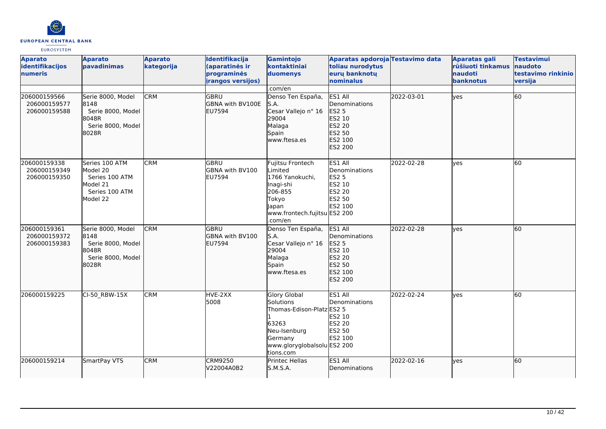

| <b>Aparato</b><br>identifikacijos<br><b>numeris</b> | <b>Aparato</b><br>pavadinimas                                                          | <b>Aparato</b><br>kategorija | Identifikacija<br>(aparatinės ir<br>programinės<br><i>irangos versijos)</i> | Gamintojo<br>kontaktiniai<br>duomenys                                                                                                         | Aparatas apdoroja Testavimo data<br>toliau nurodytus<br>euru banknotu<br>nominalus       |            | <b>Aparatas gali</b><br>rūšiuoti tinkamus<br>naudoti<br>banknotus | <b>Testavimui</b><br>naudoto<br>testavimo rinkinio<br>versija |
|-----------------------------------------------------|----------------------------------------------------------------------------------------|------------------------------|-----------------------------------------------------------------------------|-----------------------------------------------------------------------------------------------------------------------------------------------|------------------------------------------------------------------------------------------|------------|-------------------------------------------------------------------|---------------------------------------------------------------|
|                                                     |                                                                                        |                              |                                                                             | .com/en                                                                                                                                       |                                                                                          |            |                                                                   |                                                               |
| 206000159566<br>206000159577<br>206000159588        | Serie 8000, Model<br>8148<br>Serie 8000, Model<br>8048R<br>Serie 8000, Model<br>8028R  | <b>CRM</b>                   | GBRU<br><b>GBNA with BV100E</b><br>EU7594                                   | Denso Ten España,<br>S.A.<br>Cesar Vallejo nº 16<br>29004<br>Malaga<br>Spain<br>www.ftesa.es                                                  | ES1 All<br>Denominations<br>ES2 5<br>ES2 10<br>ES2 20<br>ES2 50<br>ES2 100<br>ES2 200    | 2022-03-01 | lves                                                              | 60                                                            |
| 206000159338<br>206000159349<br>206000159350        | Series 100 ATM<br>Model 20<br>Series 100 ATM<br>Model 21<br>Series 100 ATM<br>Model 22 | <b>CRM</b>                   | lgbru<br><b>GBNA with BV100</b><br>EU7594                                   | Fujitsu Frontech<br>Limited<br>1766 Yanokuchi,<br>Inagi-shi<br>206-855<br>Tokyo<br>Japan<br>www.frontech.fujitsu ES2 200<br>.com/en           | ES1 All<br>Denominations<br><b>ES2 5</b><br>ES2 10<br><b>ES2 20</b><br>ES2 50<br>ES2 100 | 2022-02-28 | lves                                                              | 60                                                            |
| 206000159361<br>206000159372<br>206000159383        | Serie 8000, Model<br>8148<br>Serie 8000, Model<br>8048R<br>Serie 8000, Model<br>8028R  | <b>CRM</b>                   | <b>GBRU</b><br>GBNA with BV100<br><b>EU7594</b>                             | Denso Ten España,<br>S.A.<br>Cesar Vallejo nº 16<br>29004<br>Malaga<br>Spain<br>www.ftesa.es                                                  | ES1 All<br>Denominations<br>ES2 5<br>ES2 10<br>ES2 20<br>ES2 50<br>ES2 100<br>ES2 200    | 2022-02-28 | lyes                                                              | 60                                                            |
| 206000159225                                        | CI-50 RBW-15X                                                                          | <b>CRM</b>                   | HVE-2XX<br>5008                                                             | <b>Glory Global</b><br>Solutions<br>Thomas-Edison-Platz ES2 5<br>63263<br>Neu-Isenburg<br>Germany<br>www.gloryglobalsolu ES2 200<br>tions.com | ES1 All<br>Denominations<br>ES2 10<br>ES2 20<br><b>ES2 50</b><br>ES2 100                 | 2022-02-24 | <b>l</b> ves                                                      | 60                                                            |
| 206000159214                                        | SmartPay VTS                                                                           | <b>CRM</b>                   | <b>CRM9250</b><br>V22004A0B2                                                | Printec Hellas<br>S.M.S.A.                                                                                                                    | ES1 All<br>Denominations                                                                 | 2022-02-16 | lves                                                              | 60                                                            |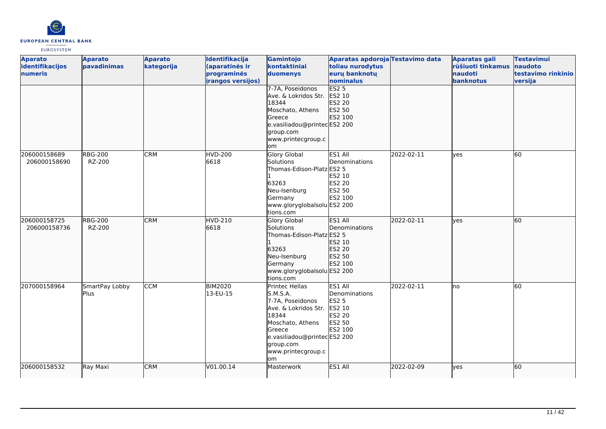

| <b>Aparato</b>  | <b>Aparato</b> | <b>Aparato</b> | Identifikacija           | Gamintojo                   | Aparatas apdoroja Testavimo data |            | <b>Aparatas gali</b> | <b>Testavimui</b>  |
|-----------------|----------------|----------------|--------------------------|-----------------------------|----------------------------------|------------|----------------------|--------------------|
| identifikacijos | pavadinimas    | kategorija     | (aparatinės ir           | kontaktiniai                | toliau nurodytus                 |            | rūšiuoti tinkamus    | naudoto            |
| numeris         |                |                | programinės              | duomenys                    | eurų banknotų                    |            | naudoti              | testavimo rinkinio |
|                 |                |                | <i>irangos versijos)</i> |                             | nominalus                        |            | banknotus            | versija            |
|                 |                |                |                          | 7-7A, Poseidonos            | <b>ES2 5</b>                     |            |                      |                    |
|                 |                |                |                          | Ave. & Lokridos Str.        | ES2 10                           |            |                      |                    |
|                 |                |                |                          | 18344                       | ES2 20                           |            |                      |                    |
|                 |                |                |                          | Moschato, Athens            | ES2 50                           |            |                      |                    |
|                 |                |                |                          | Greece                      | ES2 100                          |            |                      |                    |
|                 |                |                |                          | e.vasiliadou@printecES2 200 |                                  |            |                      |                    |
|                 |                |                |                          | group.com                   |                                  |            |                      |                    |
|                 |                |                |                          | www.printecgroup.c          |                                  |            |                      |                    |
|                 |                |                |                          | om                          |                                  |            |                      |                    |
| 206000158689    | <b>RBG-200</b> | <b>CRM</b>     | <b>HVD-200</b>           | <b>Glory Global</b>         | ES1 All                          | 2022-02-11 | lves                 | 60                 |
| 206000158690    | RZ-200         |                | 6618                     | Solutions                   | Denominations                    |            |                      |                    |
|                 |                |                |                          | Thomas-Edison-Platz ES2 5   |                                  |            |                      |                    |
|                 |                |                |                          |                             | ES2 10                           |            |                      |                    |
|                 |                |                |                          | 63263                       | ES2 20                           |            |                      |                    |
|                 |                |                |                          | Neu-Isenburg                | ES2 50                           |            |                      |                    |
|                 |                |                |                          | Germany                     | ES2 100                          |            |                      |                    |
|                 |                |                |                          | www.gloryglobalsolu ES2 200 |                                  |            |                      |                    |
|                 |                |                |                          | tions.com                   |                                  |            |                      |                    |
| 206000158725    | <b>RBG-200</b> | <b>CRM</b>     | HVD-210                  | Glory Global                | ES1 All                          | 2022-02-11 | lyes                 | 60                 |
| 206000158736    | RZ-200         |                | 6618                     | Solutions                   | Denominations                    |            |                      |                    |
|                 |                |                |                          | Thomas-Edison-Platz ES2 5   |                                  |            |                      |                    |
|                 |                |                |                          |                             | ES2 10                           |            |                      |                    |
|                 |                |                |                          | 63263                       | ES2 20                           |            |                      |                    |
|                 |                |                |                          | Neu-Isenburg                | ES2 50                           |            |                      |                    |
|                 |                |                |                          | Germany                     | ES2 100                          |            |                      |                    |
|                 |                |                |                          | www.gloryglobalsolu ES2 200 |                                  |            |                      |                    |
|                 |                |                |                          | tions.com                   |                                  |            |                      |                    |
| 207000158964    | SmartPay Lobby | <b>CCM</b>     | <b>BIM2020</b>           | Printec Hellas              | ES1 All                          | 2022-02-11 | lno                  | 60                 |
|                 | Plus           |                | 13-EU-15                 | S.M.S.A.                    | Denominations                    |            |                      |                    |
|                 |                |                |                          | 7-7A, Poseidonos            | <b>ES2 5</b>                     |            |                      |                    |
|                 |                |                |                          | Ave. & Lokridos Str.        | ES2 10                           |            |                      |                    |
|                 |                |                |                          | 18344                       | ES2 20                           |            |                      |                    |
|                 |                |                |                          | Moschato, Athens            | ES2 50                           |            |                      |                    |
|                 |                |                |                          | <b>Greece</b>               | ES2 100                          |            |                      |                    |
|                 |                |                |                          | e.vasiliadou@printecES2 200 |                                  |            |                      |                    |
|                 |                |                |                          | group.com                   |                                  |            |                      |                    |
|                 |                |                |                          | www.printecgroup.c<br>om    |                                  |            |                      |                    |
|                 |                |                |                          |                             |                                  |            |                      |                    |
| 206000158532    | Ray Maxi       | <b>CRM</b>     | V01.00.14                | Masterwork                  | ES1 All                          | 2022-02-09 | lyes                 | 60                 |
|                 |                |                |                          |                             |                                  |            |                      |                    |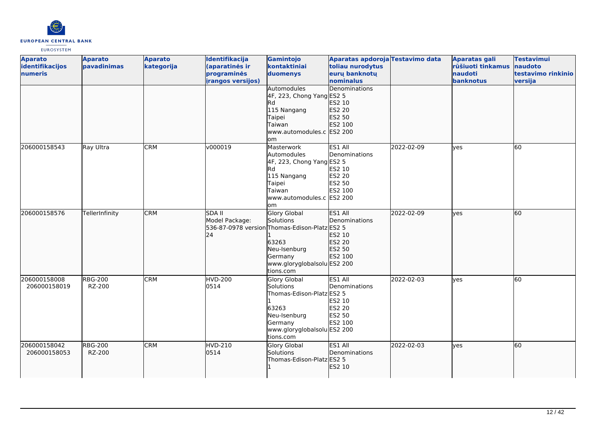

| <b>Aparato</b><br>identifikacijos<br>numeris | <b>Aparato</b><br>pavadinimas | <b>Aparato</b><br>kategorija | Identifikacija<br>(aparatinės ir<br>programinės<br>irangos versijos) | Gamintojo<br>kontaktiniai<br>duomenys                                                                                                                           | Aparatas apdoroja Testavimo data<br>toliau nurodytus<br>eurų banknotų<br>nominalus |            | <b>Aparatas gali</b><br>rūšiuoti tinkamus<br>naudoti<br>banknotus | <b>Testavimui</b><br>naudoto<br>testavimo rinkinio<br>versija |
|----------------------------------------------|-------------------------------|------------------------------|----------------------------------------------------------------------|-----------------------------------------------------------------------------------------------------------------------------------------------------------------|------------------------------------------------------------------------------------|------------|-------------------------------------------------------------------|---------------------------------------------------------------|
|                                              |                               |                              |                                                                      | Automodules<br>4F, 223, Chong Yang ES2 5<br>lRd<br>115 Nangang<br>Taipei<br>Taiwan<br>www.automodules.c ES2 200<br>lom                                          | Denominations<br>ES2 10<br>ES2 20<br>ES2 50<br>ES2 100                             |            |                                                                   |                                                               |
| 206000158543                                 | Ray Ultra                     | <b>CRM</b>                   | v000019                                                              | Masterwork<br>Automodules<br>4F, 223, Chong Yang ES2 5<br>Rd.<br>115 Nangang<br>Taipei<br>Taiwan<br>www.automodules.c ES2 200<br>lom                            | ES1 All<br>Denominations<br>ES2 10<br>ES2 20<br><b>ES2 50</b><br>ES2 100           | 2022-02-09 | ves                                                               | 60                                                            |
| 206000158576                                 | TellerInfinity                | <b>CRM</b>                   | <b>SDA II</b><br>Model Package:<br>24                                | <b>Glory Global</b><br>Solutions<br>536-87-0978 versionThomas-Edison-PlatzES2 5<br>63263<br>Neu-Isenburg<br>Germany<br>www.gloryglobalsolu ES2 200<br>tions.com | ES1 All<br>Denominations<br>ES2 10<br><b>ES2 20</b><br>ES2 50<br>ES2 100           | 2022-02-09 | lyes                                                              | 60                                                            |
| 206000158008<br>206000158019                 | <b>RBG-200</b><br>RZ-200      | <b>CRM</b>                   | <b>HVD-200</b><br>0514                                               | Glory Global<br>Solutions<br>Thomas-Edison-Platz ES2 5<br>63263<br>Neu-Isenburg<br>Germany<br>www.gloryglobalsolu ES2 200<br>tions.com                          | ES1 All<br>Denominations<br>ES2 10<br>ES2 20<br><b>ES2 50</b><br>ES2 100           | 2022-02-03 | ves                                                               | 60                                                            |
| 206000158042<br>206000158053                 | <b>RBG-200</b><br>RZ-200      | <b>CRM</b>                   | HVD-210<br>0514                                                      | Glory Global<br>Solutions<br>Thomas-Edison-Platz ES2 5                                                                                                          | <b>IES1 AII</b><br>Denominations<br>ES2 10                                         | 2022-02-03 | yes                                                               | 60                                                            |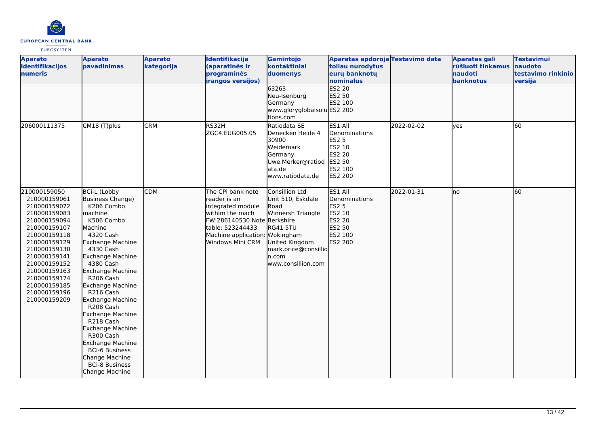

| <b>Aparato</b><br>identifikacijos<br><b>numeris</b>                                                                                                                                                                                                          | <b>Aparato</b><br>pavadinimas                                                                                                                                                                                                                                                                                                                                                                                                                                                                           | <b>Aparato</b><br>kategorija | Identifikacija<br>(aparatinės ir<br>programinės<br><i>irangos versijos)</i>                                                                                                        | Gamintojo<br>kontaktiniai<br>duomenys<br>63263<br>Neu-Isenburg<br>Germany<br>www.gloryglobalsolu ES2 200<br>tions.com                                        | Aparatas apdoroja Testavimo data<br>toliau nurodytus<br>euru banknotu<br>nominalus<br><b>ES2 20</b><br>ES2 50<br>ES2 100 |            | <b>Aparatas gali</b><br>rūšiuoti tinkamus<br><b>naudoti</b><br>banknotus | <b>Testavimui</b><br>naudoto<br>testavimo rinkinio<br>versija |
|--------------------------------------------------------------------------------------------------------------------------------------------------------------------------------------------------------------------------------------------------------------|---------------------------------------------------------------------------------------------------------------------------------------------------------------------------------------------------------------------------------------------------------------------------------------------------------------------------------------------------------------------------------------------------------------------------------------------------------------------------------------------------------|------------------------------|------------------------------------------------------------------------------------------------------------------------------------------------------------------------------------|--------------------------------------------------------------------------------------------------------------------------------------------------------------|--------------------------------------------------------------------------------------------------------------------------|------------|--------------------------------------------------------------------------|---------------------------------------------------------------|
| 206000111375                                                                                                                                                                                                                                                 | CM18 (T)plus                                                                                                                                                                                                                                                                                                                                                                                                                                                                                            | <b>CRM</b>                   | RS32H<br>ZGC4.EUG005.05                                                                                                                                                            | Ratiodata SE<br>Denecken Heide 4<br>30900<br>Weidemark<br>Germany<br>Uwe.Merker@ratiod<br>ata.de<br>www.ratiodata.de                                         | ES1 All<br>Denominations<br><b>ES2 5</b><br>ES2 10<br><b>ES2 20</b><br>ES2 50<br>ES2 100<br>ES2 200                      | 2022-02-02 | ves                                                                      | 60                                                            |
| 210000159050<br>210000159061<br>210000159072<br>210000159083<br>210000159094<br>210000159107<br>210000159118<br>210000159129<br>210000159130<br>210000159141<br>210000159152<br>210000159163<br>210000159174<br>210000159185<br>210000159196<br>210000159209 | BCi-L (Lobby<br>Business Change)<br>K206 Combo<br>lmachine<br>K506 Combo<br>Machine<br>4320 Cash<br>Exchange Machine<br>4330 Cash<br><b>Exchange Machine</b><br>4380 Cash<br>Exchange Machine<br>R <sub>206</sub> Cash<br><b>Exchange Machine</b><br>R216 Cash<br><b>Exchange Machine</b><br>R208 Cash<br><b>Exchange Machine</b><br>R218 Cash<br><b>Exchange Machine</b><br>R300 Cash<br><b>Exchange Machine</b><br><b>BCi-6 Business</b><br>Change Machine<br><b>BCi-8 Business</b><br>Change Machine | <b>CDM</b>                   | The CPi bank note<br>reader is an<br>integrated module<br>withim the mach<br>FW:286140530 Note Berkshire<br>table: 523244433<br>Machine application: Wokingham<br>Windows Mini CRM | Consillion Ltd<br>Unit 510, Eskdale<br>Road<br>Winnersh Triangle<br><b>RG41 5TU</b><br>United Kingdom<br>mark.price@consillio<br>n.com<br>www.consillion.com | ES1 All<br>Denominations<br>ES2 5<br>ES2 10<br>ES2 20<br>ES2 50<br>ES2 100<br>ES2 200                                    | 2022-01-31 | Ino                                                                      | 60                                                            |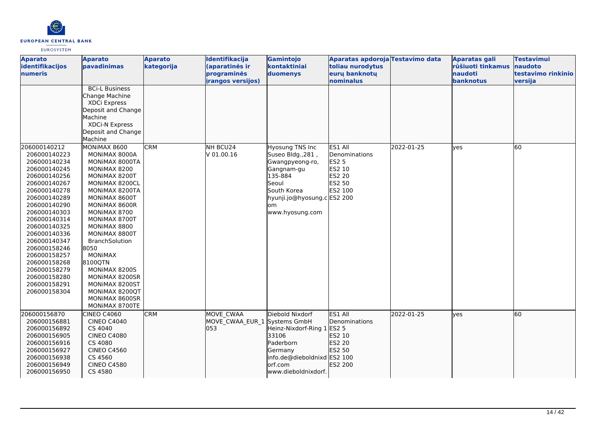

| <b>Aparato</b><br>identifikacijos<br><b>Inumeris</b>                                                                                                                                                         | <b>Aparato</b><br>pavadinimas                                                                                                                                                                                                                                                                                                                                                         | <b>Aparato</b><br>kategorija | Identifikacija<br>(aparatinės ir<br>programinės  | Gamintojo<br>kontaktiniai<br>duomenys                                                                                                                            | Aparatas apdoroja Testavimo data<br>toliau nurodytus<br>eurų banknotų             |            | <b>Aparatas gali</b><br>rūšiuoti tinkamus<br><b>naudoti</b> | <b>Testavimui</b><br>naudoto<br>testavimo rinkinio |
|--------------------------------------------------------------------------------------------------------------------------------------------------------------------------------------------------------------|---------------------------------------------------------------------------------------------------------------------------------------------------------------------------------------------------------------------------------------------------------------------------------------------------------------------------------------------------------------------------------------|------------------------------|--------------------------------------------------|------------------------------------------------------------------------------------------------------------------------------------------------------------------|-----------------------------------------------------------------------------------|------------|-------------------------------------------------------------|----------------------------------------------------|
|                                                                                                                                                                                                              |                                                                                                                                                                                                                                                                                                                                                                                       |                              | irangos versijos)                                |                                                                                                                                                                  | nominalus                                                                         |            | banknotus                                                   | versija                                            |
| 206000140212<br>206000140223<br>206000140234<br>206000140245<br>206000140256<br>206000140267<br>206000140278<br>206000140289<br>206000140290<br>206000140303<br>206000140314<br>206000140325<br>206000140336 | <b>BCi-L Business</b><br>Change Machine<br>XDCi Express<br>Deposit and Change<br><b>Machine</b><br><b>XDCi-N Express</b><br>Deposit and Change<br>Machine<br>MONIMAX 8600<br>MONIMAX 8000A<br>MONIMAX 8000TA<br>MONIMAX 8200<br>MONIMAX 8200T<br>MONIMAX 8200CL<br>MONIMAX 8200TA<br>MONIMAX 8600T<br>MONIMAX 8600R<br>MONIMAX 8700<br>MONIMAX 8700T<br>MONIMAX 8800<br>MONIMAX 8800T | <b>CRM</b>                   | NH BCU24<br>V 01.00.16                           | Hyosung TNS Inc<br>Suseo Bldg., 281,<br>Gwangpyeong-ro,<br>Gangnam-gu<br>135-884<br>Seoul<br>South Korea<br>hyunji.jo@hyosung.c ES2 200<br>om<br>www.hyosung.com | ES1 All<br>Denominations<br><b>ES2 5</b><br>ES2 10<br>ES2 20<br>ES2 50<br>ES2 100 | 2022-01-25 | <b>ves</b>                                                  | 60                                                 |
| 206000140347<br>206000158246<br>206000158257<br>206000158268<br>206000158279<br>206000158280<br>206000158291<br>206000158304                                                                                 | <b>BranchSolution</b><br>8050<br><b>MONIMAX</b><br>8100QTN<br>MONIMAX 8200S<br>MONIMAX 8200SR<br>MONIMAX 8200ST<br>MONIMAX 8200QT<br>MONIMAX 8600SR<br>MONIMAX 8700TE                                                                                                                                                                                                                 |                              |                                                  |                                                                                                                                                                  |                                                                                   |            |                                                             |                                                    |
| 206000156870<br>206000156881<br>206000156892<br>206000156905<br>206000156916<br>206000156927<br>206000156938<br>206000156949<br>206000156950                                                                 | <b>CINEO C4060</b><br><b>CINEO C4040</b><br>CS 4040<br><b>CINEO C4080</b><br>CS 4080<br><b>CINEO C4560</b><br>CS 4560<br><b>CINEO C4580</b><br>CS 4580                                                                                                                                                                                                                                | <b>CRM</b>                   | MOVE CWAA<br>MOVE CWAA EUR 1 Systems GmbH<br>053 | Diebold Nixdorf<br>Heinz-Nixdorf-Ring 1<br>33106<br>Paderborn<br>Germany<br>info.de@dieboldnixd ES2 100<br>orf.com<br>www.dieboldnixdorf.                        | <b>ES1 All</b><br>Denominations<br>ES2 5<br>ES2 10<br>ES2 20<br>ES2 50<br>ES2 200 | 2022-01-25 | lves                                                        | 60                                                 |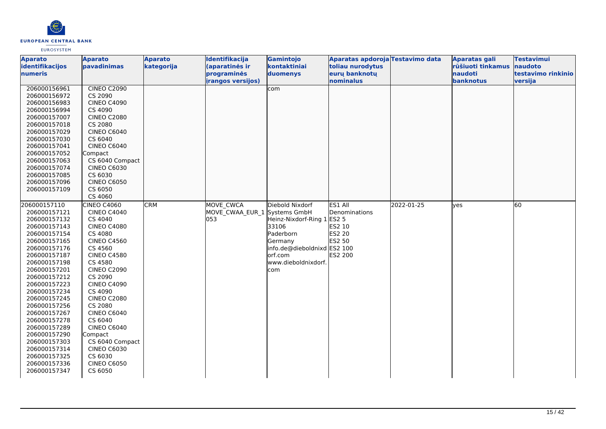

| <b>Aparato</b>               | <b>Aparato</b>                | <b>Aparato</b> | Identifikacija               | Gamintojo                   | Aparatas apdoroja Testavimo data |            | <b>Aparatas gali</b> | <b>Testavimui</b>  |
|------------------------------|-------------------------------|----------------|------------------------------|-----------------------------|----------------------------------|------------|----------------------|--------------------|
| identifikacijos              | pavadinimas                   | kategorija     | (aparatinės ir               | kontaktiniai                | toliau nurodytus                 |            | rūšiuoti tinkamus    | naudoto            |
| numeris                      |                               |                | programinės                  | duomenys                    | eurų banknotų                    |            | naudoti              | testavimo rinkinio |
|                              |                               |                | <i>irangos versijos)</i>     |                             | nominalus                        |            | banknotus            | versija            |
| 206000156961                 | <b>CINEO C2090</b>            |                |                              | com                         |                                  |            |                      |                    |
| 206000156972                 | CS 2090                       |                |                              |                             |                                  |            |                      |                    |
| 206000156983                 | <b>CINEO C4090</b>            |                |                              |                             |                                  |            |                      |                    |
| 206000156994                 | CS 4090                       |                |                              |                             |                                  |            |                      |                    |
| 206000157007                 | <b>CINEO C2080</b>            |                |                              |                             |                                  |            |                      |                    |
| 206000157018                 | CS 2080                       |                |                              |                             |                                  |            |                      |                    |
| 206000157029<br>206000157030 | <b>CINEO C6040</b><br>CS 6040 |                |                              |                             |                                  |            |                      |                    |
| 206000157041                 | <b>CINEO C6040</b>            |                |                              |                             |                                  |            |                      |                    |
| 206000157052                 | Compact                       |                |                              |                             |                                  |            |                      |                    |
| 206000157063                 | CS 6040 Compact               |                |                              |                             |                                  |            |                      |                    |
| 206000157074                 | <b>CINEO C6030</b>            |                |                              |                             |                                  |            |                      |                    |
| 206000157085                 | CS 6030                       |                |                              |                             |                                  |            |                      |                    |
| 206000157096                 | <b>CINEO C6050</b>            |                |                              |                             |                                  |            |                      |                    |
| 206000157109                 | CS 6050                       |                |                              |                             |                                  |            |                      |                    |
|                              | CS 4060                       |                |                              |                             |                                  |            |                      |                    |
| 206000157110                 | CINEO C4060                   | <b>CRM</b>     | <b>MOVE CWCA</b>             | Diebold Nixdorf             | ES1 All                          | 2022-01-25 | lyes                 | 60                 |
| 206000157121                 | <b>CINEO C4040</b>            |                | MOVE CWAA EUR 1 Systems GmbH |                             | Denominations                    |            |                      |                    |
| 206000157132                 | CS 4040                       |                | 053                          | Heinz-Nixdorf-Ring 1 ES2 5  |                                  |            |                      |                    |
| 206000157143                 | <b>CINEO C4080</b>            |                |                              | 33106                       | ES2 10                           |            |                      |                    |
| 206000157154                 | CS 4080                       |                |                              | Paderborn                   | <b>ES2 20</b>                    |            |                      |                    |
| 206000157165                 | <b>CINEO C4560</b>            |                |                              | Germany                     | ES2 50                           |            |                      |                    |
| 206000157176                 | CS 4560                       |                |                              | info.de@dieboldnixd ES2 100 |                                  |            |                      |                    |
| 206000157187                 | <b>CINEO C4580</b>            |                |                              | orf.com                     | ES2 200                          |            |                      |                    |
| 206000157198                 | CS 4580                       |                |                              | www.dieboldnixdorf.         |                                  |            |                      |                    |
| 206000157201                 | <b>CINEO C2090</b>            |                |                              | com                         |                                  |            |                      |                    |
| 206000157212                 | CS 2090                       |                |                              |                             |                                  |            |                      |                    |
| 206000157223                 | <b>CINEO C4090</b>            |                |                              |                             |                                  |            |                      |                    |
| 206000157234                 | CS 4090                       |                |                              |                             |                                  |            |                      |                    |
| 206000157245                 | <b>CINEO C2080</b>            |                |                              |                             |                                  |            |                      |                    |
| 206000157256                 | CS 2080                       |                |                              |                             |                                  |            |                      |                    |
| 206000157267                 | <b>CINEO C6040</b>            |                |                              |                             |                                  |            |                      |                    |
| 206000157278                 | CS 6040                       |                |                              |                             |                                  |            |                      |                    |
| 206000157289                 | <b>CINEO C6040</b>            |                |                              |                             |                                  |            |                      |                    |
| 206000157290                 | Compact                       |                |                              |                             |                                  |            |                      |                    |
| 206000157303                 | CS 6040 Compact               |                |                              |                             |                                  |            |                      |                    |
| 206000157314                 | <b>CINEO C6030</b>            |                |                              |                             |                                  |            |                      |                    |
| 206000157325                 | CS 6030                       |                |                              |                             |                                  |            |                      |                    |
| 206000157336                 | <b>CINEO C6050</b>            |                |                              |                             |                                  |            |                      |                    |
| 206000157347                 | CS 6050                       |                |                              |                             |                                  |            |                      |                    |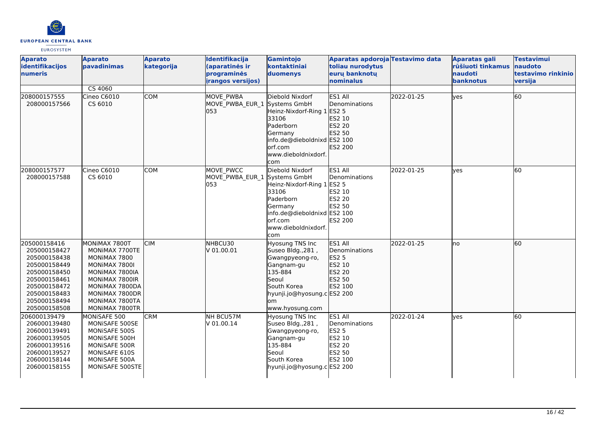

| <b>Aparato</b><br>identifikacijos<br>numeris                                                                                                                 | <b>Aparato</b><br><b>pavadinimas</b>                                                                                                                                         | <b>Aparato</b><br>kategorija | Identifikacija<br>(aparatinės ir<br>programinės<br><b>irangos versijos)</b> | Gamintojo<br>kontaktiniai<br>duomenys                                                                                                                                   | Aparatas apdoroja Testavimo data<br>toliau nurodytus<br>eurų banknotų<br>nominalus       |            | Aparatas gali<br>rūšiuoti tinkamus<br>naudoti<br>banknotus | <b>Testavimui</b><br>naudoto<br>testavimo rinkinio<br>versija |
|--------------------------------------------------------------------------------------------------------------------------------------------------------------|------------------------------------------------------------------------------------------------------------------------------------------------------------------------------|------------------------------|-----------------------------------------------------------------------------|-------------------------------------------------------------------------------------------------------------------------------------------------------------------------|------------------------------------------------------------------------------------------|------------|------------------------------------------------------------|---------------------------------------------------------------|
|                                                                                                                                                              | CS 4060                                                                                                                                                                      |                              |                                                                             |                                                                                                                                                                         |                                                                                          |            |                                                            |                                                               |
| 208000157555<br>208000157566                                                                                                                                 | Cineo C6010<br>CS 6010                                                                                                                                                       | <b>COM</b>                   | MOVE PWBA<br>MOVE PWBA EUR 1<br>053                                         | Diebold Nixdorf<br>Systems GmbH<br>Heinz-Nixdorf-Ring 1 ES2 5<br>33106<br>Paderborn<br>Germany<br>info.de@dieboldnixd ES2 100<br>lorf.com<br>www.dieboldnixdorf.<br>com | ES1 All<br>Denominations<br>ES2 10<br>ES2 20<br>ES2 50<br>ES2 200                        | 2022-01-25 | lves                                                       | 60                                                            |
| 208000157577<br>208000157588                                                                                                                                 | Cineo C6010<br>CS 6010                                                                                                                                                       | <b>COM</b>                   | MOVE PWCC<br>MOVE PWBA EUR 1 Systems GmbH<br>053                            | Diebold Nixdorf<br>Heinz-Nixdorf-Ring 1 ES2 5<br>33106<br>Paderborn<br>Germany<br>info.de@dieboldnixd ES2 100<br>orf.com<br>www.dieboldnixdorf.<br>com                  | ES1 All<br>Denominations<br>ES2 10<br><b>ES2 20</b><br><b>ES2 50</b><br><b>ES2 200</b>   | 2022-01-25 | lves                                                       | 60                                                            |
| 205000158416<br>205000158427<br>205000158438<br>205000158449<br>205000158450<br>205000158461<br>205000158472<br>205000158483<br>205000158494<br>205000158508 | MONIMAX 7800T<br>MONIMAX 7700TE<br>MONIMAX 7800<br>MONIMAX 7800I<br>MONIMAX 7800IA<br>MONIMAX 7800IR<br>MONIMAX 7800DA<br>MONIMAX 7800DR<br>MONIMAX 7800TA<br>MONIMAX 7800TR | <b>CIM</b>                   | NHBCU30<br>V 01.00.01                                                       | <b>Hyosung TNS Inc</b><br>Suseo Bldg., 281,<br>Gwangpyeong-ro,<br>Gangnam-gu<br>135-884<br>Seoul<br>South Korea<br>hyunji.jo@hyosung.c ES2 200<br>om<br>www.hyosung.com | ES1 All<br>Denominations<br><b>ES2 5</b><br>ES2 10<br>ES2 20<br>ES2 50<br>ES2 100        | 2022-01-25 | lno                                                        | 60                                                            |
| 206000139479<br>206000139480<br>206000139491<br>206000139505<br>206000139516<br>206000139527<br>206000158144<br>206000158155                                 | MONISAFE 500<br>MONISAFE 500SE<br>MONISAFE 500S<br>MONISAFE 500H<br>MONISAFE 500R<br>MONISAFE 610S<br>MONISAFE 500A<br>MONISAFE 500STE                                       | <b>CRM</b>                   | NH BCU57M<br>V 01.00.14                                                     | Hyosung TNS Inc<br>Suseo Bldg., 281,<br>Gwangpyeong-ro,<br>Gangnam-gu<br>135-884<br>Seoul<br>South Korea<br>hyunji.jo@hyosung.c ES2 200                                 | ES1 All<br>Denominations<br><b>ES2 5</b><br><b>ES2 10</b><br>ES2 20<br>ES2 50<br>ES2 100 | 2022-01-24 | <b>l</b> ves                                               | 60                                                            |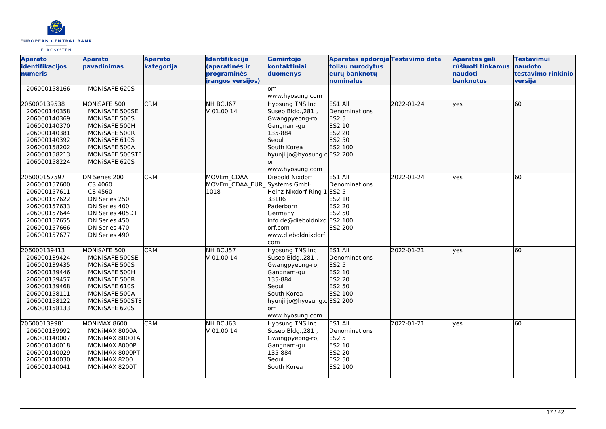

| <b>Aparato</b><br>identifikacijos<br>numeris                                                                                                 | <b>Aparato</b><br><b>pavadinimas</b>                                                                                                                    | <b>Aparato</b><br>kategorija | Identifikacija<br>(aparatinės ir<br>programinės   | Gamintojo<br>kontaktiniai<br>duomenys                                                                                                                                     | Aparatas apdoroja Testavimo data<br>toliau nurodytus<br>euru banknotu             |            | <b>Aparatas gali</b><br>rūšiuoti tinkamus<br>naudoti | <b>Testavimui</b><br>naudoto<br>testavimo rinkinio |
|----------------------------------------------------------------------------------------------------------------------------------------------|---------------------------------------------------------------------------------------------------------------------------------------------------------|------------------------------|---------------------------------------------------|---------------------------------------------------------------------------------------------------------------------------------------------------------------------------|-----------------------------------------------------------------------------------|------------|------------------------------------------------------|----------------------------------------------------|
|                                                                                                                                              |                                                                                                                                                         |                              | <b>irangos versijos)</b>                          |                                                                                                                                                                           | nominalus                                                                         |            | banknotus                                            | versija                                            |
| 206000158166                                                                                                                                 | MONISAFE 620S                                                                                                                                           |                              |                                                   | om.<br>www.hyosung.com                                                                                                                                                    |                                                                                   |            |                                                      |                                                    |
| 206000139538<br>206000140358<br>206000140369<br>206000140370<br>206000140381<br>206000140392<br>206000158202<br>206000158213<br>206000158224 | MONISAFE 500<br>MONISAFE 500SE<br>MONISAFE 500S<br>MONISAFE 500H<br>MONISAFE 500R<br>MONISAFE 610S<br>MONISAFE 500A<br>MONISAFE 500STE<br>MONISAFE 620S | <b>CRM</b>                   | NH BCU67<br>lv 01.00.14                           | <b>Hyosung TNS Inc</b><br>Suseo Bldg., 281,<br>Gwangpyeong-ro,<br>Gangnam-gu<br>135-884<br>Seoul<br>South Korea<br>hyunji.jo@hyosung.c ES2 200<br>om.                     | ES1 All<br>Denominations<br><b>ES2 5</b><br>ES2 10<br>ES2 20<br>ES2 50<br>ES2 100 | 2022-01-24 | yes                                                  | 60                                                 |
| 206000157597<br>206000157600<br>206000157611<br>206000157622<br>206000157633<br>206000157644<br>206000157655<br>206000157666<br>206000157677 | DN Series 200<br>CS 4060<br>CS 4560<br>DN Series 250<br>DN Series 400<br>DN Series 405DT<br>DN Series 450<br>DN Series 470<br>DN Series 490             | <b>CRM</b>                   | MOVEm CDAA<br>MOVEm CDAA EUR Systems GmbH<br>1018 | www.hyosung.com<br>Diebold Nixdorf<br>Heinz-Nixdorf-Ring 1<br>33106<br>Paderborn<br>Germany<br>info.de@dieboldnixd ES2 100<br>lorf.com<br>www.dieboldnixdorf.<br>com      | ES1 All<br>Denominations<br><b>ES2 5</b><br>ES2 10<br>ES2 20<br>ES2 50<br>ES2 200 | 2022-01-24 | yes                                                  | 60                                                 |
| 206000139413<br>206000139424<br>206000139435<br>206000139446<br>206000139457<br>206000139468<br>206000158111<br>206000158122<br>206000158133 | MONISAFE 500<br>MONISAFE 500SE<br>MONISAFE 500S<br>MONISAFE 500H<br>MONISAFE 500R<br>MONISAFE 610S<br>MONISAFE 500A<br>MONISAFE 500STE<br>MONISAFE 620S | <b>CRM</b>                   | NH BCU57<br>V 01.00.14                            | <b>Hyosung TNS Inc</b><br>Suseo Bldg., 281,<br>Gwangpyeong-ro,<br>Gangnam-gu<br>135-884<br>Seoul<br>South Korea<br>hyunji.jo@hyosung.c ES2 200<br>lom.<br>www.hyosung.com | ES1 All<br>Denominations<br><b>ES2 5</b><br>ES2 10<br>ES2 20<br>ES2 50<br>ES2 100 | 2022-01-21 | lves                                                 | 60                                                 |
| 206000139981<br>206000139992<br>206000140007<br>206000140018<br>206000140029<br>206000140030<br>206000140041                                 | MONIMAX 8600<br>MONIMAX 8000A<br>MONIMAX 8000TA<br>MONIMAX 8000P<br>MONIMAX 8000PT<br>MONIMAX 8200<br>MONIMAX 8200T                                     | <b>CRM</b>                   | NH BCU63<br>V 01.00.14                            | Hyosung TNS Inc<br>Suseo Bldg., 281,<br>Gwangpyeong-ro,<br>Gangnam-gu<br>135-884<br>Seoul<br>South Korea                                                                  | ES1 All<br>Denominations<br><b>ES2 5</b><br>ES2 10<br>ES2 20<br>ES2 50<br>ES2 100 | 2022-01-21 | yes                                                  | 60                                                 |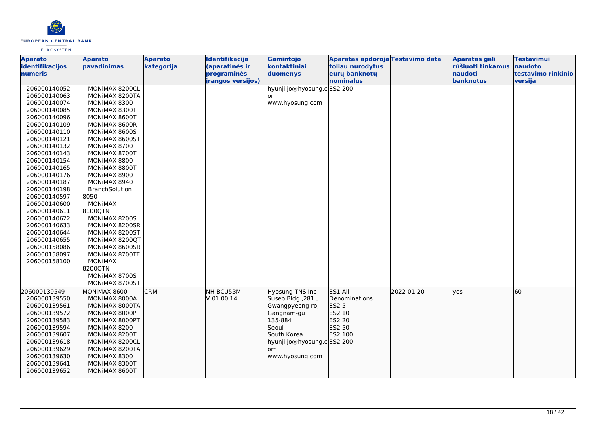

| <b>Aparato</b><br>identifikacijos<br>numeris | <b>Aparato</b><br>pavadinimas | <b>Aparato</b><br>kategorija | Identifikacija<br>(aparatinės ir<br>programinės | Gamintojo<br>kontaktiniai<br>duomenys | Aparatas apdoroja Testavimo data<br>toliau nurodytus<br>euru banknotu |            | <b>Aparatas gali</b><br>rūšiuoti tinkamus<br>naudoti | <b>Testavimui</b><br>naudoto<br>testavimo rinkinio |
|----------------------------------------------|-------------------------------|------------------------------|-------------------------------------------------|---------------------------------------|-----------------------------------------------------------------------|------------|------------------------------------------------------|----------------------------------------------------|
|                                              |                               |                              | <b>irangos versijos)</b>                        |                                       | nominalus                                                             |            | banknotus                                            | versija                                            |
| 206000140052                                 | MONIMAX 8200CL                |                              |                                                 | hyunji.jo@hyosung.cES2 200            |                                                                       |            |                                                      |                                                    |
| 206000140063                                 | MONIMAX 8200TA                |                              |                                                 | lom                                   |                                                                       |            |                                                      |                                                    |
| 206000140074                                 | MONIMAX 8300                  |                              |                                                 | www.hyosung.com                       |                                                                       |            |                                                      |                                                    |
| 206000140085                                 | MONIMAX 8300T                 |                              |                                                 |                                       |                                                                       |            |                                                      |                                                    |
| 206000140096                                 | MONIMAX 8600T                 |                              |                                                 |                                       |                                                                       |            |                                                      |                                                    |
| 206000140109                                 | MONIMAX 8600R                 |                              |                                                 |                                       |                                                                       |            |                                                      |                                                    |
| 206000140110                                 | MONIMAX 8600S                 |                              |                                                 |                                       |                                                                       |            |                                                      |                                                    |
| 206000140121                                 | MONIMAX 8600ST                |                              |                                                 |                                       |                                                                       |            |                                                      |                                                    |
| 206000140132                                 | MONIMAX 8700                  |                              |                                                 |                                       |                                                                       |            |                                                      |                                                    |
| 206000140143                                 | MONIMAX 8700T                 |                              |                                                 |                                       |                                                                       |            |                                                      |                                                    |
| 206000140154                                 | MONIMAX 8800                  |                              |                                                 |                                       |                                                                       |            |                                                      |                                                    |
| 206000140165                                 | MONIMAX 8800T                 |                              |                                                 |                                       |                                                                       |            |                                                      |                                                    |
| 206000140176                                 | MONIMAX 8900                  |                              |                                                 |                                       |                                                                       |            |                                                      |                                                    |
| 206000140187                                 | MONIMAX 8940                  |                              |                                                 |                                       |                                                                       |            |                                                      |                                                    |
| 206000140198                                 | <b>BranchSolution</b>         |                              |                                                 |                                       |                                                                       |            |                                                      |                                                    |
| 206000140597                                 | 8050                          |                              |                                                 |                                       |                                                                       |            |                                                      |                                                    |
| 206000140600                                 | <b>MONIMAX</b>                |                              |                                                 |                                       |                                                                       |            |                                                      |                                                    |
| 206000140611                                 | 8100QTN                       |                              |                                                 |                                       |                                                                       |            |                                                      |                                                    |
| 206000140622                                 | MONIMAX 8200S                 |                              |                                                 |                                       |                                                                       |            |                                                      |                                                    |
| 206000140633                                 | MONIMAX 8200SR                |                              |                                                 |                                       |                                                                       |            |                                                      |                                                    |
| 206000140644                                 | MONIMAX 8200ST                |                              |                                                 |                                       |                                                                       |            |                                                      |                                                    |
| 206000140655                                 | MONIMAX 8200QT                |                              |                                                 |                                       |                                                                       |            |                                                      |                                                    |
| 206000158086                                 | MONIMAX 8600SR                |                              |                                                 |                                       |                                                                       |            |                                                      |                                                    |
| 206000158097                                 | MONIMAX 8700TE                |                              |                                                 |                                       |                                                                       |            |                                                      |                                                    |
| 206000158100                                 | <b>MONIMAX</b>                |                              |                                                 |                                       |                                                                       |            |                                                      |                                                    |
|                                              | 8200QTN                       |                              |                                                 |                                       |                                                                       |            |                                                      |                                                    |
|                                              | MONIMAX 8700S                 |                              |                                                 |                                       |                                                                       |            |                                                      |                                                    |
|                                              | MONIMAX 8700ST                |                              |                                                 |                                       |                                                                       |            |                                                      |                                                    |
| 206000139549                                 | MONIMAX 8600                  | <b>CRM</b>                   | NH BCU53M                                       | <b>Hyosung TNS Inc</b>                | ES1 All                                                               | 2022-01-20 | lves                                                 | 60                                                 |
| 206000139550                                 | MONIMAX 8000A                 |                              | V 01.00.14                                      | Suseo Bldg., 281,                     | Denominations                                                         |            |                                                      |                                                    |
| 206000139561                                 | MONIMAX 8000TA                |                              |                                                 | Gwangpyeong-ro,                       | <b>ES2 5</b>                                                          |            |                                                      |                                                    |
| 206000139572                                 | MONIMAX 8000P                 |                              |                                                 | Gangnam-gu                            | ES2 10                                                                |            |                                                      |                                                    |
| 206000139583                                 | MONIMAX 8000PT                |                              |                                                 | 135-884                               | ES2 20                                                                |            |                                                      |                                                    |
| 206000139594                                 | MONIMAX 8200                  |                              |                                                 | Seoul                                 | ES2 50                                                                |            |                                                      |                                                    |
| 206000139607                                 | MONIMAX 8200T                 |                              |                                                 | South Korea                           | ES2 100                                                               |            |                                                      |                                                    |
| 206000139618                                 | MONIMAX 8200CL                |                              |                                                 | hyunji.jo@hyosung.c ES2 200           |                                                                       |            |                                                      |                                                    |
| 206000139629                                 | MONIMAX 8200TA                |                              |                                                 | om                                    |                                                                       |            |                                                      |                                                    |
| 206000139630                                 | MONIMAX 8300                  |                              |                                                 | www.hyosung.com                       |                                                                       |            |                                                      |                                                    |
| 206000139641                                 | MONIMAX 8300T                 |                              |                                                 |                                       |                                                                       |            |                                                      |                                                    |
| 206000139652                                 | MONIMAX 8600T                 |                              |                                                 |                                       |                                                                       |            |                                                      |                                                    |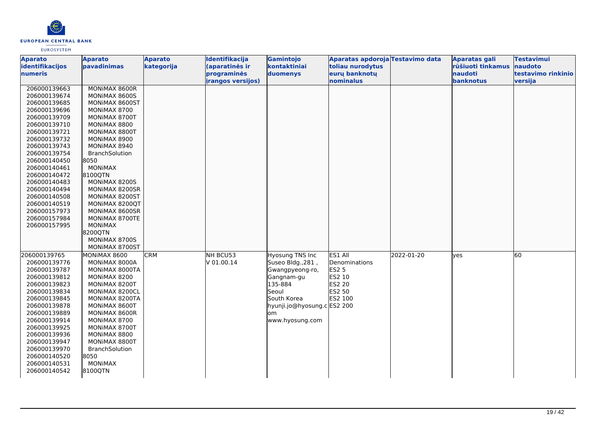

| <b>Aparato</b>               | <b>Aparato</b>                | <b>Aparato</b> | Identifikacija           | Gamintojo                   | Aparatas apdoroja Testavimo data |            | <b>Aparatas gali</b> | <b>Testavimui</b>  |
|------------------------------|-------------------------------|----------------|--------------------------|-----------------------------|----------------------------------|------------|----------------------|--------------------|
| identifikacijos              | pavadinimas                   | kategorija     | (aparatinės ir           | kontaktiniai                | toliau nurodytus                 |            | rūšiuoti tinkamus    | naudoto            |
| numeris                      |                               |                | programinės              | duomenys                    | euru banknotu                    |            | naudoti              | testavimo rinkinio |
|                              |                               |                | <i>irangos versijos)</i> |                             | nominalus                        |            | banknotus            | versija            |
| 206000139663                 | MONIMAX 8600R                 |                |                          |                             |                                  |            |                      |                    |
| 206000139674                 | MONIMAX 8600S                 |                |                          |                             |                                  |            |                      |                    |
| 206000139685                 | MONIMAX 8600ST                |                |                          |                             |                                  |            |                      |                    |
| 206000139696                 | MONIMAX 8700                  |                |                          |                             |                                  |            |                      |                    |
| 206000139709                 | MONIMAX 8700T                 |                |                          |                             |                                  |            |                      |                    |
| 206000139710                 | MONIMAX 8800                  |                |                          |                             |                                  |            |                      |                    |
| 206000139721                 | MONIMAX 8800T                 |                |                          |                             |                                  |            |                      |                    |
| 206000139732                 | MONIMAX 8900                  |                |                          |                             |                                  |            |                      |                    |
| 206000139743                 | MONIMAX 8940                  |                |                          |                             |                                  |            |                      |                    |
| 206000139754                 | BranchSolution                |                |                          |                             |                                  |            |                      |                    |
| 206000140450                 | 8050                          |                |                          |                             |                                  |            |                      |                    |
| 206000140461                 | <b>MONIMAX</b>                |                |                          |                             |                                  |            |                      |                    |
| 206000140472                 | 8100QTN                       |                |                          |                             |                                  |            |                      |                    |
| 206000140483                 | MONIMAX 8200S                 |                |                          |                             |                                  |            |                      |                    |
| 206000140494                 | MONIMAX 8200SR                |                |                          |                             |                                  |            |                      |                    |
| 206000140508                 | MONIMAX 8200ST                |                |                          |                             |                                  |            |                      |                    |
| 206000140519                 | MONIMAX 8200QT                |                |                          |                             |                                  |            |                      |                    |
| 206000157973                 | MONIMAX 8600SR                |                |                          |                             |                                  |            |                      |                    |
| 206000157984                 | MONIMAX 8700TE                |                |                          |                             |                                  |            |                      |                    |
| 206000157995                 | <b>MONIMAX</b>                |                |                          |                             |                                  |            |                      |                    |
|                              | 8200QTN                       |                |                          |                             |                                  |            |                      |                    |
|                              | MONIMAX 8700S                 |                |                          |                             |                                  |            |                      |                    |
|                              | MONIMAX 8700ST                |                |                          |                             |                                  |            |                      |                    |
| 206000139765                 | MONIMAX 8600                  | <b>CRM</b>     | NH BCU53                 | <b>Hyosung TNS Inc</b>      | ES1 All                          | 2022-01-20 | yes                  | 60                 |
| 206000139776                 | MONIMAX 8000A                 |                | V 01.00.14               | Suseo Bldg., 281,           | Denominations                    |            |                      |                    |
| 206000139787                 | MONIMAX 8000TA                |                |                          | Gwangpyeong-ro,             | <b>ES2 5</b><br>ES2 10           |            |                      |                    |
| 206000139812<br>206000139823 | MONIMAX 8200<br>MONIMAX 8200T |                |                          | Gangnam-gu<br>135-884       | ES2 20                           |            |                      |                    |
| 206000139834                 | MONIMAX 8200CL                |                |                          | Seoul                       | ES2 50                           |            |                      |                    |
| 206000139845                 | MONIMAX 8200TA                |                |                          | South Korea                 | ES2 100                          |            |                      |                    |
| 206000139878                 | MONIMAX 8600T                 |                |                          | hyunji.jo@hyosung.c ES2 200 |                                  |            |                      |                    |
| 206000139889                 | MONIMAX 8600R                 |                |                          | om                          |                                  |            |                      |                    |
| 206000139914                 | MONIMAX 8700                  |                |                          | www.hyosung.com             |                                  |            |                      |                    |
| 206000139925                 | MONIMAX 8700T                 |                |                          |                             |                                  |            |                      |                    |
| 206000139936                 | MONIMAX 8800                  |                |                          |                             |                                  |            |                      |                    |
| 206000139947                 | MONIMAX 8800T                 |                |                          |                             |                                  |            |                      |                    |
| 206000139970                 | <b>BranchSolution</b>         |                |                          |                             |                                  |            |                      |                    |
| 206000140520                 | 8050                          |                |                          |                             |                                  |            |                      |                    |
| 206000140531                 | <b>MONIMAX</b>                |                |                          |                             |                                  |            |                      |                    |
| 206000140542                 | 8100QTN                       |                |                          |                             |                                  |            |                      |                    |
|                              |                               |                |                          |                             |                                  |            |                      |                    |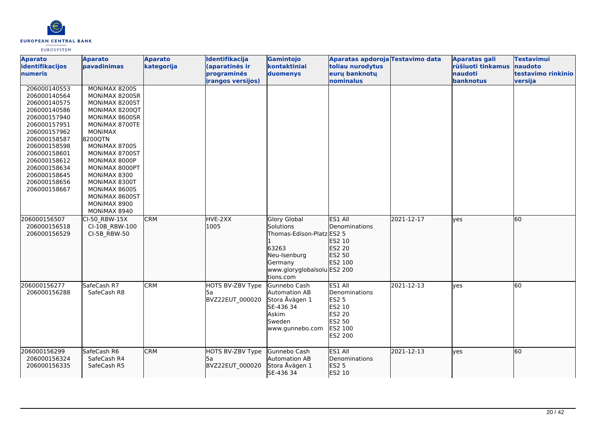

| <b>Aparato</b><br>identifikacijos<br>numeris                                                                                                                                                                                                 | <b>Aparato</b><br>pavadinimas                                                                                                                                                                                                                                                                                  | <b>Aparato</b><br>kategorija | Identifikacija<br>(aparatinės ir<br>programinės | Gamintojo<br>kontaktiniai<br>duomenys                                                                                                         | Aparatas apdoroja Testavimo data<br>toliau nurodytus<br>eurų banknotų                               |            | <b>Aparatas gali</b><br>rūšiuoti tinkamus<br>naudoti | <b>Testavimui</b><br>naudoto<br>testavimo rinkinio |
|----------------------------------------------------------------------------------------------------------------------------------------------------------------------------------------------------------------------------------------------|----------------------------------------------------------------------------------------------------------------------------------------------------------------------------------------------------------------------------------------------------------------------------------------------------------------|------------------------------|-------------------------------------------------|-----------------------------------------------------------------------------------------------------------------------------------------------|-----------------------------------------------------------------------------------------------------|------------|------------------------------------------------------|----------------------------------------------------|
|                                                                                                                                                                                                                                              |                                                                                                                                                                                                                                                                                                                |                              | irangos versijos)                               |                                                                                                                                               | nominalus                                                                                           |            | banknotus                                            | versija                                            |
| 206000140553<br>206000140564<br>206000140575<br>206000140586<br>206000157940<br>206000157951<br>206000157962<br>206000158587<br>206000158598<br>206000158601<br>206000158612<br>206000158634<br>206000158645<br>206000158656<br>206000158667 | MONIMAX 8200S<br>MONIMAX 8200SR<br>MONIMAX 8200ST<br>MONIMAX 8200QT<br>MONIMAX 8600SR<br>MONIMAX 8700TE<br><b>MONIMAX</b><br>8200QTN<br>MONIMAX 8700S<br>MONIMAX 8700ST<br>MONIMAX 8000P<br>MONIMAX 8000PT<br>MONIMAX 8300<br>MONIMAX 8300T<br>MONIMAX 8600S<br>MONIMAX 8600ST<br>MONIMAX 8900<br>MONIMAX 8940 |                              |                                                 |                                                                                                                                               |                                                                                                     |            |                                                      |                                                    |
| 206000156507<br>206000156518<br>206000156529                                                                                                                                                                                                 | CI-50 RBW-15X<br>CI-10B RBW-100<br>CI-5B RBW-50                                                                                                                                                                                                                                                                | <b>CRM</b>                   | HVE-2XX<br>1005                                 | <b>Glory Global</b><br>Solutions<br>Thomas-Edison-Platz ES2 5<br>63263<br>Neu-Isenburg<br>Germany<br>www.gloryglobalsolu ES2 200<br>tions.com | ES1 All<br>Denominations<br>ES2 10<br>ES2 20<br>ES2 50<br>ES2 100                                   | 2021-12-17 | lves                                                 | 60                                                 |
| 206000156277<br>206000156288                                                                                                                                                                                                                 | SafeCash R7<br>SafeCash R8                                                                                                                                                                                                                                                                                     | <b>CRM</b>                   | HOTS BV-ZBV Type<br>l5a<br>BVZ22EUT 000020      | Gunnebo Cash<br>Automation AB<br>Stora Åvägen 1<br>SE-436 34<br>Askim<br>Sweden<br>www.gunnebo.com                                            | ES1 All<br>Denominations<br><b>ES2 5</b><br>ES2 10<br>ES2 20<br><b>ES2 50</b><br>ES2 100<br>ES2 200 | 2021-12-13 | <b>ves</b>                                           | 60                                                 |
| 206000156299<br>206000156324<br>206000156335                                                                                                                                                                                                 | SafeCash R6<br>SafeCash R4<br>SafeCash R5                                                                                                                                                                                                                                                                      | <b>CRM</b>                   | HOTS BV-ZBV Type<br> 5a<br>BVZ22EUT 000020      | Gunnebo Cash<br>Automation AB<br>Stora Åvägen 1<br>SE-436 34                                                                                  | ES1 All<br>Denominations<br><b>ES2 5</b><br>ES2 10                                                  | 2021-12-13 | lves                                                 | 60                                                 |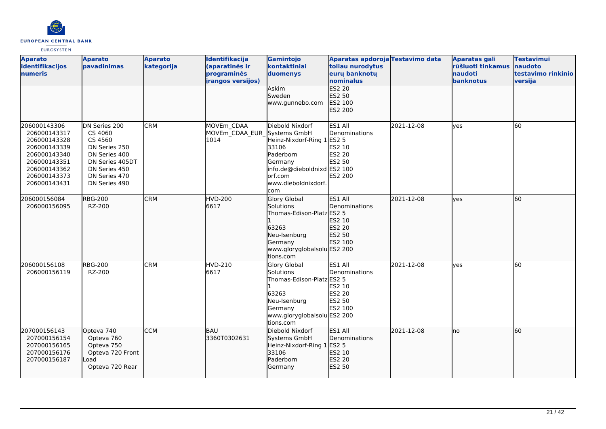

| <b>Aparato</b><br>identifikacijos<br>numeris                                                                                                 | <b>Aparato</b><br>pavadinimas                                                                                                               | <b>Aparato</b><br>kategorija | Identifikacija<br>(aparatinės ir<br>programinės<br>irangos versijos) | Gamintojo<br>kontaktiniai<br>duomenys<br>Askim<br>Sweden<br>www.gunnebo.com                                                                                       | Aparatas apdoroja Testavimo data<br>toliau nurodytus<br>euru banknotu<br>nominalus<br><b>ES2 20</b><br>ES2 50<br>ES2 100<br>ES2 200 |            | Aparatas gali<br>rūšiuoti tinkamus<br><b>naudoti</b><br>banknotus | <b>Testavimui</b><br>naudoto<br>testavimo rinkinio<br>versija |
|----------------------------------------------------------------------------------------------------------------------------------------------|---------------------------------------------------------------------------------------------------------------------------------------------|------------------------------|----------------------------------------------------------------------|-------------------------------------------------------------------------------------------------------------------------------------------------------------------|-------------------------------------------------------------------------------------------------------------------------------------|------------|-------------------------------------------------------------------|---------------------------------------------------------------|
| 206000143306<br>206000143317<br>206000143328<br>206000143339<br>206000143340<br>206000143351<br>206000143362<br>206000143373<br>206000143431 | DN Series 200<br>CS 4060<br>CS 4560<br>DN Series 250<br>DN Series 400<br>DN Series 405DT<br>DN Series 450<br>DN Series 470<br>DN Series 490 | <b>CRM</b>                   | MOVEm CDAA<br>MOVEm CDAA EUR<br>1014                                 | Diebold Nixdorf<br>Systems GmbH<br>Heinz-Nixdorf-Ring 1<br>33106<br>Paderborn<br>Germany<br>info.de@dieboldnixd ES2 100<br>lorf.com<br>www.dieboldnixdorf.<br>com | ES1 All<br>Denominations<br><b>ES2 5</b><br>ES2 10<br>ES2 20<br>ES2 50<br>ES2 200                                                   | 2021-12-08 | lyes                                                              | 60                                                            |
| 206000156084<br>206000156095                                                                                                                 | <b>RBG-200</b><br>RZ-200                                                                                                                    | <b>CRM</b>                   | HVD-200<br>6617                                                      | Glory Global<br>Solutions<br>Thomas-Edison-Platz ES2 5<br>63263<br>Neu-Isenburg<br>Germany<br>www.gloryglobalsolu ES2 200<br>tions.com                            | ES1 All<br>Denominations<br>ES2 10<br><b>ES2 20</b><br>ES2 50<br>ES2 100                                                            | 2021-12-08 | lves                                                              | 60                                                            |
| 206000156108<br>206000156119                                                                                                                 | <b>RBG-200</b><br>RZ-200                                                                                                                    | <b>CRM</b>                   | <b>HVD-210</b><br>6617                                               | Glory Global<br>Solutions<br>Thomas-Edison-Platz ES2 5<br>63263<br>Neu-Isenburg<br>Germany<br>www.gloryglobalsolu ES2 200<br>tions.com                            | ES1 All<br>Denominations<br>ES2 10<br><b>ES2 20</b><br>ES2 50<br>ES2 100                                                            | 2021-12-08 | yes                                                               | 60                                                            |
| 207000156143<br>207000156154<br>207000156165<br>207000156176<br>207000156187                                                                 | Opteva 740<br>Opteva 760<br>Opteva 750<br>Opteva 720 Front<br>Load<br>Opteva 720 Rear                                                       | <b>CCM</b>                   | BAU<br>3360T0302631                                                  | Diebold Nixdorf<br>Systems GmbH<br>Heinz-Nixdorf-Ring 1 ES2 5<br>33106<br>Paderborn<br>Germany                                                                    | ES1 All<br>Denominations<br>ES2 10<br>ES2 20<br>ES2 50                                                                              | 2021-12-08 | lno                                                               | 60                                                            |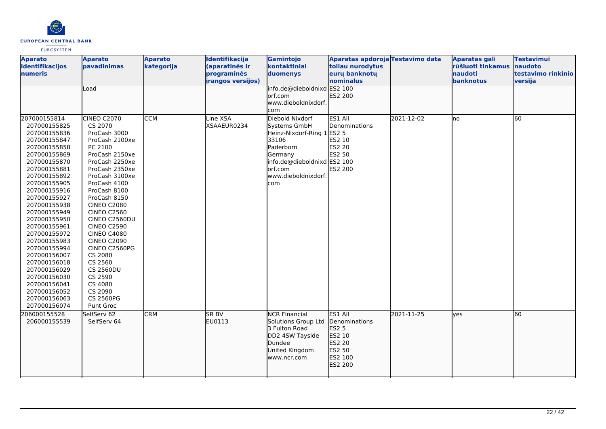

| <b>Aparato</b><br>identifikacijos<br>numeris                                                                                                                                                                                                                                                                                                                                                                                                 | <b>Aparato</b><br>pavadinimas<br>Load                                                                                                                                                                                                                                                                                                                                                                                                                   | <b>Aparato</b><br>kategorija | Identifikacija<br>(aparatinės ir<br>programinės<br><i>irangos versijos)</i> | Gamintojo<br>kontaktiniai<br>duomenys<br>info.de@dieboldnixd ES2 100<br>orf.com<br>www.dieboldnixdorf.<br>com                                                           | Aparatas apdoroja Testavimo data<br>toliau nurodytus<br>eurų banknotų<br>nominalus<br>ES2 200 |            | Aparatas gali<br>rūšiuoti tinkamus<br>naudoti<br>banknotus | <b>Testavimui</b><br>naudoto<br>testavimo rinkinio<br>versija |
|----------------------------------------------------------------------------------------------------------------------------------------------------------------------------------------------------------------------------------------------------------------------------------------------------------------------------------------------------------------------------------------------------------------------------------------------|---------------------------------------------------------------------------------------------------------------------------------------------------------------------------------------------------------------------------------------------------------------------------------------------------------------------------------------------------------------------------------------------------------------------------------------------------------|------------------------------|-----------------------------------------------------------------------------|-------------------------------------------------------------------------------------------------------------------------------------------------------------------------|-----------------------------------------------------------------------------------------------|------------|------------------------------------------------------------|---------------------------------------------------------------|
| 207000155814<br>207000155825<br>207000155836<br>207000155847<br>207000155858<br>207000155869<br>207000155870<br>207000155881<br>207000155892<br>207000155905<br>207000155916<br>207000155927<br>207000155938<br>207000155949<br>207000155950<br>207000155961<br>207000155972<br>207000155983<br>207000155994<br>207000156007<br>207000156018<br>207000156029<br>207000156030<br>207000156041<br>207000156052<br>207000156063<br>207000156074 | CINEO C2070<br>CS 2070<br>ProCash 3000<br>ProCash 2100xe<br>PC 2100<br>ProCash 2150xe<br>ProCash 2250xe<br>ProCash 2350xe<br>ProCash 3100xe<br>ProCash 4100<br>ProCash 8100<br>ProCash 8150<br><b>CINEO C2080</b><br><b>CINEO C2560</b><br>CINEO C2560DU<br><b>CINEO C2590</b><br><b>CINEO C4080</b><br><b>CINEO C2090</b><br>CINEO C2560PG<br>CS 2080<br>CS 2560<br><b>CS 2560DU</b><br>CS 2590<br>CS 4080<br>CS 2090<br><b>CS 2560PG</b><br>Punt Groc | <b>CCM</b>                   | Line XSA<br>XSAAEUR0234                                                     | Diebold Nixdorf<br>Systems GmbH<br>Heinz-Nixdorf-Ring 1 ES2 5<br>33106<br>Paderborn<br>Germany<br>info.de@dieboldnixd ES2 100<br>lorf.com<br>www.dieboldnixdorf.<br>com | ES1 All<br>Denominations<br>ES2 10<br>ES2 20<br><b>ES2 50</b><br>ES2 200                      | 2021-12-02 | Ino                                                        | 60                                                            |
| 206000155528<br>206000155539                                                                                                                                                                                                                                                                                                                                                                                                                 | SelfServ 62<br>SelfServ 64                                                                                                                                                                                                                                                                                                                                                                                                                              | <b>CRM</b>                   | <b>SR BV</b><br>EU0113                                                      | <b>NCR Financial</b><br>Solutions Group Ltd<br>3 Fulton Road<br>DD2 4SW Tayside<br>Dundee<br>United Kingdom<br>www.ncr.com                                              | ES1 All<br>Denominations<br>ES2 5<br>ES2 10<br><b>ES2 20</b><br>ES2 50<br>ES2 100<br>ES2 200  | 2021-11-25 | lves                                                       | 60                                                            |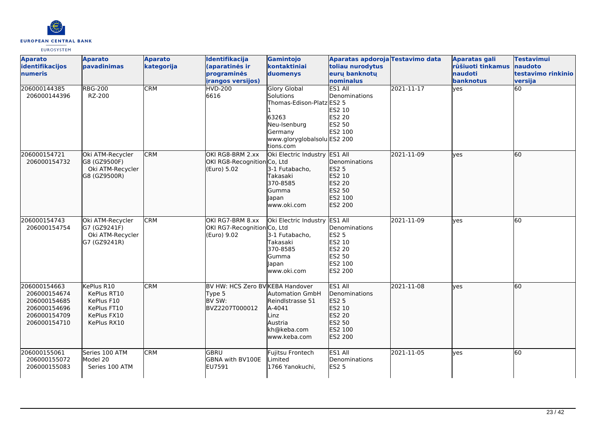

| <b>Aparato</b><br>identifikacijos<br>numeris                                                 | <b>Aparato</b><br>pavadinimas                                                        | <b>Aparato</b><br>kategorija | Identifikacija<br>(aparatinės ir<br>programinės<br><i>irangos versijos)</i> | Gamintojo<br>kontaktiniai<br>duomenys                                                                                                         | Aparatas apdoroja Testavimo data<br>toliau nurodytus<br>eurų banknotų<br>nominalus                     |            | <b>Aparatas gali</b><br>rūšiuoti tinkamus<br><b>naudoti</b><br>banknotus | <b>Testavimui</b><br>naudoto<br>testavimo rinkinio<br>versija |
|----------------------------------------------------------------------------------------------|--------------------------------------------------------------------------------------|------------------------------|-----------------------------------------------------------------------------|-----------------------------------------------------------------------------------------------------------------------------------------------|--------------------------------------------------------------------------------------------------------|------------|--------------------------------------------------------------------------|---------------------------------------------------------------|
| 206000144385<br>206000144396                                                                 | <b>RBG-200</b><br>RZ-200                                                             | <b>CRM</b>                   | <b>HVD-200</b><br>6616                                                      | <b>Glory Global</b><br>Solutions<br>Thomas-Edison-Platz ES2 5<br>63263<br>Neu-Isenburg<br>Germany<br>www.gloryglobalsolu ES2 200<br>tions.com | ES1 All<br>Denominations<br>ES2 10<br><b>ES2 20</b><br><b>ES2 50</b><br>ES2 100                        | 2021-11-17 | yes                                                                      | 60                                                            |
| 206000154721<br>206000154732                                                                 | Oki ATM-Recycler<br>G8 (GZ9500F)<br>Oki ATM-Recycler<br>G8 (GZ9500R)                 | <b>CRM</b>                   | OKI RG8-BRM 2.xx<br>OKI RG8-Recognition Co, Ltd<br>(Euro) 5.02              | Oki Electric Industry ES1 All<br>3-1 Futabacho,<br>Takasaki<br>370-8585<br>Gumma<br>Japan<br>lwww.oki.com                                     | <b>IDenominations</b><br><b>ES2 5</b><br>ES2 10<br>ES2 20<br>ES2 50<br>ES2 100<br>ES2 200              | 2021-11-09 | ves                                                                      | 60                                                            |
| 206000154743<br>206000154754                                                                 | Oki ATM-Recycler<br>G7 (GZ9241F)<br>Oki ATM-Recycler<br>G7 (GZ9241R)                 | <b>CRM</b>                   | OKI RG7-BRM 8.xx<br>OKI RG7-Recognition Co, Ltd<br>(Euro) 9.02              | Oki Electric Industry ES1 All<br>3-1 Futabacho,<br>Takasaki<br>370-8585<br>Gumma<br>Japan<br>www.oki.com                                      | Denominations<br><b>ES2 5</b><br>ES2 10<br><b>ES2 20</b><br><b>ES2 50</b><br>ES2 100<br><b>ES2 200</b> | 2021-11-09 | lyes                                                                     | 60                                                            |
| 206000154663<br>206000154674<br>206000154685<br>206000154696<br>206000154709<br>206000154710 | KePlus R10<br>KePlus RT10<br>KePlus F10<br>KePlus FT10<br>KePlus FX10<br>KePlus RX10 | <b>CRM</b>                   | BV HW: HCS Zero BV KEBA Handover<br>Type 5<br>BV SW:<br>BVZ2207T000012      | <b>Automation GmbH</b><br>Reindlstrasse 51<br>A-4041<br>Linz<br>Austria<br>kh@keba.com<br>lwww.keba.com                                       | ES1 All<br>Denominations<br><b>ES2 5</b><br>ES2 10<br>ES2 20<br>ES2 50<br>ES2 100<br>ES2 200           | 2021-11-08 | lves                                                                     | 60                                                            |
| 206000155061<br>206000155072<br>206000155083                                                 | Series 100 ATM<br>Model 20<br>Series 100 ATM                                         | <b>CRM</b>                   | <b>GBRU</b><br><b>GBNA with BV100E</b><br>EU7591                            | Fujitsu Frontech<br>Limited<br>1766 Yanokuchi.                                                                                                | ES1 All<br>Denominations<br><b>ES2 5</b>                                                               | 2021-11-05 | lves                                                                     | 60                                                            |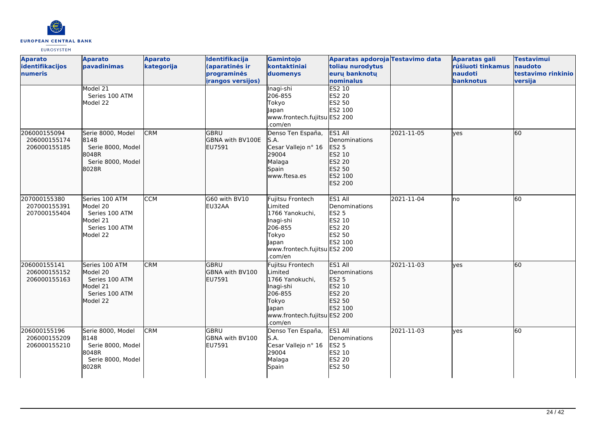

| <b>Aparato</b><br>identifikacijos<br>numeris | <b>Aparato</b><br>pavadinimas                                                          | <b>Aparato</b><br>kategorija | Identifikacija<br>(aparatinės ir<br>programinės<br><b>irangos versijos)</b> | Gamintojo<br>kontaktiniai<br>duomenys                                                                                               | Aparatas apdoroja Testavimo data<br>toliau nurodytus<br>eurų banknotų<br>nominalus           |            | Aparatas gali<br>rūšiuoti tinkamus<br>naudoti<br>banknotus | <b>Testavimui</b><br>naudoto<br>testavimo rinkinio<br>versija |
|----------------------------------------------|----------------------------------------------------------------------------------------|------------------------------|-----------------------------------------------------------------------------|-------------------------------------------------------------------------------------------------------------------------------------|----------------------------------------------------------------------------------------------|------------|------------------------------------------------------------|---------------------------------------------------------------|
|                                              | Model 21<br>Series 100 ATM<br>Model 22                                                 |                              |                                                                             | Inagi-shi<br>206-855<br>Tokyo<br>Japan<br>www.frontech.fujitsu ES2 200<br>.com/en                                                   | ES2 10<br>ES2 20<br>ES2 50<br>ES2 100                                                        |            |                                                            |                                                               |
| 206000155094<br>206000155174<br>206000155185 | Serie 8000, Model<br>8148<br>Serie 8000, Model<br>8048R<br>Serie 8000, Model<br>8028R  | <b>CRM</b>                   | <b>GBRU</b><br>GBNA with BV100E<br>lEU7591                                  | Denso Ten España,<br>S.A.<br>Cesar Vallejo nº 16<br>29004<br>Malaga<br>Spain<br>www.ftesa.es                                        | ES1 All<br>Denominations<br><b>ES2 5</b><br>ES2 10<br>ES2 20<br>ES2 50<br>ES2 100<br>ES2 200 | 2021-11-05 | lyes                                                       | 60                                                            |
| 207000155380<br>207000155391<br>207000155404 | Series 100 ATM<br>Model 20<br>Series 100 ATM<br>Model 21<br>Series 100 ATM<br>Model 22 | <b>CCM</b>                   | G60 with BV10<br>EU32AA                                                     | Fujitsu Frontech<br>Limited<br>1766 Yanokuchi,<br>Inagi-shi<br>206-855<br>Tokyo<br>Japan<br>www.frontech.fujitsu ES2 200<br>.com/en | ES1 All<br>Denominations<br><b>ES2 5</b><br>ES2 10<br>ES2 20<br>ES2 50<br>ES2 100            | 2021-11-04 | lno                                                        | 60                                                            |
| 206000155141<br>206000155152<br>206000155163 | Series 100 ATM<br>Model 20<br>Series 100 ATM<br>Model 21<br>Series 100 ATM<br>Model 22 | <b>CRM</b>                   | lgbru<br>GBNA with BV100<br>EU7591                                          | Fujitsu Frontech<br>Limited<br>1766 Yanokuchi,<br>Inagi-shi<br>206-855<br>Tokyo<br>Japan<br>www.frontech.fujitsu ES2 200<br>.com/en | ES1 All<br>Denominations<br><b>ES2 5</b><br>ES2 10<br>ES2 20<br>ES2 50<br>ES2 100            | 2021-11-03 | lyes                                                       | 60                                                            |
| 206000155196<br>206000155209<br>206000155210 | Serie 8000, Model<br>8148<br>Serie 8000, Model<br>8048R<br>Serie 8000, Model<br>8028R  | <b>CRM</b>                   | GBRU<br>GBNA with BV100<br>EU7591                                           | Denso Ten España,<br>S.A.<br>Cesar Vallejo nº 16<br>29004<br>Malaga<br>Spain                                                        | ES1 All<br>Denominations<br><b>ES2 5</b><br>ES2 10<br><b>ES2 20</b><br>ES2 50                | 2021-11-03 | yes                                                        | 60                                                            |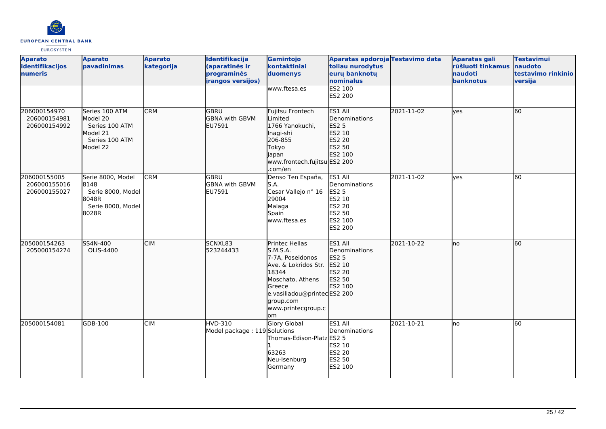

| <b>Aparato</b><br>identifikacijos<br>numeris | <b>Aparato</b><br>pavadinimas                                                          | <b>Aparato</b><br>kategorija | Identifikacija<br>(aparatinės ir<br>programinės<br><i>irangos versijos)</i> | Gamintojo<br>kontaktiniai<br>duomenys                                                                                                                                                 | Aparatas apdoroja Testavimo data<br>toliau nurodytus<br>eurų banknotų<br>nominalus                                |            | <b>Aparatas gali</b><br>rūšiuoti tinkamus<br>naudoti<br>banknotus | <b>Testavimui</b><br>naudoto<br>testavimo rinkinio<br>versija |
|----------------------------------------------|----------------------------------------------------------------------------------------|------------------------------|-----------------------------------------------------------------------------|---------------------------------------------------------------------------------------------------------------------------------------------------------------------------------------|-------------------------------------------------------------------------------------------------------------------|------------|-------------------------------------------------------------------|---------------------------------------------------------------|
|                                              |                                                                                        |                              |                                                                             | www.ftesa.es                                                                                                                                                                          | ES2 100<br><b>ES2 200</b>                                                                                         |            |                                                                   |                                                               |
| 206000154970<br>206000154981<br>206000154992 | Series 100 ATM<br>Model 20<br>Series 100 ATM<br>Model 21<br>Series 100 ATM<br>Model 22 | <b>CRM</b>                   | lgbru<br><b>GBNA with GBVM</b><br>EU7591                                    | Fujitsu Frontech<br>Limited<br>1766 Yanokuchi,<br>Inagi-shi<br>206-855<br>Tokyo<br>Japan<br>www.frontech.fujitsu ES2 200<br>.com/en                                                   | ES1 All<br>Denominations<br><b>ES2 5</b><br>ES2 10<br>ES2 20<br>ES2 50<br>ES2 100                                 | 2021-11-02 | lves                                                              | l60                                                           |
| 206000155005<br>206000155016<br>206000155027 | Serie 8000, Model<br>8148<br>Serie 8000, Model<br>8048R<br>Serie 8000, Model<br>8028R  | <b>CRM</b>                   | <b>GBRU</b><br><b>GBNA with GBVM</b><br>EU7591                              | Denso Ten España,<br>S.A.<br>Cesar Vallejo nº 16<br>29004<br>Malaga<br>Spain<br>www.ftesa.es                                                                                          | ES1 All<br>Denominations<br><b>ES2 5</b><br>ES2 10<br><b>ES2 20</b><br><b>ES2 50</b><br>ES2 100<br><b>ES2 200</b> | 2021-11-02 | yes                                                               | l60                                                           |
| 205000154263<br>205000154274                 | SS4N-400<br>OLIS-4400                                                                  | <b>CIM</b>                   | SCNXL83<br>523244433                                                        | Printec Hellas<br>S.M.S.A.<br>7-7A, Poseidonos<br>Ave. & Lokridos Str.<br>18344<br>Moschato, Athens<br>Greece<br>e.vasiliadou@printecES2 200<br>group.com<br>www.printecgroup.c<br>om | ES1 All<br>Denominations<br><b>ES2 5</b><br>ES2 10<br>ES2 20<br>ES2 50<br>ES2 100                                 | 2021-10-22 | Ino                                                               | 60                                                            |
| 205000154081                                 | GDB-100                                                                                | <b>CIM</b>                   | HVD-310<br>Model package: 119 Solutions                                     | Glory Global<br>Thomas-Edison-Platz ES2 5<br>63263<br>Neu-Isenburg<br>Germany                                                                                                         | ES1 All<br>Denominations<br>ES2 10<br><b>ES2 20</b><br>ES2 50<br>ES2 100                                          | 2021-10-21 | lno                                                               | 60                                                            |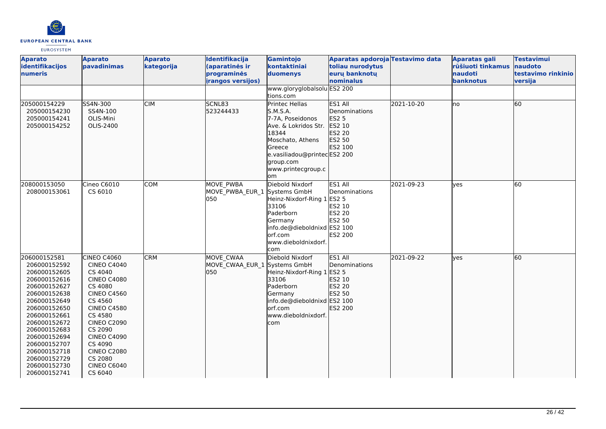

| <b>Aparato</b><br>identifikacijos<br>numeris                                                                                                                                                                                                                                 | <b>Aparato</b><br><b>pavadinimas</b>                                                                                                                                                                                                                                                | <b>Aparato</b><br>kategorija | Identifikacija<br>(aparatinės ir<br>programinės<br><b>irangos versijos)</b> | Gamintojo<br>kontaktiniai<br>duomenys                                                                                                                                                         | Aparatas apdoroja Testavimo data<br>toliau nurodytus<br>eurų banknotų<br>nominalus       |            | <b>Aparatas gali</b><br>rūšiuoti tinkamus<br>naudoti<br>banknotus | <b>Testavimui</b><br>naudoto<br>testavimo rinkinio<br>versija |
|------------------------------------------------------------------------------------------------------------------------------------------------------------------------------------------------------------------------------------------------------------------------------|-------------------------------------------------------------------------------------------------------------------------------------------------------------------------------------------------------------------------------------------------------------------------------------|------------------------------|-----------------------------------------------------------------------------|-----------------------------------------------------------------------------------------------------------------------------------------------------------------------------------------------|------------------------------------------------------------------------------------------|------------|-------------------------------------------------------------------|---------------------------------------------------------------|
|                                                                                                                                                                                                                                                                              |                                                                                                                                                                                                                                                                                     |                              |                                                                             | www.gloryglobalsolu ES2 200<br>tions.com                                                                                                                                                      |                                                                                          |            |                                                                   |                                                               |
| 205000154229<br>205000154230<br>205000154241<br>205000154252                                                                                                                                                                                                                 | SS4N-300<br>SS4N-100<br>OLIS-Mini<br>OLIS-2400                                                                                                                                                                                                                                      | <b>CIM</b>                   | SCNL83<br>523244433                                                         | <b>Printec Hellas</b><br>S.M.S.A.<br>7-7A, Poseidonos<br>Ave. & Lokridos Str.<br>18344<br>Moschato, Athens<br>Greece<br>e.vasiliadou@printecES2 200<br>group.com<br>www.printecgroup.c<br>lom | ES1 All<br>Denominations<br><b>ES2 5</b><br>ES2 10<br>ES2 20<br>ES2 50<br><b>ES2 100</b> | 2021-10-20 | Ino                                                               | 60                                                            |
| 208000153050<br>208000153061                                                                                                                                                                                                                                                 | Cineo C6010<br>CS 6010                                                                                                                                                                                                                                                              | <b>COM</b>                   | MOVE PWBA<br>MOVE_PWBA_EUR_1 Systems GmbH<br>050                            | Diebold Nixdorf<br>Heinz-Nixdorf-Ring 1<br>33106<br>Paderborn<br>Germany<br>info.de@dieboldnixd ES2 100<br>lorf.com<br>www.dieboldnixdorf.<br>com                                             | ES1 All<br>Denominations<br><b>ES2 5</b><br>ES2 10<br>ES2 20<br>ES2 50<br>ES2 200        | 2021-09-23 | yes                                                               | 60                                                            |
| 206000152581<br>206000152592<br>206000152605<br>206000152616<br>206000152627<br>206000152638<br>206000152649<br>206000152650<br>206000152661<br>206000152672<br>206000152683<br>206000152694<br>206000152707<br>206000152718<br>206000152729<br>206000152730<br>206000152741 | <b>CINEO C4060</b><br><b>CINEO C4040</b><br>CS 4040<br><b>CINEO C4080</b><br>CS 4080<br><b>CINEO C4560</b><br>CS 4560<br><b>CINEO C4580</b><br>CS 4580<br><b>CINEO C2090</b><br>CS 2090<br><b>CINEO C4090</b><br>CS 4090<br><b>CINEO C2080</b><br>CS 2080<br>CINEO C6040<br>CS 6040 | <b>CRM</b>                   | MOVE CWAA<br>MOVE CWAA EUR 1 Systems GmbH<br>050                            | Diebold Nixdorf<br>Heinz-Nixdorf-Ring 1 ES2 5<br>33106<br>Paderborn<br>Germany<br>info.de@dieboldnixd ES2 100<br>lorf.com<br>www.dieboldnixdorf.<br>com                                       | ES1 All<br>Denominations<br>ES2 10<br>ES2 20<br>ES2 50<br>ES2 200                        | 2021-09-22 | lves                                                              | 60                                                            |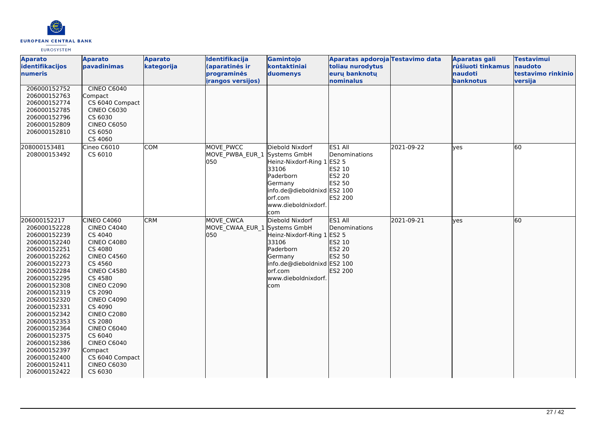

| <b>Aparato</b><br>identifikacijos<br>numeris                                                                                                                                                                                                                                                                                                                 | <b>Aparato</b><br>pavadinimas                                                                                                                                                                                                                                                                                                                                            | <b>Aparato</b><br>kategorija | Identifikacija<br>(aparatinės ir<br>programinės  | Gamintojo<br>kontaktiniai<br>duomenys                                                                                                                            | Aparatas apdoroja Testavimo data<br>toliau nurodytus<br>eurų banknotų             |            | <b>Aparatas gali</b><br>rūšiuoti tinkamus<br><b>naudoti</b> | <b>Testavimui</b><br>naudoto<br>testavimo rinkinio |
|--------------------------------------------------------------------------------------------------------------------------------------------------------------------------------------------------------------------------------------------------------------------------------------------------------------------------------------------------------------|--------------------------------------------------------------------------------------------------------------------------------------------------------------------------------------------------------------------------------------------------------------------------------------------------------------------------------------------------------------------------|------------------------------|--------------------------------------------------|------------------------------------------------------------------------------------------------------------------------------------------------------------------|-----------------------------------------------------------------------------------|------------|-------------------------------------------------------------|----------------------------------------------------|
|                                                                                                                                                                                                                                                                                                                                                              |                                                                                                                                                                                                                                                                                                                                                                          |                              | irangos versijos)                                |                                                                                                                                                                  | nominalus                                                                         |            | banknotus                                                   | versija                                            |
| 206000152752<br>206000152763<br>206000152774<br>206000152785<br>206000152796<br>206000152809<br>206000152810                                                                                                                                                                                                                                                 | <b>CINEO C6040</b><br>Compact<br>CS 6040 Compact<br><b>CINEO C6030</b><br>CS 6030<br><b>CINEO C6050</b><br>CS 6050<br>CS 4060                                                                                                                                                                                                                                            |                              |                                                  |                                                                                                                                                                  |                                                                                   |            |                                                             |                                                    |
| 208000153481<br>208000153492                                                                                                                                                                                                                                                                                                                                 | Cineo C6010<br>CS 6010                                                                                                                                                                                                                                                                                                                                                   | <b>COM</b>                   | MOVE PWCC<br>MOVE PWBA EUR 1<br>050              | Diebold Nixdorf<br>Systems GmbH<br>Heinz-Nixdorf-Ring 1<br>33106<br>Paderborn<br>Germany<br>info.de@dieboldnixd ES2 100<br>orf.com<br>www.dieboldnixdorf.<br>com | ES1 All<br>Denominations<br><b>ES2 5</b><br>ES2 10<br>ES2 20<br>ES2 50<br>ES2 200 | 2021-09-22 | <b>ves</b>                                                  | 60                                                 |
| 206000152217<br>206000152228<br>206000152239<br>206000152240<br>206000152251<br>206000152262<br>206000152273<br>206000152284<br>206000152295<br>206000152308<br>206000152319<br>206000152320<br>206000152331<br>206000152342<br>206000152353<br>206000152364<br>206000152375<br>206000152386<br>206000152397<br>206000152400<br>206000152411<br>206000152422 | CINEO C4060<br><b>CINEO C4040</b><br>CS 4040<br><b>CINEO C4080</b><br>CS 4080<br><b>CINEO C4560</b><br>CS 4560<br><b>CINEO C4580</b><br>CS 4580<br><b>CINEO C2090</b><br>CS 2090<br><b>CINEO C4090</b><br>CS 4090<br><b>CINEO C2080</b><br>CS 2080<br><b>CINEO C6040</b><br>CS 6040<br><b>CINEO C6040</b><br>Compact<br>CS 6040 Compact<br><b>CINEO C6030</b><br>CS 6030 | <b>CRM</b>                   | MOVE CWCA<br>MOVE CWAA EUR 1 Systems GmbH<br>050 | Diebold Nixdorf<br>Heinz-Nixdorf-Ring 1<br>33106<br>Paderborn<br>Germany<br>info.de@dieboldnixd ES2 100<br>orf.com<br>www.dieboldnixdorf.<br>com                 | ES1 All<br>Denominations<br>ES2 5<br>ES2 10<br>ES2 20<br>ES2 50<br>ES2 200        | 2021-09-21 | lves                                                        | 60                                                 |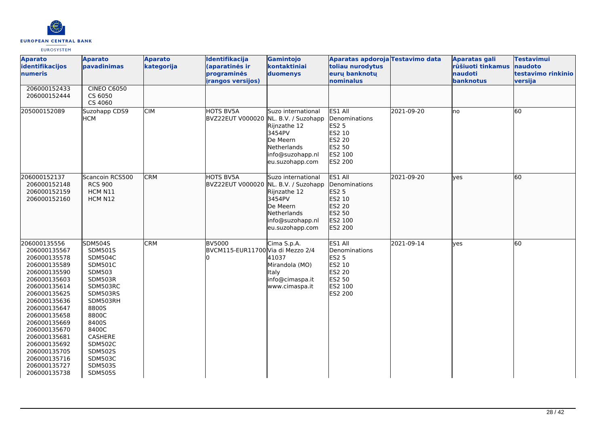

| <b>Aparato</b><br>identifikacijos<br>numeris                                                                                                                                                                                                                                                                 | <b>Aparato</b><br>pavadinimas                                                                                                                                                                                                                                   | <b>Aparato</b><br>kategorija | Identifikacija<br>(aparatinės ir<br>programinės<br><i>irangos versijos)</i> | Gamintojo<br>kontaktiniai<br>duomenys                                                                          | Aparatas apdoroja Testavimo data<br>toliau nurodytus<br>euru banknotu<br>nominalus                  |            | <b>Aparatas gali</b><br>rūšiuoti tinkamus<br>naudoti<br>banknotus | <b>Testavimui</b><br>naudoto<br>testavimo rinkinio<br>versija |
|--------------------------------------------------------------------------------------------------------------------------------------------------------------------------------------------------------------------------------------------------------------------------------------------------------------|-----------------------------------------------------------------------------------------------------------------------------------------------------------------------------------------------------------------------------------------------------------------|------------------------------|-----------------------------------------------------------------------------|----------------------------------------------------------------------------------------------------------------|-----------------------------------------------------------------------------------------------------|------------|-------------------------------------------------------------------|---------------------------------------------------------------|
| 206000152433<br>206000152444                                                                                                                                                                                                                                                                                 | <b>CINEO C6050</b><br>CS 6050<br>CS 4060                                                                                                                                                                                                                        |                              |                                                                             |                                                                                                                |                                                                                                     |            |                                                                   |                                                               |
| 205000152089                                                                                                                                                                                                                                                                                                 | Suzohapp CDS9<br>НСМ                                                                                                                                                                                                                                            | <b>CIM</b>                   | <b>HOTS BV5A</b><br>BVZ22EUT V000020 NL. B.V. / Suzohapp                    | Suzo international<br>Rijnzathe 12<br>3454PV<br>De Meern<br>Netherlands<br>info@suzohapp.nl<br>eu.suzohapp.com | ES1 All<br>Denominations<br><b>ES2 5</b><br>ES2 10<br>ES2 20<br>ES2 50<br>ES2 100<br><b>ES2 200</b> | 2021-09-20 | lno                                                               | 60                                                            |
| 206000152137<br>206000152148<br>206000152159<br>206000152160                                                                                                                                                                                                                                                 | Scancoin RCS500<br><b>RCS 900</b><br>HCM N11<br>HCM N12                                                                                                                                                                                                         | <b>CRM</b>                   | HOTS BV5A<br>BVZ22EUT V000020 NL. B.V. / Suzohapp                           | Suzo international<br>Rijnzathe 12<br>3454PV<br>De Meern<br>Netherlands<br>info@suzohapp.nl<br>eu.suzohapp.com | ES1 All<br>Denominations<br>ES2 5<br>ES2 10<br>ES2 20<br>ES2 50<br>ES2 100<br>ES2 200               | 2021-09-20 | lves                                                              | 60                                                            |
| 206000135556<br>206000135567<br>206000135578<br>206000135589<br>206000135590<br>206000135603<br>206000135614<br>206000135625<br>206000135636<br>206000135647<br>206000135658<br>206000135669<br>206000135670<br>206000135681<br>206000135692<br>206000135705<br>206000135716<br>206000135727<br>206000135738 | <b>SDM504S</b><br>SDM501S<br><b>SDM504C</b><br>SDM501C<br>SDM503<br>SDM503R<br>SDM503RC<br>SDM503RS<br>SDM503RH<br>8800S<br>8800C<br>8400S<br>8400C<br><b>CASHERE</b><br><b>SDM502C</b><br><b>SDM502S</b><br><b>SDM503C</b><br><b>SDM503S</b><br><b>SDM505S</b> | <b>CRM</b>                   | <b>BV5000</b><br>BVCM115-EUR11700 Via di Mezzo 2/4                          | Cima S.p.A.<br>41037<br>Mirandola (MO)<br>Italy<br>info@cimaspa.it<br>www.cimaspa.it                           | ES1 All<br>Denominations<br><b>ES2 5</b><br>ES2 10<br><b>ES2 20</b><br>ES2 50<br>ES2 100<br>ES2 200 | 2021-09-14 | <b>l</b> ves                                                      | 60                                                            |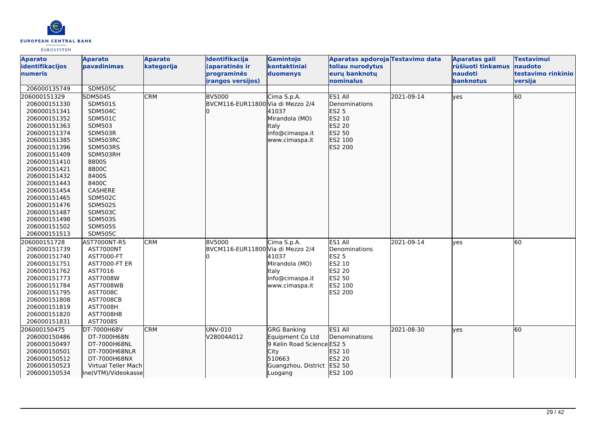

| <b>Aparato</b><br>identifikacijos<br>numeris | <b>Aparato</b><br>pavadinimas    | <b>Aparato</b><br>kategorija | Identifikacija<br>(aparatinės ir<br>programinės    | Gamintojo<br>kontaktiniai<br>duomenys | Aparatas apdoroja Testavimo data<br>toliau nurodytus<br>eurų banknotų |            | <b>Aparatas gali</b><br>rūšiuoti tinkamus<br>naudoti | <b>Testavimui</b><br>naudoto<br>testavimo rinkinio |
|----------------------------------------------|----------------------------------|------------------------------|----------------------------------------------------|---------------------------------------|-----------------------------------------------------------------------|------------|------------------------------------------------------|----------------------------------------------------|
|                                              |                                  |                              | <b>irangos versijos)</b>                           |                                       | nominalus                                                             |            | banknotus                                            | versija                                            |
| 206000135749                                 | <b>SDM505C</b>                   |                              |                                                    |                                       |                                                                       |            |                                                      |                                                    |
| 206000151329                                 | SDM504S                          | <b>CRM</b>                   | <b>BV5000</b>                                      | Cima S.p.A.                           | ES1 All                                                               | 2021-09-14 | lves                                                 | 60                                                 |
| 206000151330                                 | <b>SDM501S</b>                   |                              | BVCM116-EUR11800 Via di Mezzo 2/4                  |                                       | Denominations                                                         |            |                                                      |                                                    |
| 206000151341                                 | <b>SDM504C</b>                   |                              |                                                    | 41037                                 | <b>ES2 5</b>                                                          |            |                                                      |                                                    |
| 206000151352                                 | <b>SDM501C</b>                   |                              |                                                    | Mirandola (MO)                        | ES2 10                                                                |            |                                                      |                                                    |
| 206000151363                                 | <b>SDM503</b>                    |                              |                                                    | <b>Italy</b>                          | ES2 20                                                                |            |                                                      |                                                    |
| 206000151374                                 | SDM503R                          |                              |                                                    | info@cimaspa.it                       | ES2 50                                                                |            |                                                      |                                                    |
| 206000151385                                 | SDM503RC                         |                              |                                                    | www.cimaspa.it                        | ES2 100                                                               |            |                                                      |                                                    |
| 206000151396                                 | SDM503RS                         |                              |                                                    |                                       | ES2 200                                                               |            |                                                      |                                                    |
| 206000151409                                 | SDM503RH                         |                              |                                                    |                                       |                                                                       |            |                                                      |                                                    |
| 206000151410                                 | 8800S                            |                              |                                                    |                                       |                                                                       |            |                                                      |                                                    |
| 206000151421                                 | 8800C                            |                              |                                                    |                                       |                                                                       |            |                                                      |                                                    |
| 206000151432                                 | 8400S                            |                              |                                                    |                                       |                                                                       |            |                                                      |                                                    |
| 206000151443                                 | 8400C                            |                              |                                                    |                                       |                                                                       |            |                                                      |                                                    |
| 206000151454                                 | CASHERE                          |                              |                                                    |                                       |                                                                       |            |                                                      |                                                    |
| 206000151465                                 | <b>SDM502C</b>                   |                              |                                                    |                                       |                                                                       |            |                                                      |                                                    |
| 206000151476                                 | <b>SDM502S</b>                   |                              |                                                    |                                       |                                                                       |            |                                                      |                                                    |
| 206000151487                                 | <b>SDM503C</b>                   |                              |                                                    |                                       |                                                                       |            |                                                      |                                                    |
| 206000151498                                 | <b>SDM503S</b>                   |                              |                                                    |                                       |                                                                       |            |                                                      |                                                    |
| 206000151502<br>206000151513                 | <b>SDM505S</b><br><b>SDM505C</b> |                              |                                                    |                                       |                                                                       |            |                                                      |                                                    |
|                                              |                                  |                              |                                                    |                                       |                                                                       |            |                                                      |                                                    |
| 206000151728<br>206000151739                 | AST7000NT-R5<br>AST7000NT        | <b>CRM</b>                   | <b>BV5000</b><br>BVCM116-EUR11800 Via di Mezzo 2/4 | Cima S.p.A.                           | ES1 All<br>Denominations                                              | 2021-09-14 | <b>ves</b>                                           | 60                                                 |
| 206000151740                                 | AST7000-FT                       |                              |                                                    | 41037                                 | ES2 5                                                                 |            |                                                      |                                                    |
| 206000151751                                 | <b>AST7000-FT ER</b>             |                              |                                                    | Mirandola (MO)                        | ES2 10                                                                |            |                                                      |                                                    |
| 206000151762                                 | AST7016                          |                              |                                                    | <b>I</b> taly                         | ES2 20                                                                |            |                                                      |                                                    |
| 206000151773                                 | AST7008W                         |                              |                                                    | info@cimaspa.it                       | ES2 50                                                                |            |                                                      |                                                    |
| 206000151784                                 | <b>AST7008WB</b>                 |                              |                                                    | www.cimaspa.it                        | ES2 100                                                               |            |                                                      |                                                    |
| 206000151795                                 | AST7008C                         |                              |                                                    |                                       | ES2 200                                                               |            |                                                      |                                                    |
| 206000151808                                 | <b>AST7008CB</b>                 |                              |                                                    |                                       |                                                                       |            |                                                      |                                                    |
| 206000151819                                 | <b>AST7008H</b>                  |                              |                                                    |                                       |                                                                       |            |                                                      |                                                    |
| 206000151820                                 | AST7008HB                        |                              |                                                    |                                       |                                                                       |            |                                                      |                                                    |
| 206000151831                                 | AST7008S                         |                              |                                                    |                                       |                                                                       |            |                                                      |                                                    |
| 206000150475                                 | DT-7000H68V                      | <b>CRM</b>                   | UNV-010                                            | <b>GRG Banking</b>                    | ES1 All                                                               | 2021-08-30 | lves                                                 | 60                                                 |
| 206000150486                                 | DT-7000H68N                      |                              | V28004A012                                         | Equipment Co Ltd                      | Denominations                                                         |            |                                                      |                                                    |
| 206000150497                                 | DT-7000H68NL                     |                              |                                                    | 9 Kelin Road Science ES2 5            |                                                                       |            |                                                      |                                                    |
| 206000150501                                 | DT-7000H68NLR                    |                              |                                                    | City                                  | ES2 10                                                                |            |                                                      |                                                    |
| 206000150512                                 | DT-7000H68NX                     |                              |                                                    | 510663                                | ES2 20                                                                |            |                                                      |                                                    |
| 206000150523                                 | Virtual Teller Mach              |                              |                                                    | Guangzhou, District ES2 50            |                                                                       |            |                                                      |                                                    |
| 206000150534                                 | ine(VTM)/Videokasse              |                              |                                                    | Luogang                               | ES2 100                                                               |            |                                                      |                                                    |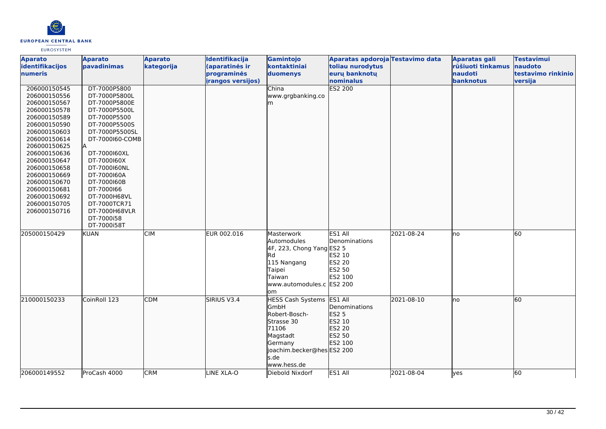

| <b>Aparato</b><br>identifikacijos                                                                                                                                                                                                                                                            | <b>Aparato</b><br>pavadinimas                                                                                                                                                                                                                                                     | <b>Aparato</b><br>kategorija | Identifikacija<br>(aparatinės ir | Gamintojo<br>kontaktiniai                                                                                                                                    | Aparatas apdoroja Testavimo data<br>toliau nurodytus              |            | Aparatas gali<br>rūšiuoti tinkamus | <b>Testavimui</b><br>naudoto |
|----------------------------------------------------------------------------------------------------------------------------------------------------------------------------------------------------------------------------------------------------------------------------------------------|-----------------------------------------------------------------------------------------------------------------------------------------------------------------------------------------------------------------------------------------------------------------------------------|------------------------------|----------------------------------|--------------------------------------------------------------------------------------------------------------------------------------------------------------|-------------------------------------------------------------------|------------|------------------------------------|------------------------------|
| numeris                                                                                                                                                                                                                                                                                      |                                                                                                                                                                                                                                                                                   |                              | programinės                      | duomenys                                                                                                                                                     | eurų banknotų                                                     |            | naudoti                            | testavimo rinkinio           |
|                                                                                                                                                                                                                                                                                              |                                                                                                                                                                                                                                                                                   |                              | <i>irangos versijos)</i>         |                                                                                                                                                              | nominalus                                                         |            | banknotus                          | versija                      |
| 206000150545<br>206000150556<br>206000150567<br>206000150578<br>206000150589<br>206000150590<br>206000150603<br>206000150614<br>206000150625<br>206000150636<br>206000150647<br>206000150658<br>206000150669<br>206000150670<br>206000150681<br>206000150692<br>206000150705<br>206000150716 | DT-7000P5800<br>DT-7000P5800L<br>DT-7000P5800E<br>DT-7000P5500L<br>DT-7000P5500<br>DT-7000P5500S<br>DT-7000P5500SL<br>DT-7000160-COMB<br>DT-7000160XL<br>DT-7000160X<br>DT-7000160NL<br>DT-7000160A<br>DT-7000160B<br>DT-7000166<br>DT-7000H68VL<br>DT-7000TCR71<br>DT-7000H68VLR |                              |                                  | China<br>www.grgbanking.co<br>m                                                                                                                              | ES2 200                                                           |            |                                    |                              |
|                                                                                                                                                                                                                                                                                              | DT-7000i58<br>DT-7000i58T                                                                                                                                                                                                                                                         |                              |                                  |                                                                                                                                                              |                                                                   |            |                                    |                              |
| 205000150429                                                                                                                                                                                                                                                                                 | <b>KUAN</b>                                                                                                                                                                                                                                                                       | <b>CIM</b>                   | EUR 002.016                      | Masterwork<br>Automodules<br>4F, 223, Chong Yang ES2 5<br>lRd<br>115 Nangang<br>Taipei<br>Taiwan<br>www.automodules.c ES2 200<br>om                          | ES1 All<br>Denominations<br>ES2 10<br>ES2 20<br>ES2 50<br>ES2 100 | 2021-08-24 | lno                                | 60                           |
| 210000150233                                                                                                                                                                                                                                                                                 | CoinRoll 123                                                                                                                                                                                                                                                                      | <b>CDM</b>                   | SIRIUS V3.4                      | HESS Cash Systems ES1 All<br><b>GmbH</b><br>Robert-Bosch-<br>Strasse 30<br>71106<br>Magstadt<br>Germany<br>joachim.becker@hes ES2 200<br>s.de<br>www.hess.de | Denominations<br>ES2 5<br>ES2 10<br>ES2 20<br>ES2 50<br>ES2 100   | 2021-08-10 | lno                                | 60                           |
| 206000149552                                                                                                                                                                                                                                                                                 | ProCash 4000                                                                                                                                                                                                                                                                      | <b>CRM</b>                   | LINE XLA-O                       | Diebold Nixdorf                                                                                                                                              | ES1 All                                                           | 2021-08-04 | yes                                | 60                           |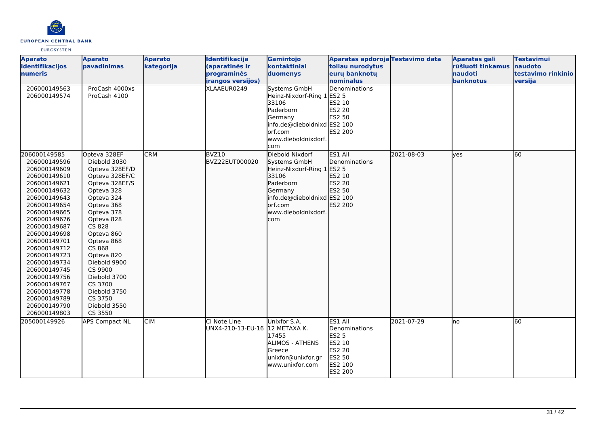

| <b>Aparato</b><br>identifikacijos                                                                                                                                                                                                                                                                                                                                            | <b>Aparato</b><br>pavadinimas                                                                                                                                                                                                                                                                                                      | <b>Aparato</b><br>kategorija | Identifikacija<br>(aparatinės ir                        | Gamintojo<br>kontaktiniai                                                                                                                                              | Aparatas apdoroja Testavimo data<br>toliau nurodytus                                                |            | <b>Aparatas gali</b><br>rūšiuoti tinkamus | <b>Testavimui</b><br>naudoto  |
|------------------------------------------------------------------------------------------------------------------------------------------------------------------------------------------------------------------------------------------------------------------------------------------------------------------------------------------------------------------------------|------------------------------------------------------------------------------------------------------------------------------------------------------------------------------------------------------------------------------------------------------------------------------------------------------------------------------------|------------------------------|---------------------------------------------------------|------------------------------------------------------------------------------------------------------------------------------------------------------------------------|-----------------------------------------------------------------------------------------------------|------------|-------------------------------------------|-------------------------------|
| <b>Inumeris</b>                                                                                                                                                                                                                                                                                                                                                              |                                                                                                                                                                                                                                                                                                                                    |                              | programinės<br>irangos versijos)                        | duomenys                                                                                                                                                               | eurų banknotų<br>nominalus                                                                          |            | <b>naudoti</b><br>banknotus               | testavimo rinkinio<br>versija |
| 206000149563<br>206000149574                                                                                                                                                                                                                                                                                                                                                 | ProCash 4000xs<br>ProCash 4100                                                                                                                                                                                                                                                                                                     |                              | XLAAEUR0249                                             | <b>Systems GmbH</b><br>Heinz-Nixdorf-Ring 1<br>33106<br>Paderborn<br>Germany<br>info.de@dieboldnixd ES2 100<br>orf.com<br>www.dieboldnixdorf.<br>com                   | Denominations<br><b>ES2 5</b><br>ES2 10<br>ES2 20<br>ES2 50<br>ES2 200                              |            |                                           |                               |
| 206000149585<br>206000149596<br>206000149609<br>206000149610<br>206000149621<br>206000149632<br>206000149643<br>206000149654<br>206000149665<br>206000149676<br>206000149687<br>206000149698<br>206000149701<br>206000149712<br>206000149723<br>206000149734<br>206000149745<br>206000149756<br>206000149767<br>206000149778<br>206000149789<br>206000149790<br>206000149803 | Opteva 328EF<br>Diebold 3030<br>Opteva 328EF/D<br>Opteva 328EF/C<br>Opteva 328EF/S<br>Opteva 328<br>Opteva 324<br>Opteva 368<br>Opteva 378<br>Opteva 828<br>CS 828<br>Opteva 860<br>Opteva 868<br>CS 868<br>Opteva 820<br>Diebold 9900<br>CS 9900<br>Diebold 3700<br>CS 3700<br>Diebold 3750<br>CS 3750<br>Diebold 3550<br>CS 3550 | <b>CRM</b>                   | BVZ10<br>BVZ22EUT000020                                 | Diebold Nixdorf<br>Systems GmbH<br>Heinz-Nixdorf-Ring 1 ES2 5<br>33106<br>Paderborn<br>Germany<br>info.de@dieboldnixd ES2 100<br>orf.com<br>www.dieboldnixdorf.<br>com | ES1 All<br><b>Denominations</b><br>ES2 10<br>ES2 20<br>ES2 50<br>ES2 200                            | 2021-08-03 | lyes                                      | 60                            |
| 205000149926                                                                                                                                                                                                                                                                                                                                                                 | <b>APS Compact NL</b>                                                                                                                                                                                                                                                                                                              | <b>CIM</b>                   | <b>l</b> CI Note Line<br>UNX4-210-13-EU-16 12 METAXA K. | Unixfor S.A.<br>17455<br><b>ALIMOS - ATHENS</b><br>Greece<br>unixfor@unixfor.gr<br>www.unixfor.com                                                                     | ES1 All<br>Denominations<br><b>ES2 5</b><br>ES2 10<br><b>ES2 20</b><br>ES2 50<br>ES2 100<br>ES2 200 | 2021-07-29 | Ino                                       | 60                            |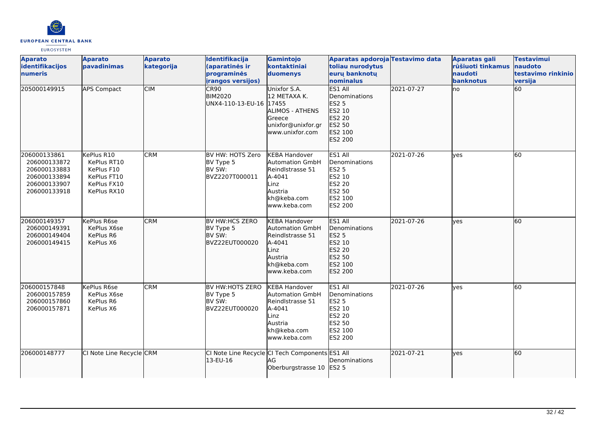

| <b>Aparato</b><br>identifikacijos<br><b>numeris</b>                                          | <b>Aparato</b><br>bavadinimas                                                        | <b>Aparato</b><br>kategorija | Identifikacija<br>(aparatinės ir<br>programinės                | Gamintojo<br>kontaktiniai<br>duomenys                                                                                          | Aparatas apdoroja Testavimo data<br>toliau nurodytus<br>euru banknotu                                      |            | <b>Aparatas gali</b><br>rūšiuoti tinkamus<br>naudoti | <b>Testavimui</b><br>naudoto<br>testavimo rinkinio |
|----------------------------------------------------------------------------------------------|--------------------------------------------------------------------------------------|------------------------------|----------------------------------------------------------------|--------------------------------------------------------------------------------------------------------------------------------|------------------------------------------------------------------------------------------------------------|------------|------------------------------------------------------|----------------------------------------------------|
|                                                                                              |                                                                                      |                              | irangos versijos)                                              |                                                                                                                                | nominalus                                                                                                  |            | banknotus                                            | versija                                            |
| 205000149915                                                                                 | <b>APS Compact</b>                                                                   | <b>CIM</b>                   | CR90<br><b>BIM2020</b><br>UNX4-110-13-EU-16 17455              | Unixfor S.A.<br>12 METAXA K.<br><b>ALIMOS - ATHENS</b><br>Greece<br>unixfor@unixfor.gr<br>www.unixfor.com                      | ES1 All<br><b>IDenominations</b><br>ES2 5<br>ES2 10<br>ES2 20<br>ES2 50<br>ES2 100<br>ES2 200              | 2021-07-27 | Ino                                                  | 60                                                 |
| 206000133861<br>206000133872<br>206000133883<br>206000133894<br>206000133907<br>206000133918 | KePlus R10<br>KePlus RT10<br>KePlus F10<br>KePlus FT10<br>KePlus FX10<br>KePlus RX10 | <b>CRM</b>                   | BV HW: HOTS Zero<br>BV Type 5<br>BV SW:<br>BVZ2207T000011      | <b>KEBA Handover</b><br><b>Automation GmbH</b><br>Reindlstrasse 51<br>A-4041<br>Linz<br>Austria<br>kh@keba.com<br>www.keba.com | ES1 All<br>Denominations<br><b>ES2 5</b><br>ES2 10<br>ES2 20<br><b>ES2 50</b><br>ES2 100<br><b>ES2 200</b> | 2021-07-26 | <b>ves</b>                                           | 60                                                 |
| 206000149357<br>206000149391<br>206000149404<br>206000149415                                 | <b>K</b> ePlus R6se<br>KePlus X6se<br>KePlus R6<br>KePlus X6                         | <b>CRM</b>                   | <b>BV HW:HCS ZERO</b><br>BV Type 5<br>BV SW:<br>BVZ22EUT000020 | <b>KEBA Handover</b><br><b>Automation GmbH</b><br>Reindlstrasse 51<br>A-4041<br>Linz<br>Austria<br>kh@keba.com<br>www.keba.com | ES1 All<br>Denominations<br><b>ES2 5</b><br>ES2 10<br>ES2 20<br>ES2 50<br>ES2 100<br>ES2 200               | 2021-07-26 | ves                                                  | l60                                                |
| 206000157848<br>206000157859<br>206000157860<br>206000157871                                 | KePlus R6se<br>KePlus X6se<br>KePlus R6<br>KePlus X6                                 | <b>CRM</b>                   | BV HW:HOTS ZERO<br>BV Type 5<br>BV SW:<br>BVZ22EUT000020       | <b>KEBA Handover</b><br><b>Automation GmbH</b><br>Reindlstrasse 51<br>A-4041<br>Linz<br>Austria<br>kh@keba.com<br>www.keba.com | ES1 All<br>Denominations<br><b>ES2 5</b><br>ES2 10<br><b>ES2 20</b><br><b>ES2 50</b><br>ES2 100<br>ES2 200 | 2021-07-26 | <b>ves</b>                                           | 60                                                 |
| 206000148777                                                                                 | CI Note Line Recycle CRM                                                             |                              | 13-EU-16                                                       | CI Note Line Recycle CI Tech Components ES1 All<br>AG<br>Oberburgstrasse 10                                                    | Denominations<br>IES <sub>2</sub> 5                                                                        | 2021-07-21 | lves                                                 | 60                                                 |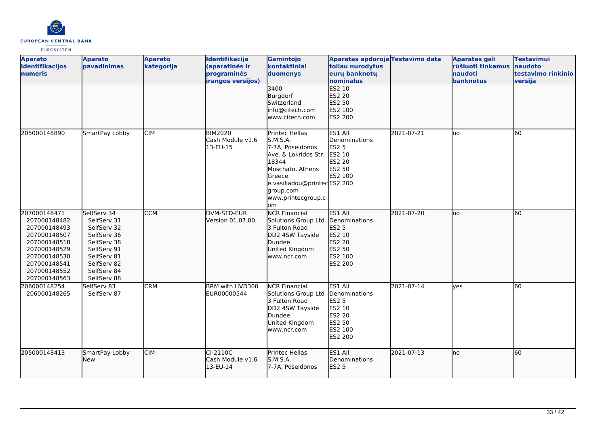

| <b>Aparato</b><br>identifikacijos<br>numeris                                                                                                                 | <b>Aparato</b><br>pavadinimas                                                                                                                      | <b>Aparato</b><br>kategorija | Identifikacija<br>(aparatinės ir<br>programinės<br>irangos versijos) | Gamintojo<br>kontaktiniai<br>duomenys                                                                                                                                                  | Aparatas apdoroja Testavimo data<br>toliau nurodytus<br>eurų banknotų<br>nominalus                         |            | <b>Aparatas gali</b><br>rūšiuoti tinkamus<br><b>Inaudoti</b><br>banknotus | <b>Testavimui</b><br>naudoto<br>testavimo rinkinio<br>versija |
|--------------------------------------------------------------------------------------------------------------------------------------------------------------|----------------------------------------------------------------------------------------------------------------------------------------------------|------------------------------|----------------------------------------------------------------------|----------------------------------------------------------------------------------------------------------------------------------------------------------------------------------------|------------------------------------------------------------------------------------------------------------|------------|---------------------------------------------------------------------------|---------------------------------------------------------------|
|                                                                                                                                                              |                                                                                                                                                    |                              |                                                                      | 3400<br>Burgdorf<br>Switzerland<br>info@citech.com<br>www.citech.com                                                                                                                   | <b>ES2 10</b><br><b>ES2 20</b><br>ES2 50<br>ES2 100<br>ES2 200                                             |            |                                                                           |                                                               |
| 205000148890                                                                                                                                                 | SmartPay Lobby                                                                                                                                     | <b>CIM</b>                   | <b>BIM2020</b><br>Cash Module v1.6<br>13-EU-15                       | Printec Hellas<br>S.M.S.A.<br>7-7A, Poseidonos<br>Ave. & Lokridos Str.<br>18344<br>Moschato, Athens<br>Greece<br>e.vasiliadou@printecES2 200<br>group.com<br>www.printecgroup.c<br>lom | ES1 All<br>Denominations<br><b>ES2 5</b><br>ES2 10<br><b>ES2 20</b><br>ES2 50<br>ES2 100                   | 2021-07-21 | lno                                                                       | 60                                                            |
| 207000148471<br>207000148482<br>207000148493<br>207000148507<br>207000148518<br>207000148529<br>207000148530<br>207000148541<br>207000148552<br>207000148563 | SelfServ 34<br>SelfServ 31<br>SelfServ 32<br>SelfServ 36<br>SelfServ 38<br>SelfServ 91<br>SelfServ 81<br>SelfServ 82<br>SelfServ 84<br>SelfServ 88 | <b>CCM</b>                   | DVM-STD-EUR<br>Version 01.07.00                                      | <b>NCR Financial</b><br>Solutions Group Ltd<br>3 Fulton Road<br>DD2 4SW Tayside<br>Dundee<br>United Kingdom<br>www.ncr.com                                                             | ES1 All<br><b>Denominations</b><br>ES2 5<br>ES2 10<br>ES2 20<br>ES2 50<br>ES2 100<br><b>ES2 200</b>        | 2021-07-20 | lno                                                                       | 60                                                            |
| 206000148254<br>206000148265                                                                                                                                 | SelfServ 83<br>SelfServ 87                                                                                                                         | <b>CRM</b>                   | BRM with HVD300<br>EUR00000544                                       | <b>NCR Financial</b><br>Solutions Group Ltd<br>3 Fulton Road<br>DD2 4SW Tayside<br>Dundee<br>United Kingdom<br>www.ncr.com                                                             | ES1 All<br>Denominations<br><b>ES2 5</b><br>ES2 10<br><b>ES2 20</b><br><b>ES2 50</b><br>ES2 100<br>ES2 200 | 2021-07-14 | ves                                                                       | $\overline{60}$                                               |
| 205000148413                                                                                                                                                 | SmartPay Lobby<br>New                                                                                                                              | <b>CIM</b>                   | $CI-2110C$<br>Cash Module v1.6<br>13-EU-14                           | Printec Hellas<br><b>S.M.S.A.</b><br>7-7A, Poseidonos                                                                                                                                  | ES1 All<br>Denominations<br>ES2 5                                                                          | 2021-07-13 | lno                                                                       | 60                                                            |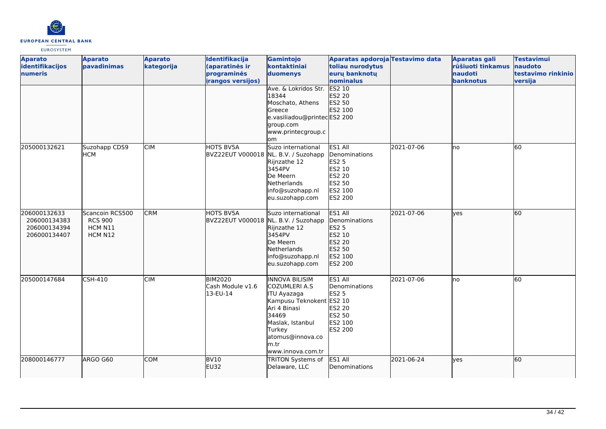

| <b>Aparato</b><br>identifikacijos<br>numeris                 | <b>Aparato</b><br>pavadinimas                           | <b>Aparato</b><br>kategorija | Identifikacija<br>(aparatinės ir<br>programinės<br>irangos versijos) | Gamintojo<br>kontaktiniai<br>duomenys<br>Ave. & Lokridos Str.<br>18344                                                                                                                                   | Aparatas apdoroja Testavimo data<br>toliau nurodytus<br>euru banknotu<br>nominalus<br><b>ES2 10</b><br><b>ES2 20</b> |            | Aparatas gali<br>rūšiuoti tinkamus<br>naudoti<br>banknotus | <b>Testavimui</b><br>naudoto<br>testavimo rinkinio<br>versija |
|--------------------------------------------------------------|---------------------------------------------------------|------------------------------|----------------------------------------------------------------------|----------------------------------------------------------------------------------------------------------------------------------------------------------------------------------------------------------|----------------------------------------------------------------------------------------------------------------------|------------|------------------------------------------------------------|---------------------------------------------------------------|
|                                                              |                                                         |                              |                                                                      | Moschato, Athens<br>Greece<br>e.vasiliadou@printecES2 200<br>group.com<br>www.printecgroup.c<br>om                                                                                                       | ES2 50<br>ES2 100                                                                                                    |            |                                                            |                                                               |
| 205000132621                                                 | Suzohapp CDS9<br><b>HCM</b>                             | <b>CIM</b>                   | <b>HOTS BV5A</b><br>BVZ22EUT V000018 NL. B.V. / Suzohapp             | Suzo international<br>Rijnzathe 12<br>3454PV<br>De Meern<br>Netherlands<br>info@suzohapp.nl<br>eu.suzohapp.com                                                                                           | ES1 All<br>Denominations<br><b>ES2 5</b><br>ES2 10<br>ES2 20<br>ES2 50<br>ES2 100<br>ES2 200                         | 2021-07-06 | no                                                         | 60                                                            |
| 206000132633<br>206000134383<br>206000134394<br>206000134407 | Scancoin RCS500<br><b>RCS 900</b><br>HCM N11<br>HCM N12 | <b>CRM</b>                   | HOTS BV5A<br>BVZ22EUT V000018 NL. B.V. / Suzohapp                    | Suzo international<br>Rijnzathe 12<br>3454PV<br>De Meern<br>Netherlands<br>info@suzohapp.nl<br>eu.suzohapp.com                                                                                           | ES1 All<br>Denominations<br>ES2 5<br>ES2 10<br>ES2 20<br>ES2 50<br>ES2 100<br>ES2 200                                | 2021-07-06 | lves                                                       | 60                                                            |
| 205000147684                                                 | CSH-410                                                 | <b>CIM</b>                   | <b>BIM2020</b><br>Cash Module v1.6<br>13-EU-14                       | <b>INNOVA BILISIM</b><br><b>COZUMLERI A.S</b><br><b>ITU Ayazaga</b><br>Kampusu Teknokent ES2 10<br>Ari 4 Binasi<br>34469<br>Maslak, Istanbul<br>Turkey<br>atomus@innova.co<br>lm.tr<br>www.innova.com.tr | ES1 All<br>Denominations<br><b>ES2 5</b><br><b>ES2 20</b><br><b>ES2 50</b><br>ES2 100<br>ES2 200                     | 2021-07-06 | lno                                                        | 60                                                            |
| 208000146777                                                 | ARGO G60                                                | <b>COM</b>                   | <b>BV10</b><br>EU32                                                  | <b>TRITON Systems of</b><br>Delaware, LLC                                                                                                                                                                | ES1 All<br>Denominations                                                                                             | 2021-06-24 | lyes                                                       | 60                                                            |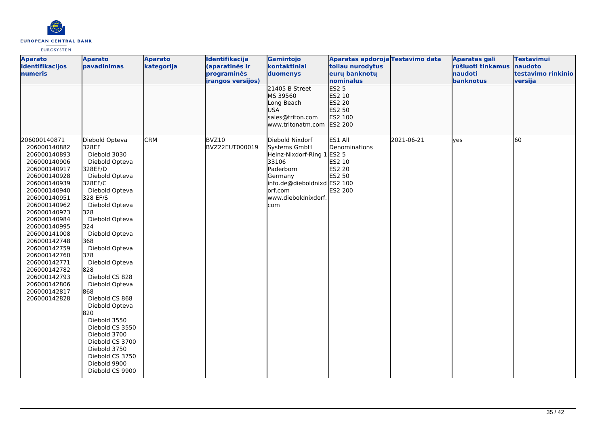

| <b>Aparato</b><br>identifikacijos<br>numeris                                                                                                                                                                                                                                                                                                                                 | <b>Aparato</b><br>pavadinimas                                                                                                                                                                                                                                                                                                                                                                                                                                                                  | <b>Aparato</b><br>kategorija | Identifikacija<br>(aparatinės ir<br>programinės<br><i>irangos versijos)</i> | Gamintojo<br>kontaktiniai<br>duomenys<br>21405 B Street                                                                                                                 | Aparatas apdoroja Testavimo data<br>toliau nurodytus<br>eurų banknotų<br>nominalus<br>ES2 <sub>5</sub> |            | <b>Aparatas gali</b><br>rūšiuoti tinkamus<br>naudoti<br>banknotus | <b>Testavimui</b><br>naudoto<br>testavimo rinkinio<br>versija |
|------------------------------------------------------------------------------------------------------------------------------------------------------------------------------------------------------------------------------------------------------------------------------------------------------------------------------------------------------------------------------|------------------------------------------------------------------------------------------------------------------------------------------------------------------------------------------------------------------------------------------------------------------------------------------------------------------------------------------------------------------------------------------------------------------------------------------------------------------------------------------------|------------------------------|-----------------------------------------------------------------------------|-------------------------------------------------------------------------------------------------------------------------------------------------------------------------|--------------------------------------------------------------------------------------------------------|------------|-------------------------------------------------------------------|---------------------------------------------------------------|
|                                                                                                                                                                                                                                                                                                                                                                              |                                                                                                                                                                                                                                                                                                                                                                                                                                                                                                |                              |                                                                             | MS 39560<br>Long Beach<br><b>USA</b><br>sales@triton.com<br>www.tritonatm.com                                                                                           | ES2 10<br>ES2 20<br>ES2 50<br>ES2 100<br><b>ES2 200</b>                                                |            |                                                                   |                                                               |
| 206000140871<br>206000140882<br>206000140893<br>206000140906<br>206000140917<br>206000140928<br>206000140939<br>206000140940<br>206000140951<br>206000140962<br>206000140973<br>206000140984<br>206000140995<br>206000141008<br>206000142748<br>206000142759<br>206000142760<br>206000142771<br>206000142782<br>206000142793<br>206000142806<br>206000142817<br>206000142828 | Diebold Opteva<br>328EF<br>Diebold 3030<br>Diebold Opteva<br>328EF/D<br>Diebold Opteva<br>328EF/C<br>Diebold Opteva<br>328 EF/S<br>Diebold Opteva<br>328<br>Diebold Opteva<br>324<br>Diebold Opteva<br>368<br>Diebold Opteva<br>378<br>Diebold Opteva<br>828<br>Diebold CS 828<br>Diebold Opteva<br>868<br>Diebold CS 868<br>Diebold Opteva<br>820<br>Diebold 3550<br>Diebold CS 3550<br>Diebold 3700<br>Diebold CS 3700<br>Diebold 3750<br>Diebold CS 3750<br>Diebold 9900<br>Diebold CS 9900 | <b>CRM</b>                   | BVZ10<br>BVZ22EUT000019                                                     | Diebold Nixdorf<br>Systems GmbH<br>Heinz-Nixdorf-Ring 1 ES2 5<br>33106<br>Paderborn<br>Germany<br>info.de@dieboldnixd ES2 100<br>lorf.com<br>www.dieboldnixdorf.<br>com | ES1 All<br>Denominations<br>ES2 10<br><b>ES2 20</b><br>ES2 50<br><b>ES2 200</b>                        | 2021-06-21 | lyes                                                              | 60                                                            |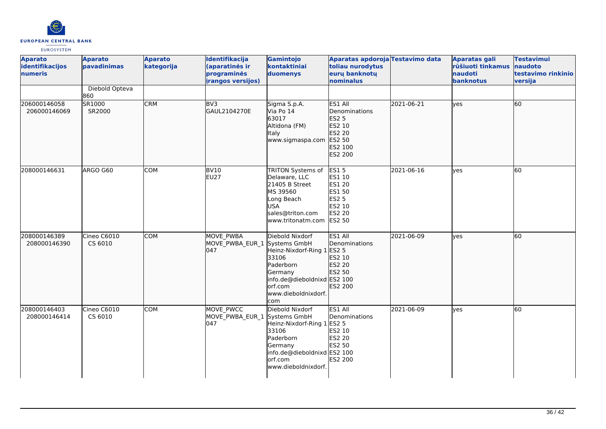

| <b>Aparato</b><br>identifikacijos<br>numeris | <b>Aparato</b><br>pavadinimas | <b>Aparato</b><br>kategorija | Identifikacija<br>(aparatinės ir<br>programinės<br>irangos versijos) | Gamintojo<br>kontaktiniai<br>duomenys                                                                                                                                  | Aparatas apdoroja Testavimo data<br>toliau nurodytus<br>eurų banknotų<br>nominalus                           |            | <b>Aparatas gali</b><br>rūšiuoti tinkamus<br>naudoti<br>banknotus | <b>Testavimui</b><br>naudoto<br>testavimo rinkinio<br>versija |
|----------------------------------------------|-------------------------------|------------------------------|----------------------------------------------------------------------|------------------------------------------------------------------------------------------------------------------------------------------------------------------------|--------------------------------------------------------------------------------------------------------------|------------|-------------------------------------------------------------------|---------------------------------------------------------------|
|                                              | Diebold Opteva<br>860         |                              |                                                                      |                                                                                                                                                                        |                                                                                                              |            |                                                                   |                                                               |
| 206000146058<br>206000146069                 | SR1000<br>SR2000              | <b>CRM</b>                   | BV3<br>GAUL2104270E                                                  | Sigma S.p.A.<br>Via Po 14<br>63017<br>Altidona (FM)<br>ltaly<br>www.sigmaspa.com                                                                                       | ES1 All<br>Denominations<br><b>ES2 5</b><br>ES2 10<br>ES2 20<br>ES2 50<br>ES2 100<br>ES2 200                 | 2021-06-21 | lyes                                                              | 60                                                            |
| 208000146631                                 | ARGO G60                      | <b>COM</b>                   | <b>BV10</b><br><b>EU27</b>                                           | TRITON Systems of<br>Delaware, LLC<br>21405 B Street<br>MS 39560<br>Long Beach<br>USA<br>sales@triton.com<br>www.tritonatm.com                                         | <b>ES15</b><br>ES1 10<br><b>ES1 20</b><br><b>ES1 50</b><br>ES2 5<br>ES2 10<br><b>ES2 20</b><br><b>ES2 50</b> | 2021-06-16 | yes                                                               | 60                                                            |
| 208000146389<br>208000146390                 | Cineo C6010<br>CS 6010        | <b>COM</b>                   | <b>MOVE PWBA</b><br>MOVE_PWBA_EUR_1<br>047                           | Diebold Nixdorf<br>Systems GmbH<br>Heinz-Nixdorf-Ring 1 ES2 5<br>33106<br>Paderborn<br>Germany<br>info.de@dieboldnixd ES2 100<br>orf.com<br>www.dieboldnixdorf.<br>com | ES1 All<br>Denominations<br>ES2 10<br>ES2 20<br>ES2 50<br>ES2 200                                            | 2021-06-09 | lyes                                                              | 60                                                            |
| 208000146403<br>208000146414                 | Cineo C6010<br>CS 6010        | <b>COM</b>                   | MOVE PWCC<br>MOVE PWBA EUR 1 Systems GmbH<br>047                     | Diebold Nixdorf<br>Heinz-Nixdorf-Ring 1 ES2 5<br>33106<br>Paderborn<br>Germany<br>info.de@dieboldnixd ES2 100<br>orf.com<br>www.dieboldnixdorf.                        | ES1 All<br>Denominations<br>ES2 10<br>ES2 20<br><b>ES2 50</b><br><b>ES2 200</b>                              | 2021-06-09 | <b>lves</b>                                                       | 60                                                            |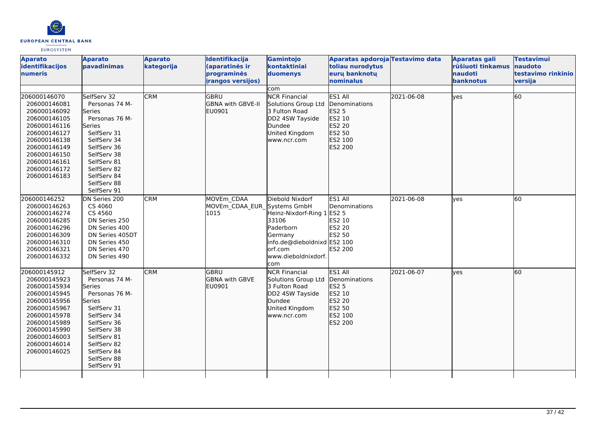

| <b>Aparato</b><br>identifikacijos<br>numeris                                                                                                                                                 | <b>Aparato</b><br>pavadinimas                                                                                                                                                                                     | <b>Aparato</b><br>kategorija | Identifikacija<br>(aparatinės ir<br>programinės<br><i>irangos versijos)</i> | Gamintojo<br>kontaktiniai<br>duomenys                                                                                                                   | Aparatas apdoroja Testavimo data<br>toliau nurodytus<br>eurų banknotų<br>nominalus    |            | <b>Aparatas gali</b><br>rūšiuoti tinkamus<br>naudoti<br>banknotus | <b>Testavimui</b><br>naudoto<br>testavimo rinkinio<br>versija |
|----------------------------------------------------------------------------------------------------------------------------------------------------------------------------------------------|-------------------------------------------------------------------------------------------------------------------------------------------------------------------------------------------------------------------|------------------------------|-----------------------------------------------------------------------------|---------------------------------------------------------------------------------------------------------------------------------------------------------|---------------------------------------------------------------------------------------|------------|-------------------------------------------------------------------|---------------------------------------------------------------|
|                                                                                                                                                                                              |                                                                                                                                                                                                                   |                              |                                                                             | com                                                                                                                                                     |                                                                                       |            |                                                                   |                                                               |
| 206000146070<br>206000146081<br>206000146092<br>206000146105<br>206000146116<br>206000146127<br>206000146138<br>206000146149<br>206000146150<br>206000146161<br>206000146172<br>206000146183 | SelfServ 32<br>Personas 74 M-<br>Series<br>Personas 76 M-<br>Series<br>SelfServ 31<br>SelfServ 34<br>SelfServ 36<br>SelfServ 38<br>SelfServ 81<br>SelfServ 82<br>SelfServ 84<br>SelfServ 88<br>SelfServ 91        | <b>CRM</b>                   | <b>GBRU</b><br>GBNA with GBVE-II<br>EU0901                                  | <b>NCR Financial</b><br>Solutions Group Ltd<br>3 Fulton Road<br>DD2 4SW Tayside<br>Dundee<br>United Kingdom<br>www.ncr.com                              | ES1 All<br>Denominations<br>ES2 5<br>ES2 10<br>ES2 20<br>ES2 50<br>ES2 100<br>ES2 200 | 2021-06-08 | lyes                                                              | 60                                                            |
| 206000146252<br>206000146263<br>206000146274<br>206000146285<br>206000146296<br>206000146309<br>206000146310<br>206000146321<br>206000146332                                                 | DN Series 200<br>CS 4060<br>CS 4560<br>DN Series 250<br>DN Series 400<br>DN Series 405DT<br>DN Series 450<br>DN Series 470<br>DN Series 490                                                                       | <b>CRM</b>                   | MOVEm CDAA<br>MOVEm CDAA EUR Systems GmbH<br>1015                           | Diebold Nixdorf<br>Heinz-Nixdorf-Ring 1 ES2 5<br>33106<br>Paderborn<br>Germany<br>info.de@dieboldnixd ES2 100<br>lorf.com<br>www.dieboldnixdorf.<br>com | ES1 All<br>Denominations<br>ES2 10<br><b>ES2 20</b><br>ES2 50<br>ES2 200              | 2021-06-08 | <b>ves</b>                                                        | 60                                                            |
| 206000145912<br>206000145923<br>206000145934<br>206000145945<br>206000145956<br>206000145967<br>206000145978<br>206000145989<br>206000145990<br>206000146003<br>206000146014<br>206000146025 | SelfServ 32<br>Personas 74 M-<br><b>Series</b><br>Personas 76 M-<br>Series<br>SelfServ 31<br>SelfServ 34<br>SelfServ 36<br>SelfServ 38<br>SelfServ 81<br>SelfServ 82<br>SelfServ 84<br>SelfServ 88<br>SelfServ 91 | <b>CRM</b>                   | lgbru<br><b>GBNA with GBVE</b><br>EU0901                                    | <b>NCR Financial</b><br>Solutions Group Ltd<br>3 Fulton Road<br>DD2 4SW Tayside<br>Dundee<br>United Kingdom<br>www.ncr.com                              | ES1 All<br>Denominations<br>ES2 5<br>ES2 10<br>ES2 20<br>ES2 50<br>ES2 100<br>ES2 200 | 2021-06-07 | lves                                                              | 60                                                            |
|                                                                                                                                                                                              |                                                                                                                                                                                                                   |                              |                                                                             |                                                                                                                                                         |                                                                                       |            |                                                                   |                                                               |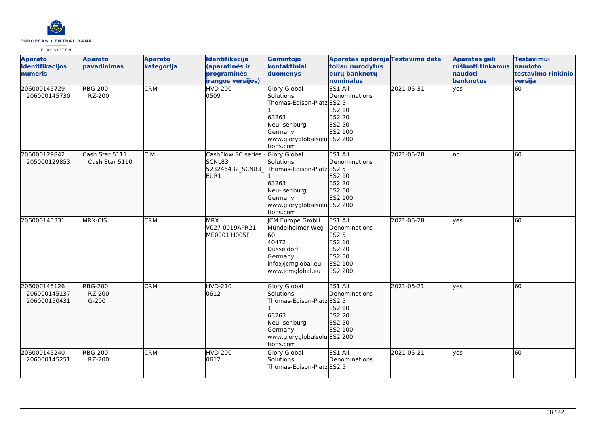

| <b>Aparato</b><br>identifikacijos<br>numeris | <b>Aparato</b><br>pavadinimas       | <b>Aparato</b><br>kategorija | Identifikacija<br>(aparatinės ir<br>programinės<br><i>irangos versijos)</i> | Gamintojo<br>kontaktiniai<br>duomenys                                                                                                         | Aparatas apdoroja Testavimo data<br>toliau nurodytus<br>eurų banknotų<br>nominalus                  |            | <b>Aparatas gali</b><br>rūšiuoti tinkamus<br>naudoti<br>banknotus | <b>Testavimui</b><br>naudoto<br>testavimo rinkinio<br>versija |
|----------------------------------------------|-------------------------------------|------------------------------|-----------------------------------------------------------------------------|-----------------------------------------------------------------------------------------------------------------------------------------------|-----------------------------------------------------------------------------------------------------|------------|-------------------------------------------------------------------|---------------------------------------------------------------|
| 206000145729<br>206000145730                 | <b>RBG-200</b><br>RZ-200            | <b>CRM</b>                   | <b>HVD-200</b><br>0509                                                      | <b>Glory Global</b><br>Solutions<br>Thomas-Edison-Platz ES2 5<br>63263<br>Neu-Isenburg<br>Germany<br>www.gloryglobalsolu ES2 200<br>tions.com | ES1 All<br>Denominations<br>ES2 10<br><b>ES2 20</b><br>ES2 50<br>ES2 100                            | 2021-05-31 | yes                                                               | 60                                                            |
| 205000129842<br>205000129853                 | Cash Star 5111<br>Cash Star 5110    | <b>CIM</b>                   | CashFlow SC series<br>SCNL83<br>523246432_SCN83<br>EUR1                     | Glory Global<br>Solutions<br>Thomas-Edison-Platz ES2 5<br>63263<br>Neu-Isenburg<br>Germany<br>www.gloryglobalsolu ES2 200<br>tions.com        | ES1 All<br>Denominations<br>ES2 10<br>ES2 20<br>ES2 50<br>ES2 100                                   | 2021-05-28 | lno                                                               | 60                                                            |
| 206000145331                                 | MRX-CIS                             | <b>CRM</b>                   | <b>MRX</b><br>V027 0019APR21<br>ME0001 H005F                                | JCM Europe GmbH<br>Mündelheimer Weg<br>60<br>40472<br>Düsseldorf<br>Germany<br>info@jcmglobal.eu<br>www.jcmglobal.eu                          | ES1 All<br>Denominations<br><b>ES2 5</b><br>ES2 10<br>ES2 20<br>ES2 50<br>ES2 100<br><b>ES2 200</b> | 2021-05-28 | <b>l</b> ves                                                      | 60                                                            |
| 206000145126<br>206000145137<br>206000150431 | <b>RBG-200</b><br>RZ-200<br>$G-200$ | <b>CRM</b>                   | <b>HVD-210</b><br>0612                                                      | <b>Glory Global</b><br>Solutions<br>Thomas-Edison-Platz ES2 5<br>63263<br>Neu-Isenburg<br>Germany<br>www.gloryglobalsolu ES2 200<br>tions.com | ES1 All<br>Denominations<br>ES2 10<br>ES2 20<br>ES2 50<br>ES2 100                                   | 2021-05-21 | lyes                                                              | 60                                                            |
| 206000145240<br>206000145251                 | <b>RBG-200</b><br>RZ-200            | <b>CRM</b>                   | <b>HVD-200</b><br>0612                                                      | <b>Glory Global</b><br>Solutions<br>Thomas-Edison-Platz ES2 5                                                                                 | ES1 All<br>Denominations                                                                            | 2021-05-21 | <b>ves</b>                                                        | 60                                                            |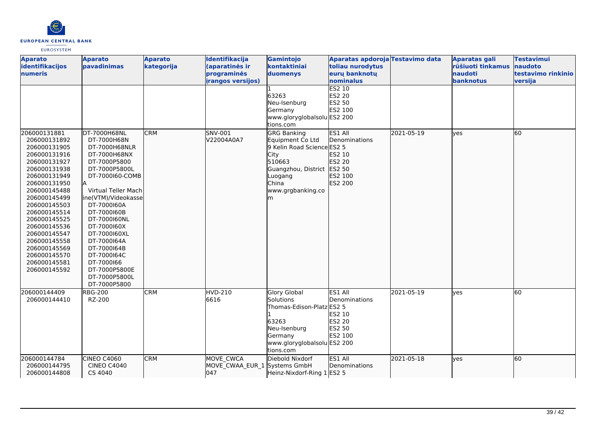

| <b>Aparato</b><br>identifikacijos<br>numeris                                                                                                                                                                                                                                                                                 | <b>Aparato</b><br>pavadinimas                                                                                                                                                                                                                                                                                                                            | <b>Aparato</b><br>kategorija | Identifikacija<br>(aparatinės ir<br>programinės<br><i>irangos versijos)</i> | Gamintojo<br>kontaktiniai<br>duomenys<br>63263<br>Neu-Isenburg<br>Germany<br>www.gloryglobalsolu ES2 200<br>tions.com                                         | Aparatas apdoroja Testavimo data<br>toliau nurodytus<br>eurų banknotų<br>nominalus<br><b>ES2 10</b><br><b>ES2 20</b><br>ES2 50<br>ES2 100 |            | Aparatas gali<br>rūšiuoti tinkamus<br>naudoti<br>banknotus | <b>Testavimui</b><br>naudoto<br>testavimo rinkinio<br>versija |
|------------------------------------------------------------------------------------------------------------------------------------------------------------------------------------------------------------------------------------------------------------------------------------------------------------------------------|----------------------------------------------------------------------------------------------------------------------------------------------------------------------------------------------------------------------------------------------------------------------------------------------------------------------------------------------------------|------------------------------|-----------------------------------------------------------------------------|---------------------------------------------------------------------------------------------------------------------------------------------------------------|-------------------------------------------------------------------------------------------------------------------------------------------|------------|------------------------------------------------------------|---------------------------------------------------------------|
| 206000131881<br>206000131892<br>206000131905<br>206000131916<br>206000131927<br>206000131938<br>206000131949<br>206000131950<br>206000145488<br>206000145499<br>206000145503<br>206000145514<br>206000145525<br>206000145536<br>206000145547<br>206000145558<br>206000145569<br>206000145570<br>206000145581<br>206000145592 | DT-7000H68NL<br>DT-7000H68N<br>DT-7000H68NLR<br>DT-7000H68NX<br>DT-7000P5800<br>DT-7000P5800L<br>DT-7000160-COMB<br>Virtual Teller Mach<br>ine(VTM)/Videokasse<br>DT-7000160A<br>DT-7000160B<br>DT-7000160NL<br>DT-7000160X<br>DT-7000160XL<br>DT-7000164A<br>DT-7000164B<br>DT-7000164C<br>DT-7000166<br>DT-7000P5800E<br>DT-7000P5800L<br>DT-7000P5800 | <b>CRM</b>                   | SNV-001<br>V22004A0A7                                                       | <b>GRG Banking</b><br>Equipment Co Ltd<br>9 Kelin Road Science ES2 5<br>City<br>510663<br>Guangzhou, District ES2 50<br>Luogang<br>China<br>www.grgbanking.co | ES1 All<br>Denominations<br>ES2 10<br>ES2 20<br>ES2 100<br>ES2 200                                                                        | 2021-05-19 | yes                                                        | 60                                                            |
| 206000144409<br>206000144410                                                                                                                                                                                                                                                                                                 | <b>RBG-200</b><br>RZ-200                                                                                                                                                                                                                                                                                                                                 | <b>CRM</b>                   | <b>HVD-210</b><br>6616                                                      | <b>Glory Global</b><br>Solutions<br>Thomas-Edison-Platz ES2 5<br>63263<br>Neu-Isenburg<br>Germany<br>www.gloryglobalsolu ES2 200<br>tions.com                 | ES1 All<br>Denominations<br>ES2 10<br>ES2 20<br><b>ES2 50</b><br>ES2 100                                                                  | 2021-05-19 | ves                                                        | 60                                                            |
| 206000144784<br>206000144795<br>206000144808                                                                                                                                                                                                                                                                                 | CINEO C4060<br><b>CINEO C4040</b><br>CS 4040                                                                                                                                                                                                                                                                                                             | <b>CRM</b>                   | MOVE CWCA<br>MOVE_CWAA_EUR_1 Systems GmbH<br>047                            | Diebold Nixdorf<br>Heinz-Nixdorf-Ring 1 ES2 5                                                                                                                 | ES1 All<br>Denominations                                                                                                                  | 2021-05-18 | yes                                                        | 60                                                            |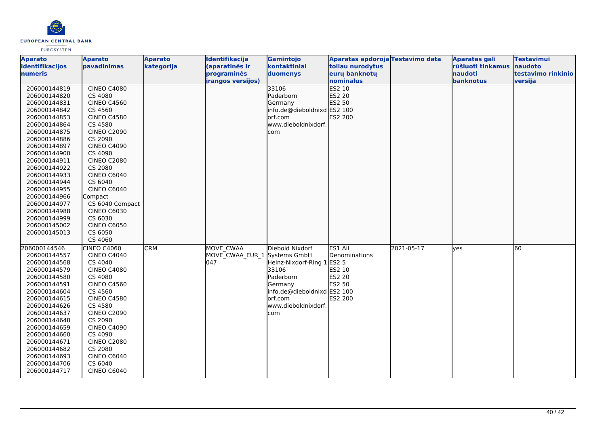

| <b>Aparato</b>  | <b>Aparato</b>     | <b>Aparato</b> | Identifikacija               | Gamintojo                   | Aparatas apdoroja Testavimo data |            | <b>Aparatas gali</b> | <b>Testavimui</b>  |
|-----------------|--------------------|----------------|------------------------------|-----------------------------|----------------------------------|------------|----------------------|--------------------|
| identifikacijos | pavadinimas        | kategorija     | (aparatinės ir               | kontaktiniai                | toliau nurodytus                 |            | rūšiuoti tinkamus    | naudoto            |
| numeris         |                    |                | programinės                  | duomenys                    | eurų banknotų                    |            | naudoti              | testavimo rinkinio |
|                 |                    |                | irangos versijos)            |                             | nominalus                        |            | banknotus            | versija            |
| 206000144819    | <b>CINEO C4080</b> |                |                              | 33106                       | <b>ES2 10</b>                    |            |                      |                    |
| 206000144820    | CS 4080            |                |                              | Paderborn                   | ES2 20                           |            |                      |                    |
| 206000144831    | <b>CINEO C4560</b> |                |                              | Germany                     | ES2 50                           |            |                      |                    |
| 206000144842    | CS 4560            |                |                              | info.de@dieboldnixd ES2 100 |                                  |            |                      |                    |
| 206000144853    | <b>CINEO C4580</b> |                |                              | lorf.com                    | ES2 200                          |            |                      |                    |
| 206000144864    | CS 4580            |                |                              | www.dieboldnixdorf.         |                                  |            |                      |                    |
| 206000144875    | <b>CINEO C2090</b> |                |                              | com                         |                                  |            |                      |                    |
| 206000144886    | CS 2090            |                |                              |                             |                                  |            |                      |                    |
| 206000144897    | <b>CINEO C4090</b> |                |                              |                             |                                  |            |                      |                    |
| 206000144900    | CS 4090            |                |                              |                             |                                  |            |                      |                    |
| 206000144911    | <b>CINEO C2080</b> |                |                              |                             |                                  |            |                      |                    |
| 206000144922    | CS 2080            |                |                              |                             |                                  |            |                      |                    |
| 206000144933    | CINEO C6040        |                |                              |                             |                                  |            |                      |                    |
| 206000144944    | CS 6040            |                |                              |                             |                                  |            |                      |                    |
| 206000144955    | CINEO C6040        |                |                              |                             |                                  |            |                      |                    |
| 206000144966    | Compact            |                |                              |                             |                                  |            |                      |                    |
| 206000144977    | CS 6040 Compact    |                |                              |                             |                                  |            |                      |                    |
| 206000144988    | <b>CINEO C6030</b> |                |                              |                             |                                  |            |                      |                    |
| 206000144999    | CS 6030            |                |                              |                             |                                  |            |                      |                    |
| 206000145002    | <b>CINEO C6050</b> |                |                              |                             |                                  |            |                      |                    |
| 206000145013    | CS 6050            |                |                              |                             |                                  |            |                      |                    |
|                 | CS 4060            |                |                              |                             |                                  |            |                      |                    |
| 206000144546    | CINEO C4060        | <b>CRM</b>     | <b>MOVE CWAA</b>             | Diebold Nixdorf             | ES1 All                          | 2021-05-17 | <b>ves</b>           | 60                 |
| 206000144557    | <b>CINEO C4040</b> |                | MOVE CWAA EUR 1 Systems GmbH |                             | <b>Denominations</b>             |            |                      |                    |
| 206000144568    | CS 4040            |                | 047                          | Heinz-Nixdorf-Ring 1 ES2 5  |                                  |            |                      |                    |
| 206000144579    | <b>CINEO C4080</b> |                |                              | 33106                       | ES2 10                           |            |                      |                    |
| 206000144580    | CS 4080            |                |                              | Paderborn                   | <b>ES2 20</b>                    |            |                      |                    |
| 206000144591    | <b>CINEO C4560</b> |                |                              | Germany                     | <b>ES2 50</b>                    |            |                      |                    |
| 206000144604    | CS 4560            |                |                              | info.de@dieboldnixd ES2 100 |                                  |            |                      |                    |
| 206000144615    | <b>CINEO C4580</b> |                |                              | orf.com                     | <b>ES2 200</b>                   |            |                      |                    |
| 206000144626    | CS 4580            |                |                              | www.dieboldnixdorf.         |                                  |            |                      |                    |
| 206000144637    | <b>CINEO C2090</b> |                |                              | com                         |                                  |            |                      |                    |
| 206000144648    | CS 2090            |                |                              |                             |                                  |            |                      |                    |
| 206000144659    | <b>CINEO C4090</b> |                |                              |                             |                                  |            |                      |                    |
| 206000144660    | CS 4090            |                |                              |                             |                                  |            |                      |                    |
| 206000144671    | <b>CINEO C2080</b> |                |                              |                             |                                  |            |                      |                    |
| 206000144682    | CS 2080            |                |                              |                             |                                  |            |                      |                    |
| 206000144693    | CINEO C6040        |                |                              |                             |                                  |            |                      |                    |
| 206000144706    | CS 6040            |                |                              |                             |                                  |            |                      |                    |
| 206000144717    | <b>CINEO C6040</b> |                |                              |                             |                                  |            |                      |                    |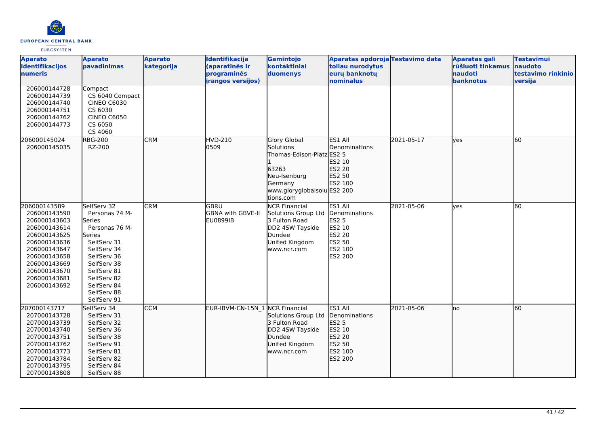

| <b>Aparato</b><br>identifikacijos<br>numeris                                                                                                                                                 | <b>Aparato</b><br><b>pavadinimas</b>                                                                                                                                                                       | <b>Aparato</b><br>kategorija | Identifikacija<br>(aparatinės ir<br>programinės<br>irangos versijos) | Gamintojo<br>kontaktiniai<br>duomenys                                                                                                         | Aparatas apdoroja Testavimo data<br>toliau nurodytus<br>euru banknotu<br>nominalus           |            | <b>Aparatas gali</b><br>rūšiuoti tinkamus<br>naudoti<br>banknotus | <b>Testavimui</b><br>naudoto<br>testavimo rinkinio<br>versija |
|----------------------------------------------------------------------------------------------------------------------------------------------------------------------------------------------|------------------------------------------------------------------------------------------------------------------------------------------------------------------------------------------------------------|------------------------------|----------------------------------------------------------------------|-----------------------------------------------------------------------------------------------------------------------------------------------|----------------------------------------------------------------------------------------------|------------|-------------------------------------------------------------------|---------------------------------------------------------------|
| 206000144728<br>206000144739<br>206000144740<br>206000144751<br>206000144762<br>206000144773                                                                                                 | Compact<br>CS 6040 Compact<br><b>CINEO C6030</b><br>CS 6030<br><b>CINEO C6050</b><br>CS 6050<br>CS 4060                                                                                                    |                              |                                                                      |                                                                                                                                               |                                                                                              |            |                                                                   |                                                               |
| 206000145024<br>206000145035                                                                                                                                                                 | <b>RBG-200</b><br>RZ-200                                                                                                                                                                                   | <b>CRM</b>                   | HVD-210<br>0509                                                      | <b>Glory Global</b><br>Solutions<br>Thomas-Edison-Platz ES2 5<br>63263<br>Neu-Isenburg<br>Germany<br>www.gloryglobalsolu ES2 200<br>tions.com | ES1 All<br><b>Denominations</b><br>ES2 10<br><b>ES2 20</b><br>ES2 50<br>ES2 100              | 2021-05-17 | lves                                                              | 60                                                            |
| 206000143589<br>206000143590<br>206000143603<br>206000143614<br>206000143625<br>206000143636<br>206000143647<br>206000143658<br>206000143669<br>206000143670<br>206000143681<br>206000143692 | SelfServ 32<br>Personas 74 M-<br>Series<br>Personas 76 M-<br>Series<br>SelfServ 31<br>SelfServ 34<br>SelfServ 36<br>SelfServ 38<br>SelfServ 81<br>SelfServ 82<br>SelfServ 84<br>SelfServ 88<br>SelfServ 91 | <b>CRM</b>                   | <b>GBRU</b><br><b>GBNA with GBVE-II</b><br>EU0899IB                  | <b>NCR Financial</b><br>Solutions Group Ltd<br>3 Fulton Road<br>DD2 4SW Tayside<br>Dundee<br>United Kingdom<br>www.ncr.com                    | ES1 All<br>Denominations<br><b>ES2 5</b><br>ES2 10<br>ES2 20<br>ES2 50<br>ES2 100<br>ES2 200 | 2021-05-06 | ves                                                               | 60                                                            |
| 207000143717<br>207000143728<br>207000143739<br>207000143740<br>207000143751<br>207000143762<br>207000143773<br>207000143784<br>207000143795<br>207000143808                                 | SelfServ 34<br>SelfServ 31<br>SelfServ 32<br>SelfServ 36<br>SelfServ 38<br>SelfServ 91<br>SelfServ 81<br>SelfServ 82<br>SelfServ 84<br>SelfServ 88                                                         | <b>CCM</b>                   | EUR-IBVM-CN-15N_1 NCR Financial                                      | Solutions Group Ltd<br>3 Fulton Road<br>DD2 4SW Tayside<br>Dundee<br>United Kingdom<br>www.ncr.com                                            | ES1 All<br>Denominations<br><b>ES2 5</b><br>ES2 10<br>ES2 20<br>ES2 50<br>ES2 100<br>ES2 200 | 2021-05-06 | lno                                                               | 60                                                            |